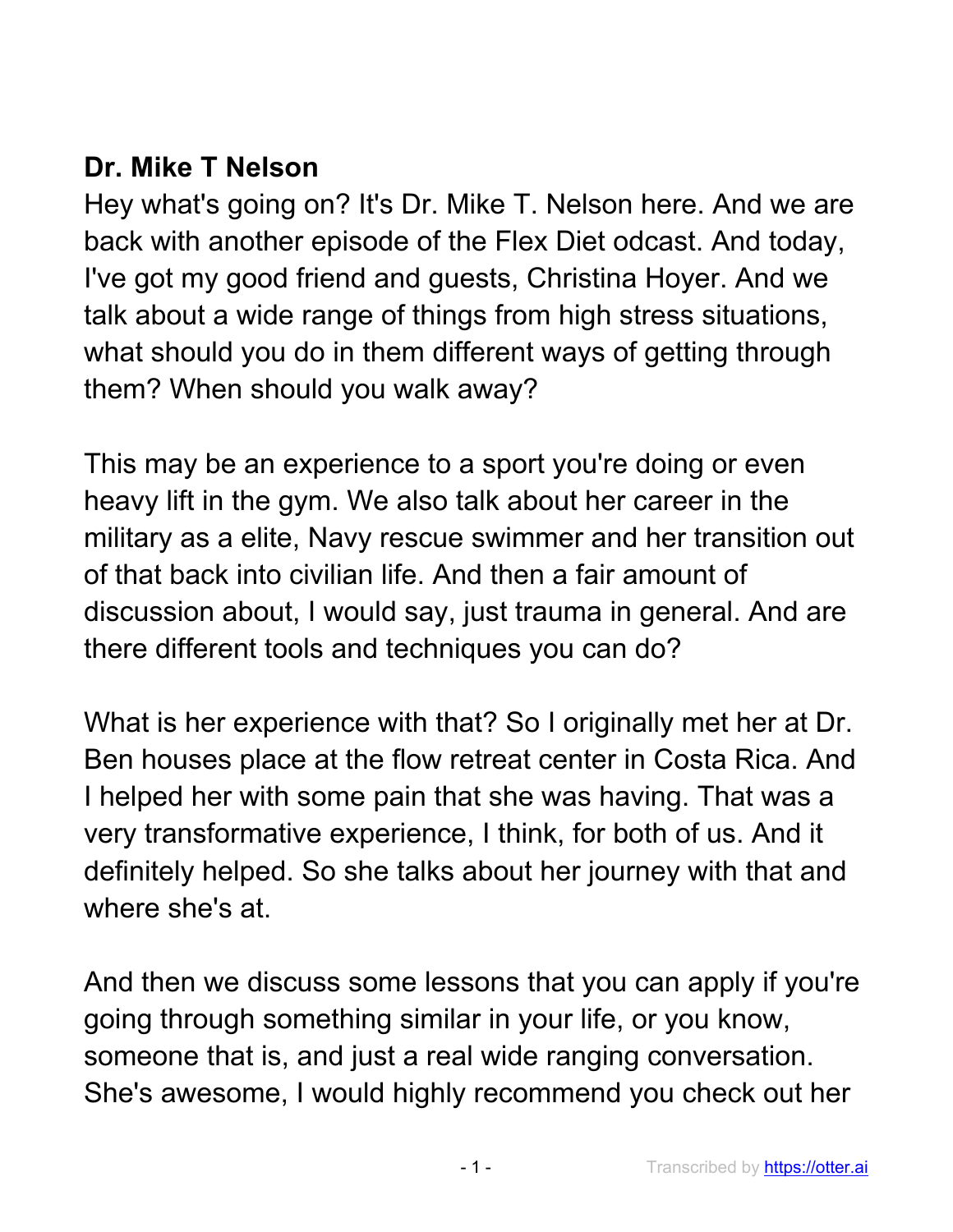## **Dr. Mike T Nelson**

Hey what's going on? It's Dr. Mike T. Nelson here. And we are back with another episode of the Flex Diet odcast. And today, I've got my good friend and guests, Christina Hoyer. And we talk about a wide range of things from high stress situations, what should you do in them different ways of getting through them? When should you walk away?

This may be an experience to a sport you're doing or even heavy lift in the gym. We also talk about her career in the military as a elite, Navy rescue swimmer and her transition out of that back into civilian life. And then a fair amount of discussion about, I would say, just trauma in general. And are there different tools and techniques you can do?

What is her experience with that? So I originally met her at Dr. Ben houses place at the flow retreat center in Costa Rica. And I helped her with some pain that she was having. That was a very transformative experience, I think, for both of us. And it definitely helped. So she talks about her journey with that and where she's at.

And then we discuss some lessons that you can apply if you're going through something similar in your life, or you know, someone that is, and just a real wide ranging conversation. She's awesome, I would highly recommend you check out her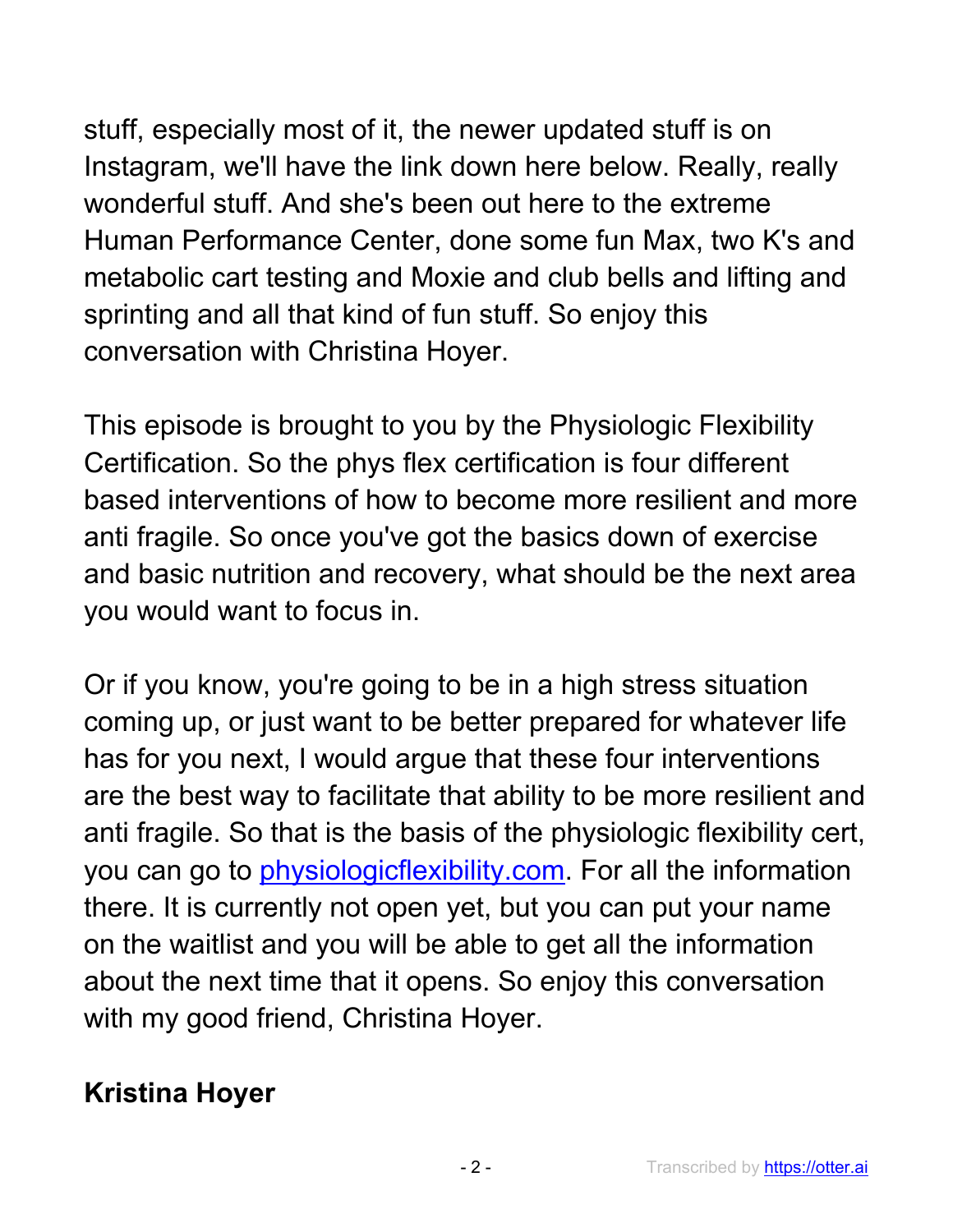stuff, especially most of it, the newer updated stuff is on Instagram, we'll have the link down here below. Really, really wonderful stuff. And she's been out here to the extreme Human Performance Center, done some fun Max, two K's and metabolic cart testing and Moxie and club bells and lifting and sprinting and all that kind of fun stuff. So enjoy this conversation with Christina Hoyer.

This episode is brought to you by the Physiologic Flexibility Certification. So the phys flex certification is four different based interventions of how to become more resilient and more anti fragile. So once you've got the basics down of exercise and basic nutrition and recovery, what should be the next area you would want to focus in.

Or if you know, you're going to be in a high stress situation coming up, or just want to be better prepared for whatever life has for you next, I would argue that these four interventions are the best way to facilitate that ability to be more resilient and anti fragile. So that is the basis of the physiologic flexibility cert, you can go to physiologicflexibility.com. For all the information there. It is currently not open yet, but you can put your name on the waitlist and you will be able to get all the information about the next time that it opens. So enjoy this conversation with my good friend, Christina Hoyer.

## **Kristina Hoyer**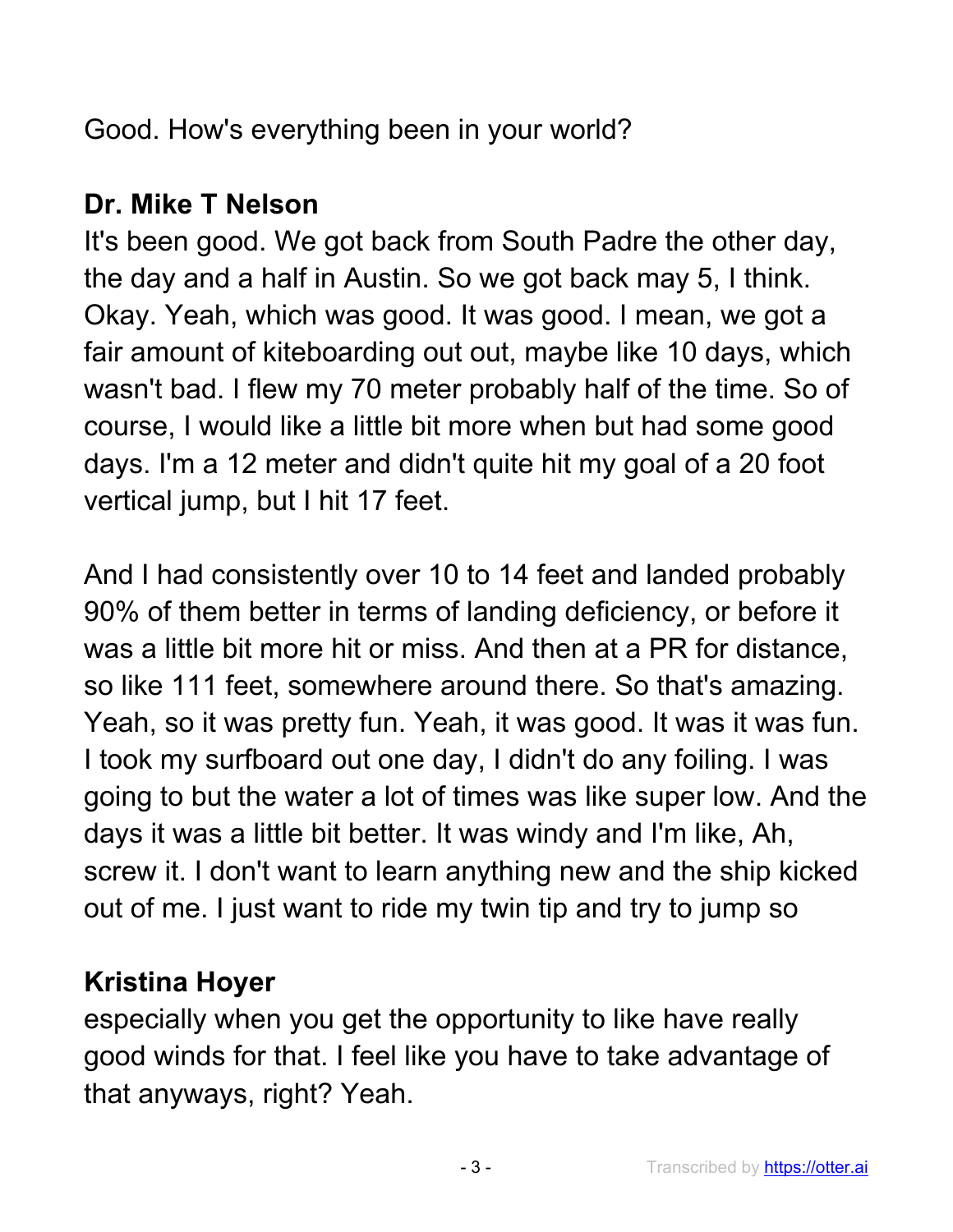Good. How's everything been in your world?

## **Dr. Mike T Nelson**

It's been good. We got back from South Padre the other day, the day and a half in Austin. So we got back may 5, I think. Okay. Yeah, which was good. It was good. I mean, we got a fair amount of kiteboarding out out, maybe like 10 days, which wasn't bad. I flew my 70 meter probably half of the time. So of course, I would like a little bit more when but had some good days. I'm a 12 meter and didn't quite hit my goal of a 20 foot vertical jump, but I hit 17 feet.

And I had consistently over 10 to 14 feet and landed probably 90% of them better in terms of landing deficiency, or before it was a little bit more hit or miss. And then at a PR for distance, so like 111 feet, somewhere around there. So that's amazing. Yeah, so it was pretty fun. Yeah, it was good. It was it was fun. I took my surfboard out one day, I didn't do any foiling. I was going to but the water a lot of times was like super low. And the days it was a little bit better. It was windy and I'm like, Ah, screw it. I don't want to learn anything new and the ship kicked out of me. I just want to ride my twin tip and try to jump so

## **Kristina Hoyer**

especially when you get the opportunity to like have really good winds for that. I feel like you have to take advantage of that anyways, right? Yeah.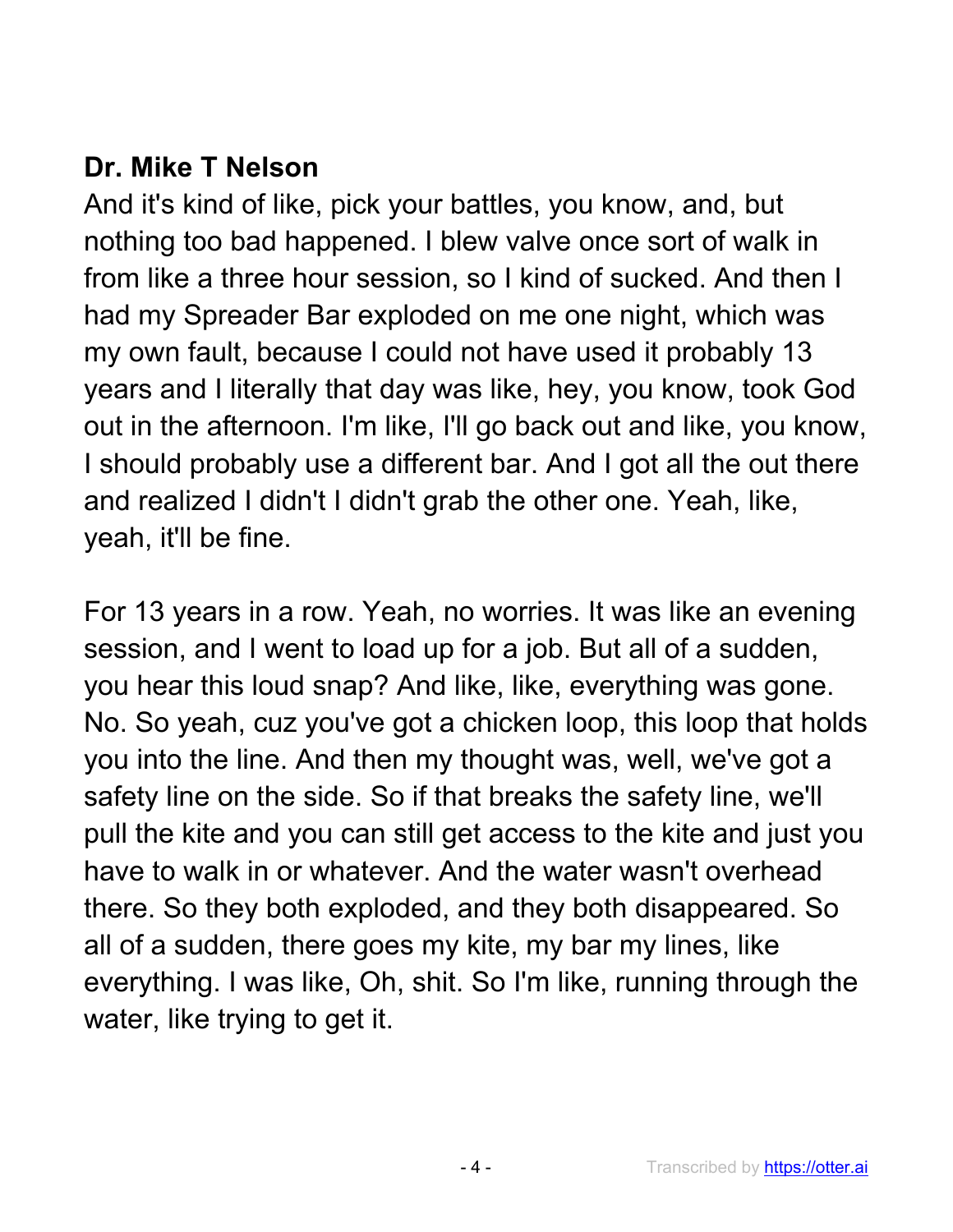## **Dr. Mike T Nelson**

And it's kind of like, pick your battles, you know, and, but nothing too bad happened. I blew valve once sort of walk in from like a three hour session, so I kind of sucked. And then I had my Spreader Bar exploded on me one night, which was my own fault, because I could not have used it probably 13 years and I literally that day was like, hey, you know, took God out in the afternoon. I'm like, I'll go back out and like, you know, I should probably use a different bar. And I got all the out there and realized I didn't I didn't grab the other one. Yeah, like, yeah, it'll be fine.

For 13 years in a row. Yeah, no worries. It was like an evening session, and I went to load up for a job. But all of a sudden, you hear this loud snap? And like, like, everything was gone. No. So yeah, cuz you've got a chicken loop, this loop that holds you into the line. And then my thought was, well, we've got a safety line on the side. So if that breaks the safety line, we'll pull the kite and you can still get access to the kite and just you have to walk in or whatever. And the water wasn't overhead there. So they both exploded, and they both disappeared. So all of a sudden, there goes my kite, my bar my lines, like everything. I was like, Oh, shit. So I'm like, running through the water, like trying to get it.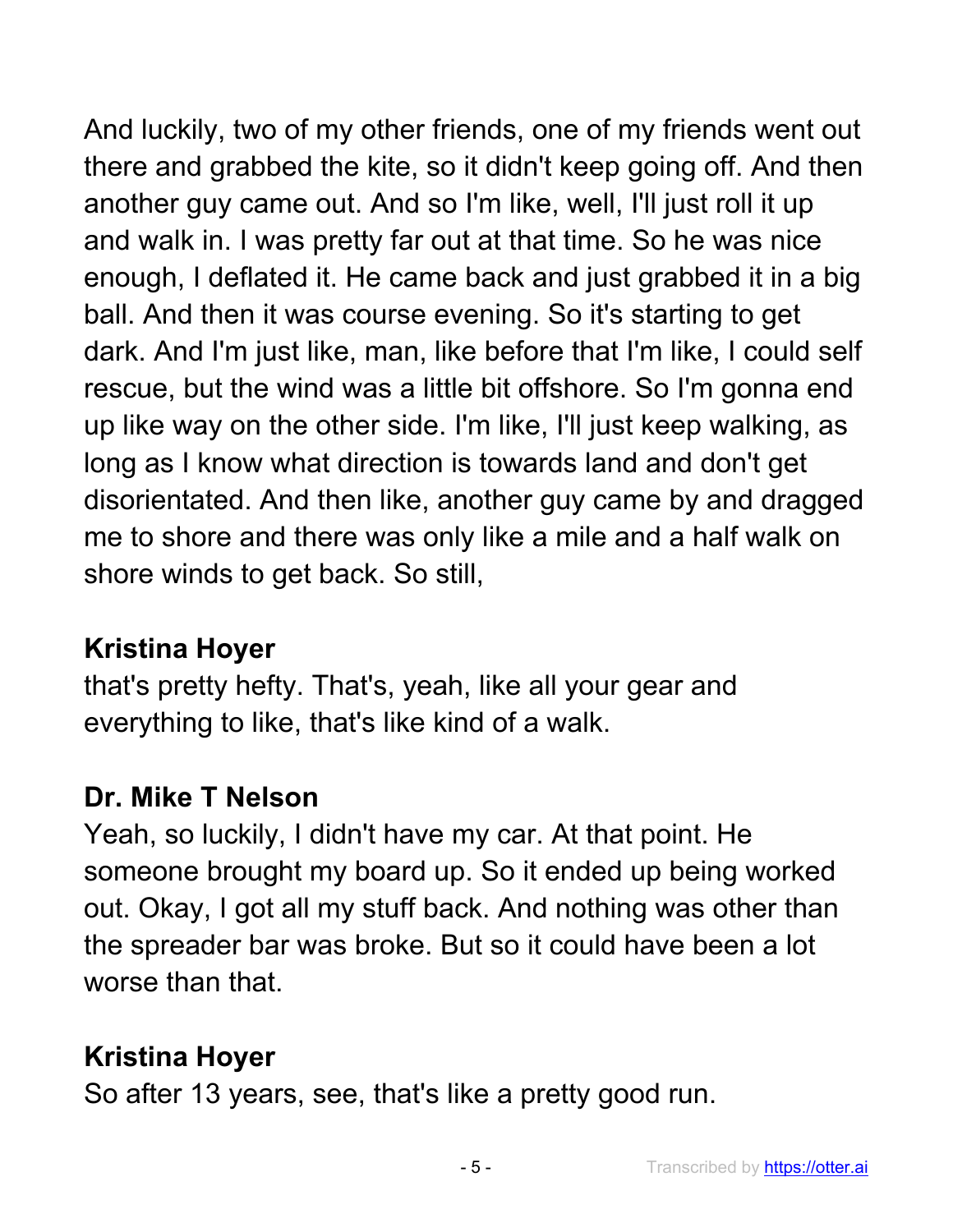And luckily, two of my other friends, one of my friends went out there and grabbed the kite, so it didn't keep going off. And then another guy came out. And so I'm like, well, I'll just roll it up and walk in. I was pretty far out at that time. So he was nice enough, I deflated it. He came back and just grabbed it in a big ball. And then it was course evening. So it's starting to get dark. And I'm just like, man, like before that I'm like, I could self rescue, but the wind was a little bit offshore. So I'm gonna end up like way on the other side. I'm like, I'll just keep walking, as long as I know what direction is towards land and don't get disorientated. And then like, another guy came by and dragged me to shore and there was only like a mile and a half walk on shore winds to get back. So still,

## **Kristina Hoyer**

that's pretty hefty. That's, yeah, like all your gear and everything to like, that's like kind of a walk.

## **Dr. Mike T Nelson**

Yeah, so luckily, I didn't have my car. At that point. He someone brought my board up. So it ended up being worked out. Okay, I got all my stuff back. And nothing was other than the spreader bar was broke. But so it could have been a lot worse than that.

## **Kristina Hoyer**

So after 13 years, see, that's like a pretty good run.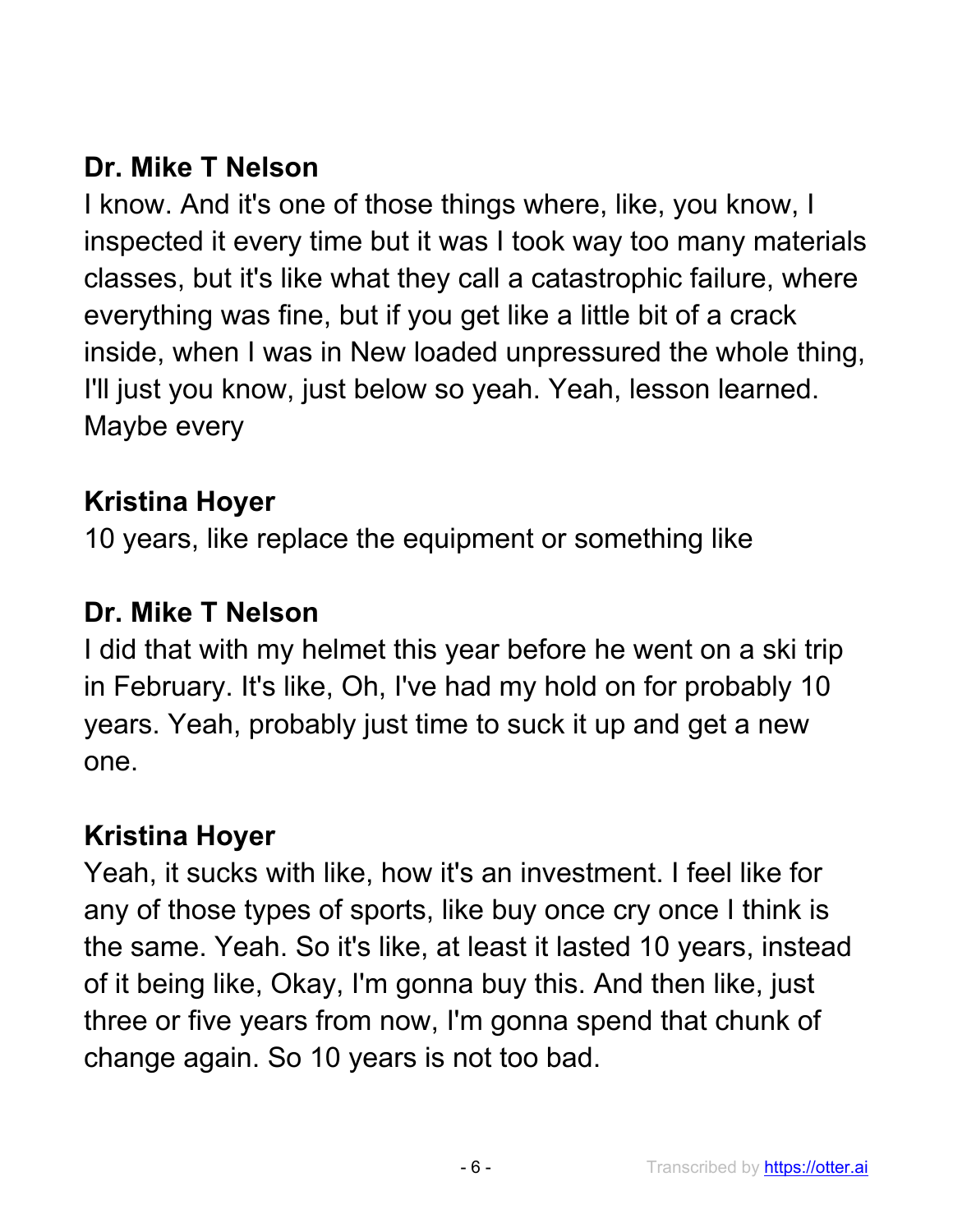## **Dr. Mike T Nelson**

I know. And it's one of those things where, like, you know, I inspected it every time but it was I took way too many materials classes, but it's like what they call a catastrophic failure, where everything was fine, but if you get like a little bit of a crack inside, when I was in New loaded unpressured the whole thing, I'll just you know, just below so yeah. Yeah, lesson learned. Maybe every

### **Kristina Hoyer**

10 years, like replace the equipment or something like

## **Dr. Mike T Nelson**

I did that with my helmet this year before he went on a ski trip in February. It's like, Oh, I've had my hold on for probably 10 years. Yeah, probably just time to suck it up and get a new one.

## **Kristina Hoyer**

Yeah, it sucks with like, how it's an investment. I feel like for any of those types of sports, like buy once cry once I think is the same. Yeah. So it's like, at least it lasted 10 years, instead of it being like, Okay, I'm gonna buy this. And then like, just three or five years from now, I'm gonna spend that chunk of change again. So 10 years is not too bad.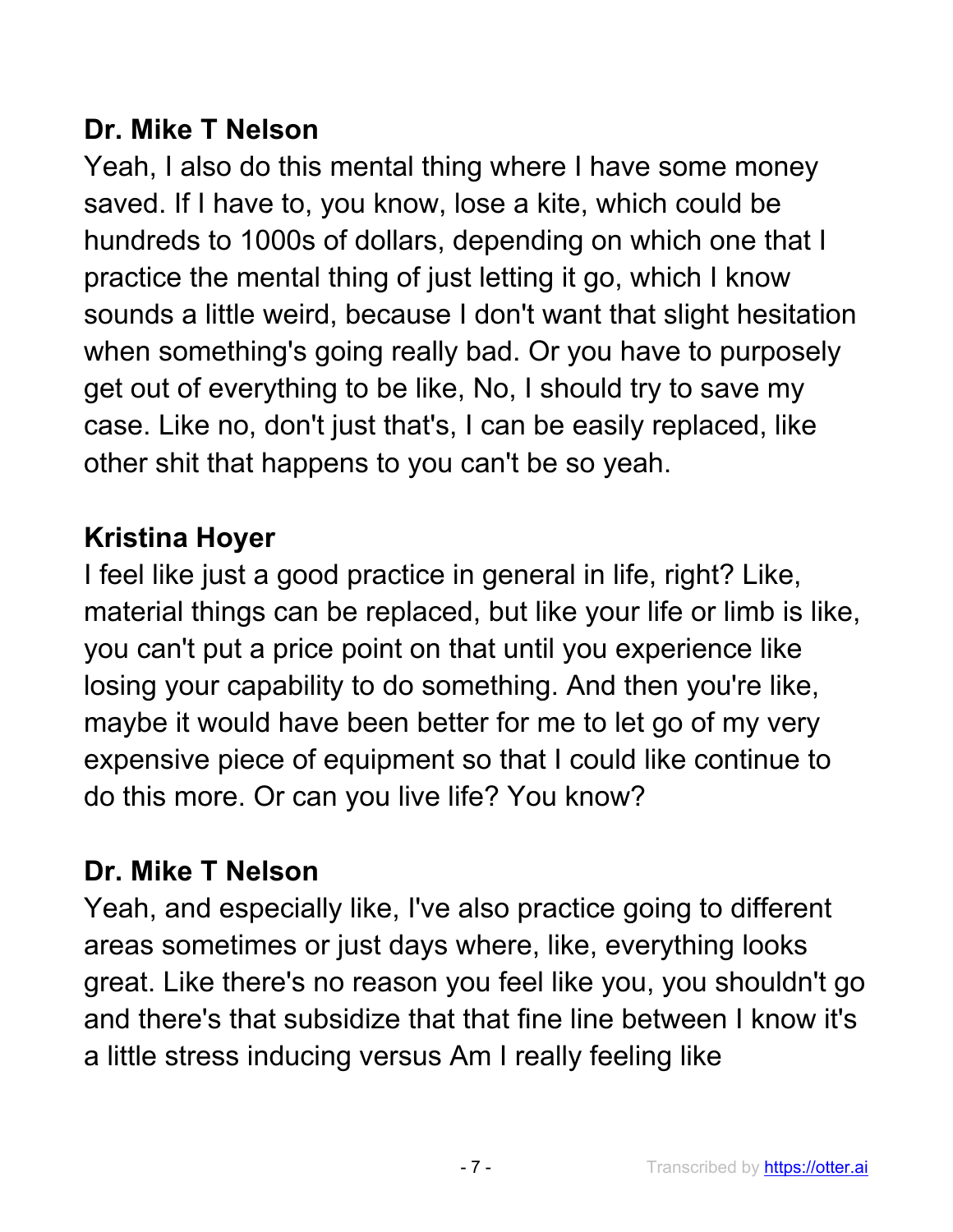## **Dr. Mike T Nelson**

Yeah, I also do this mental thing where I have some money saved. If I have to, you know, lose a kite, which could be hundreds to 1000s of dollars, depending on which one that I practice the mental thing of just letting it go, which I know sounds a little weird, because I don't want that slight hesitation when something's going really bad. Or you have to purposely get out of everything to be like, No, I should try to save my case. Like no, don't just that's, I can be easily replaced, like other shit that happens to you can't be so yeah.

# **Kristina Hoyer**

I feel like just a good practice in general in life, right? Like, material things can be replaced, but like your life or limb is like, you can't put a price point on that until you experience like losing your capability to do something. And then you're like, maybe it would have been better for me to let go of my very expensive piece of equipment so that I could like continue to do this more. Or can you live life? You know?

# **Dr. Mike T Nelson**

Yeah, and especially like, I've also practice going to different areas sometimes or just days where, like, everything looks great. Like there's no reason you feel like you, you shouldn't go and there's that subsidize that that fine line between I know it's a little stress inducing versus Am I really feeling like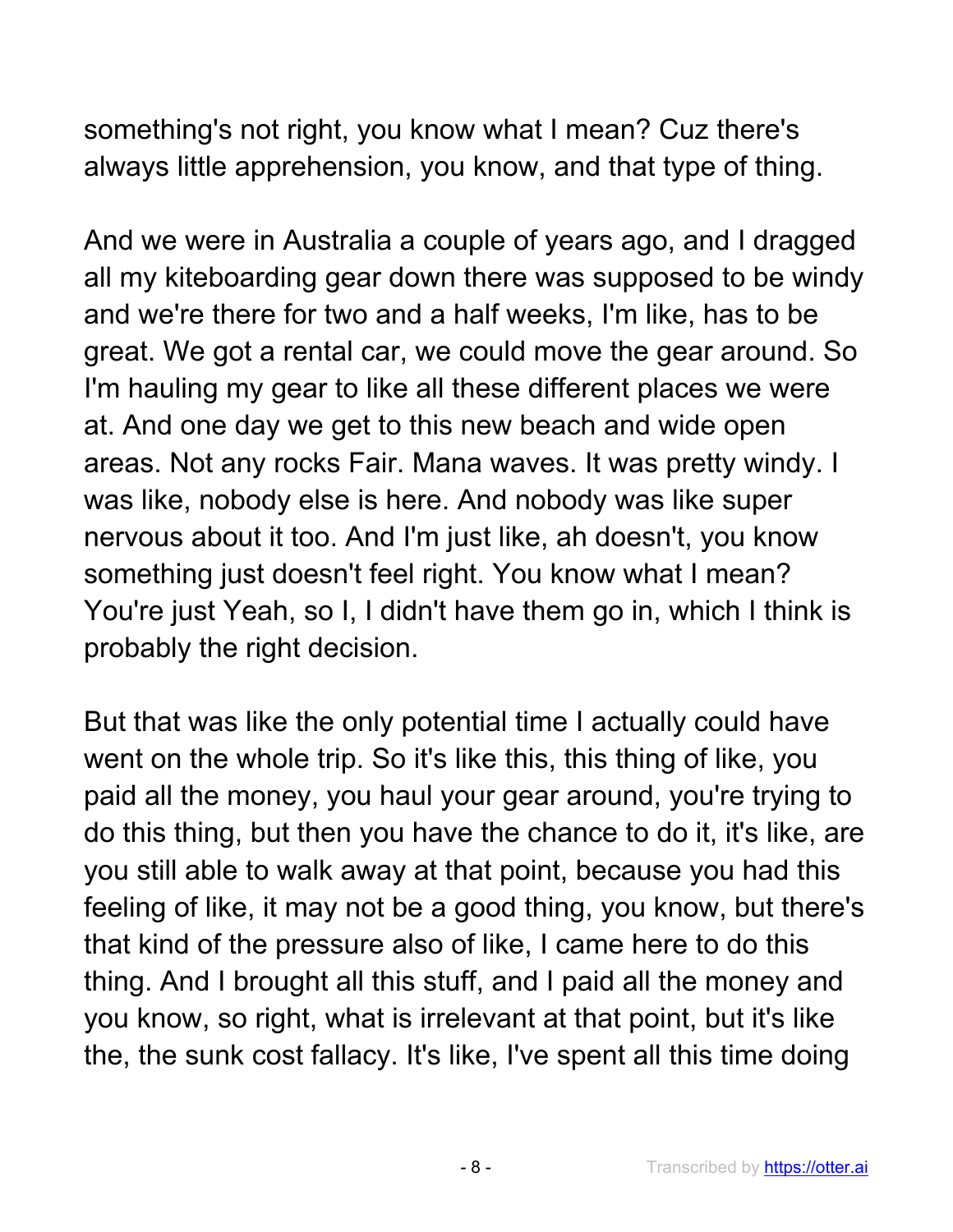something's not right, you know what I mean? Cuz there's always little apprehension, you know, and that type of thing.

And we were in Australia a couple of years ago, and I dragged all my kiteboarding gear down there was supposed to be windy and we're there for two and a half weeks, I'm like, has to be great. We got a rental car, we could move the gear around. So I'm hauling my gear to like all these different places we were at. And one day we get to this new beach and wide open areas. Not any rocks Fair. Mana waves. It was pretty windy. I was like, nobody else is here. And nobody was like super nervous about it too. And I'm just like, ah doesn't, you know something just doesn't feel right. You know what I mean? You're just Yeah, so I, I didn't have them go in, which I think is probably the right decision.

But that was like the only potential time I actually could have went on the whole trip. So it's like this, this thing of like, you paid all the money, you haul your gear around, you're trying to do this thing, but then you have the chance to do it, it's like, are you still able to walk away at that point, because you had this feeling of like, it may not be a good thing, you know, but there's that kind of the pressure also of like, I came here to do this thing. And I brought all this stuff, and I paid all the money and you know, so right, what is irrelevant at that point, but it's like the, the sunk cost fallacy. It's like, I've spent all this time doing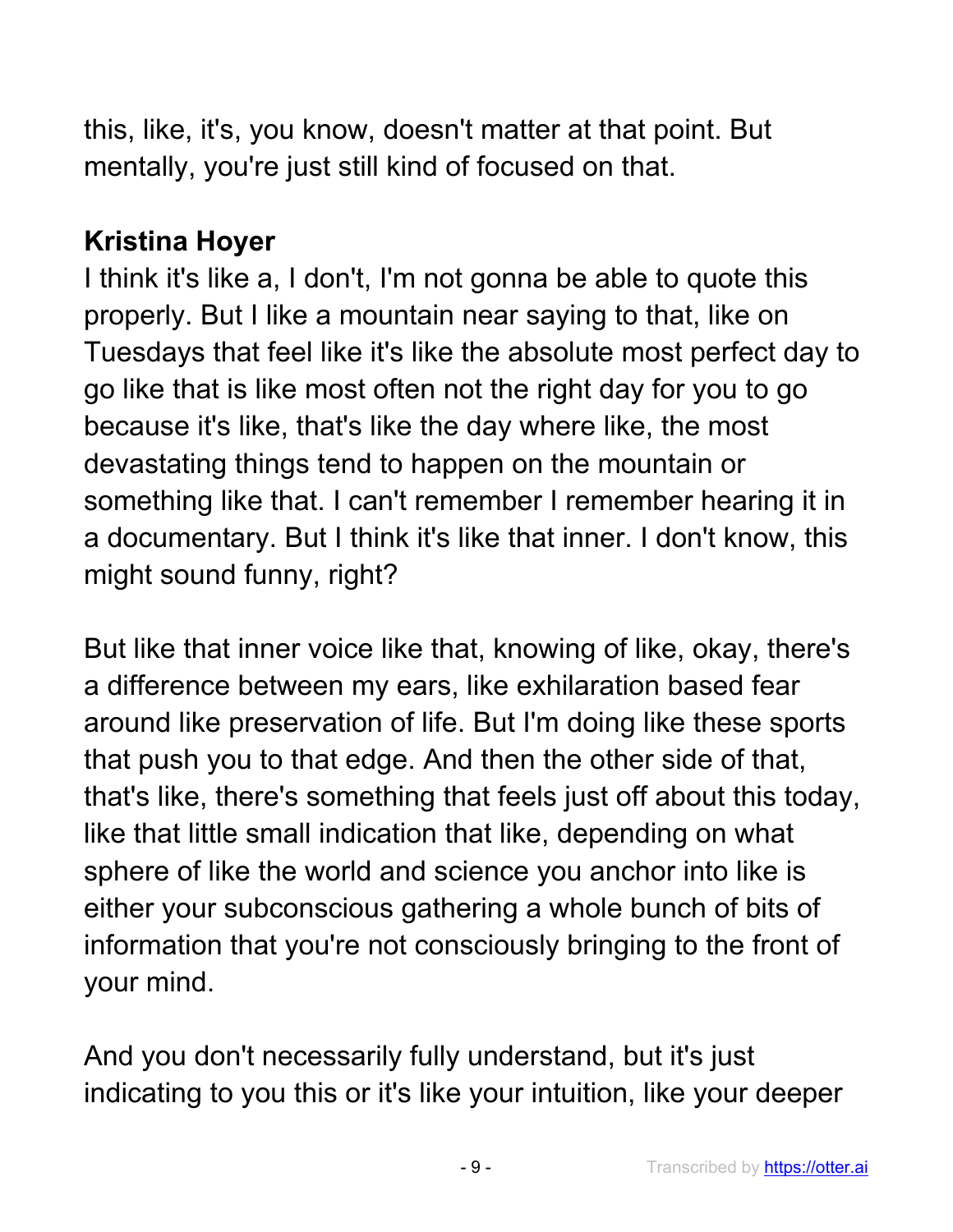this, like, it's, you know, doesn't matter at that point. But mentally, you're just still kind of focused on that.

## **Kristina Hoyer**

I think it's like a, I don't, I'm not gonna be able to quote this properly. But I like a mountain near saying to that, like on Tuesdays that feel like it's like the absolute most perfect day to go like that is like most often not the right day for you to go because it's like, that's like the day where like, the most devastating things tend to happen on the mountain or something like that. I can't remember I remember hearing it in a documentary. But I think it's like that inner. I don't know, this might sound funny, right?

But like that inner voice like that, knowing of like, okay, there's a difference between my ears, like exhilaration based fear around like preservation of life. But I'm doing like these sports that push you to that edge. And then the other side of that, that's like, there's something that feels just off about this today, like that little small indication that like, depending on what sphere of like the world and science you anchor into like is either your subconscious gathering a whole bunch of bits of information that you're not consciously bringing to the front of your mind.

And you don't necessarily fully understand, but it's just indicating to you this or it's like your intuition, like your deeper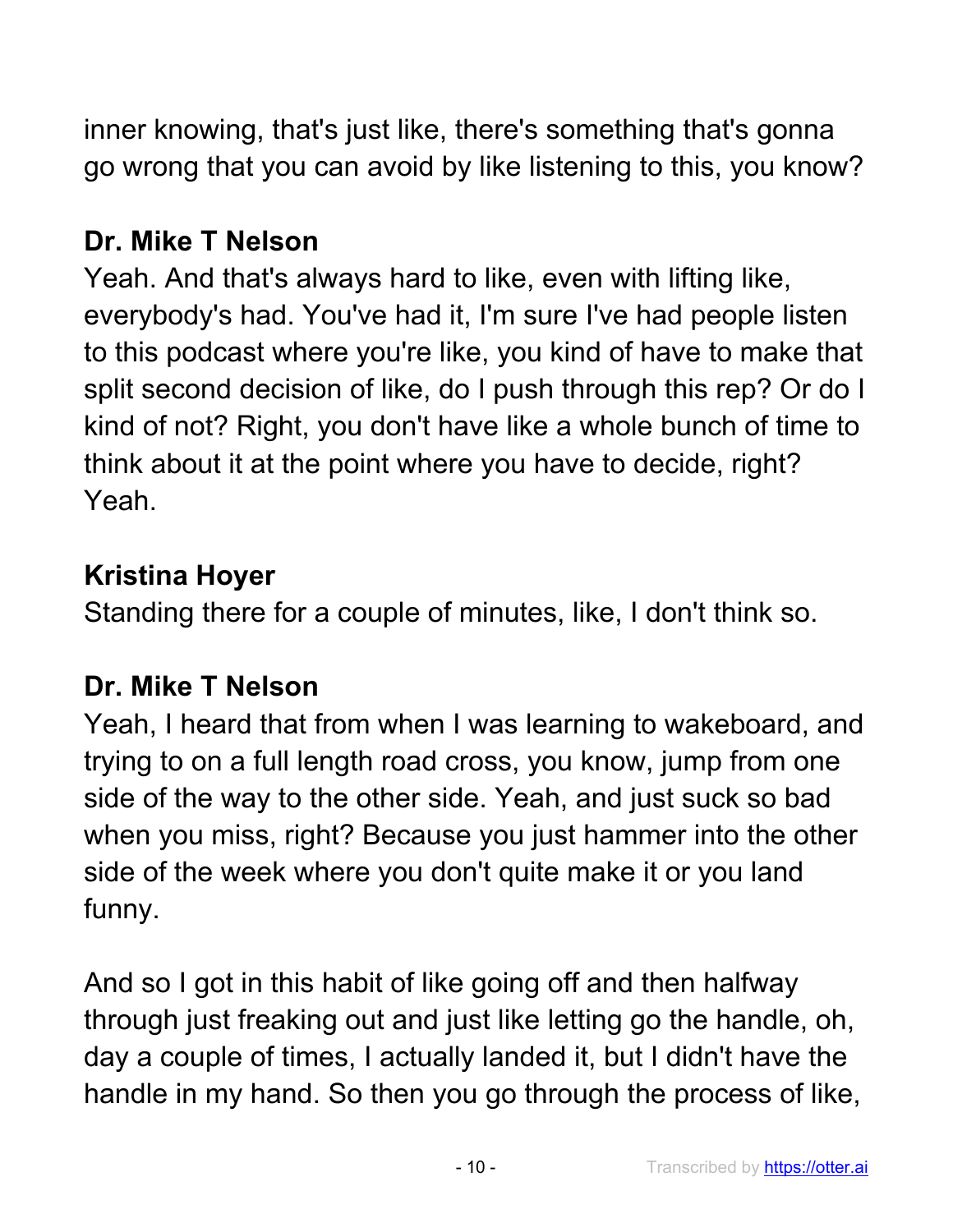inner knowing, that's just like, there's something that's gonna go wrong that you can avoid by like listening to this, you know?

## **Dr. Mike T Nelson**

Yeah. And that's always hard to like, even with lifting like, everybody's had. You've had it, I'm sure I've had people listen to this podcast where you're like, you kind of have to make that split second decision of like, do I push through this rep? Or do I kind of not? Right, you don't have like a whole bunch of time to think about it at the point where you have to decide, right? Yeah.

### **Kristina Hoyer**

Standing there for a couple of minutes, like, I don't think so.

#### **Dr. Mike T Nelson**

Yeah, I heard that from when I was learning to wakeboard, and trying to on a full length road cross, you know, jump from one side of the way to the other side. Yeah, and just suck so bad when you miss, right? Because you just hammer into the other side of the week where you don't quite make it or you land funny.

And so I got in this habit of like going off and then halfway through just freaking out and just like letting go the handle, oh, day a couple of times, I actually landed it, but I didn't have the handle in my hand. So then you go through the process of like,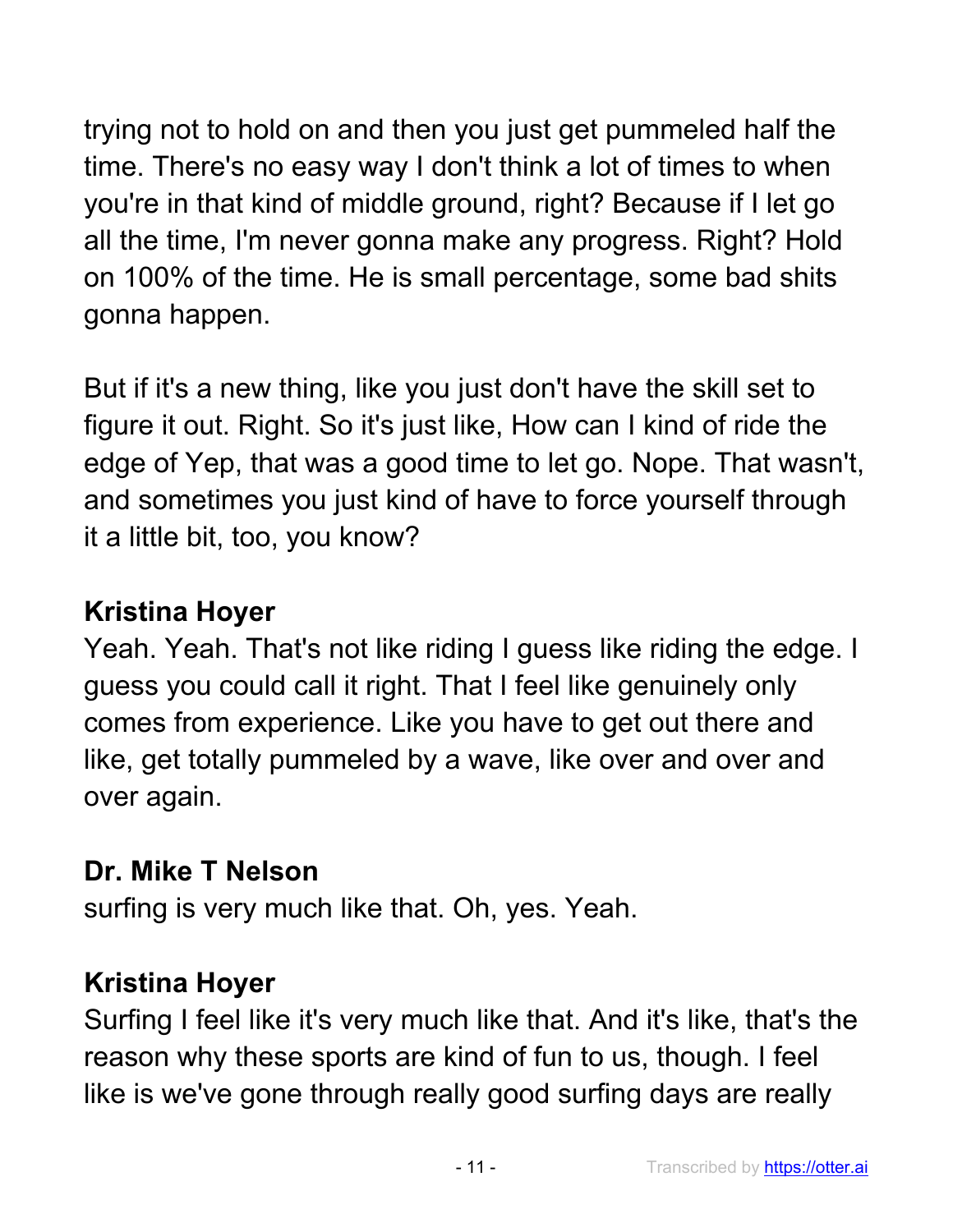trying not to hold on and then you just get pummeled half the time. There's no easy way I don't think a lot of times to when you're in that kind of middle ground, right? Because if I let go all the time, I'm never gonna make any progress. Right? Hold on 100% of the time. He is small percentage, some bad shits gonna happen.

But if it's a new thing, like you just don't have the skill set to figure it out. Right. So it's just like, How can I kind of ride the edge of Yep, that was a good time to let go. Nope. That wasn't, and sometimes you just kind of have to force yourself through it a little bit, too, you know?

## **Kristina Hoyer**

Yeah. Yeah. That's not like riding I guess like riding the edge. I guess you could call it right. That I feel like genuinely only comes from experience. Like you have to get out there and like, get totally pummeled by a wave, like over and over and over again.

#### **Dr. Mike T Nelson**

surfing is very much like that. Oh, yes. Yeah.

## **Kristina Hoyer**

Surfing I feel like it's very much like that. And it's like, that's the reason why these sports are kind of fun to us, though. I feel like is we've gone through really good surfing days are really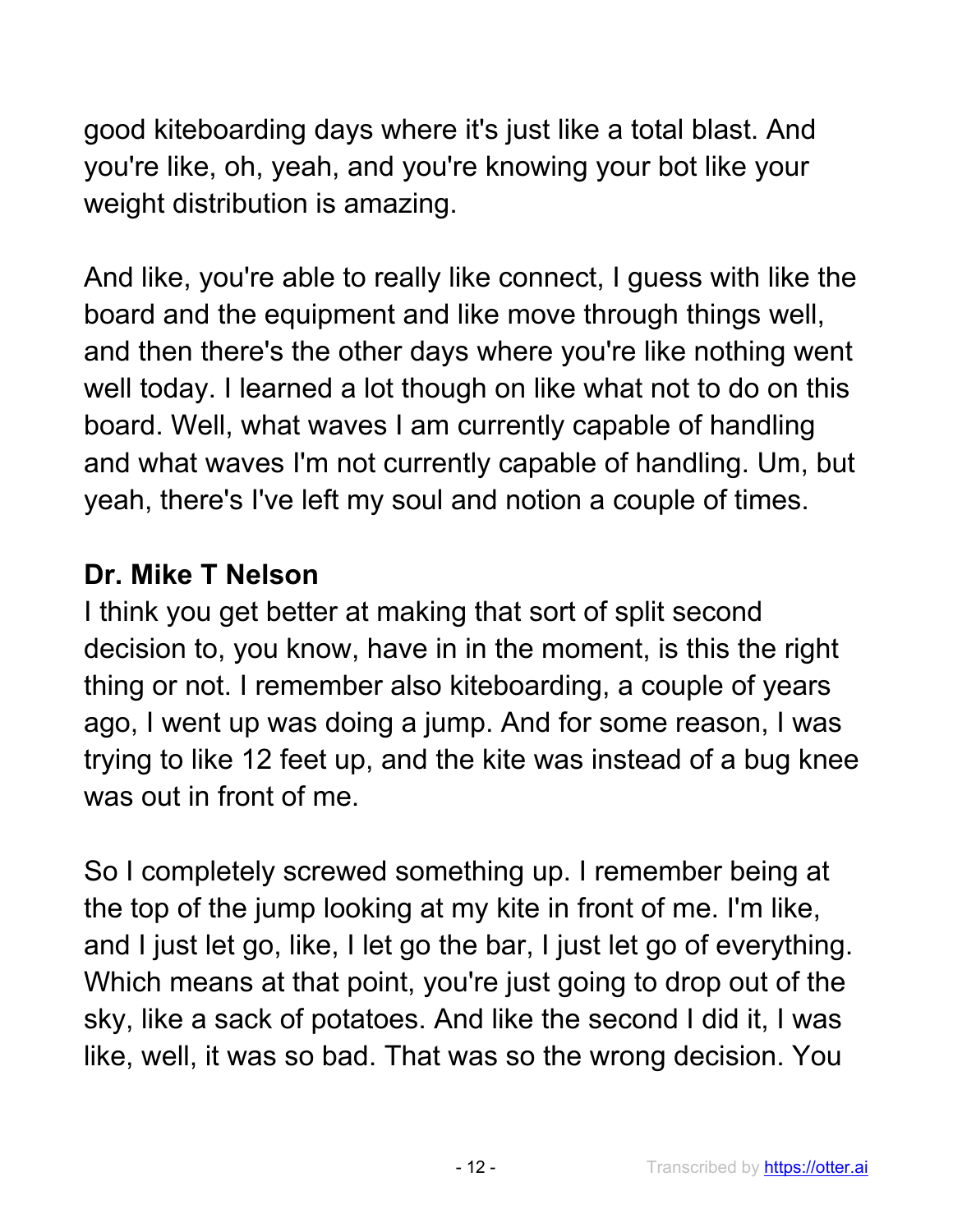good kiteboarding days where it's just like a total blast. And you're like, oh, yeah, and you're knowing your bot like your weight distribution is amazing.

And like, you're able to really like connect, I guess with like the board and the equipment and like move through things well, and then there's the other days where you're like nothing went well today. I learned a lot though on like what not to do on this board. Well, what waves I am currently capable of handling and what waves I'm not currently capable of handling. Um, but yeah, there's I've left my soul and notion a couple of times.

## **Dr. Mike T Nelson**

I think you get better at making that sort of split second decision to, you know, have in in the moment, is this the right thing or not. I remember also kiteboarding, a couple of years ago, I went up was doing a jump. And for some reason, I was trying to like 12 feet up, and the kite was instead of a bug knee was out in front of me.

So I completely screwed something up. I remember being at the top of the jump looking at my kite in front of me. I'm like, and I just let go, like, I let go the bar, I just let go of everything. Which means at that point, you're just going to drop out of the sky, like a sack of potatoes. And like the second I did it, I was like, well, it was so bad. That was so the wrong decision. You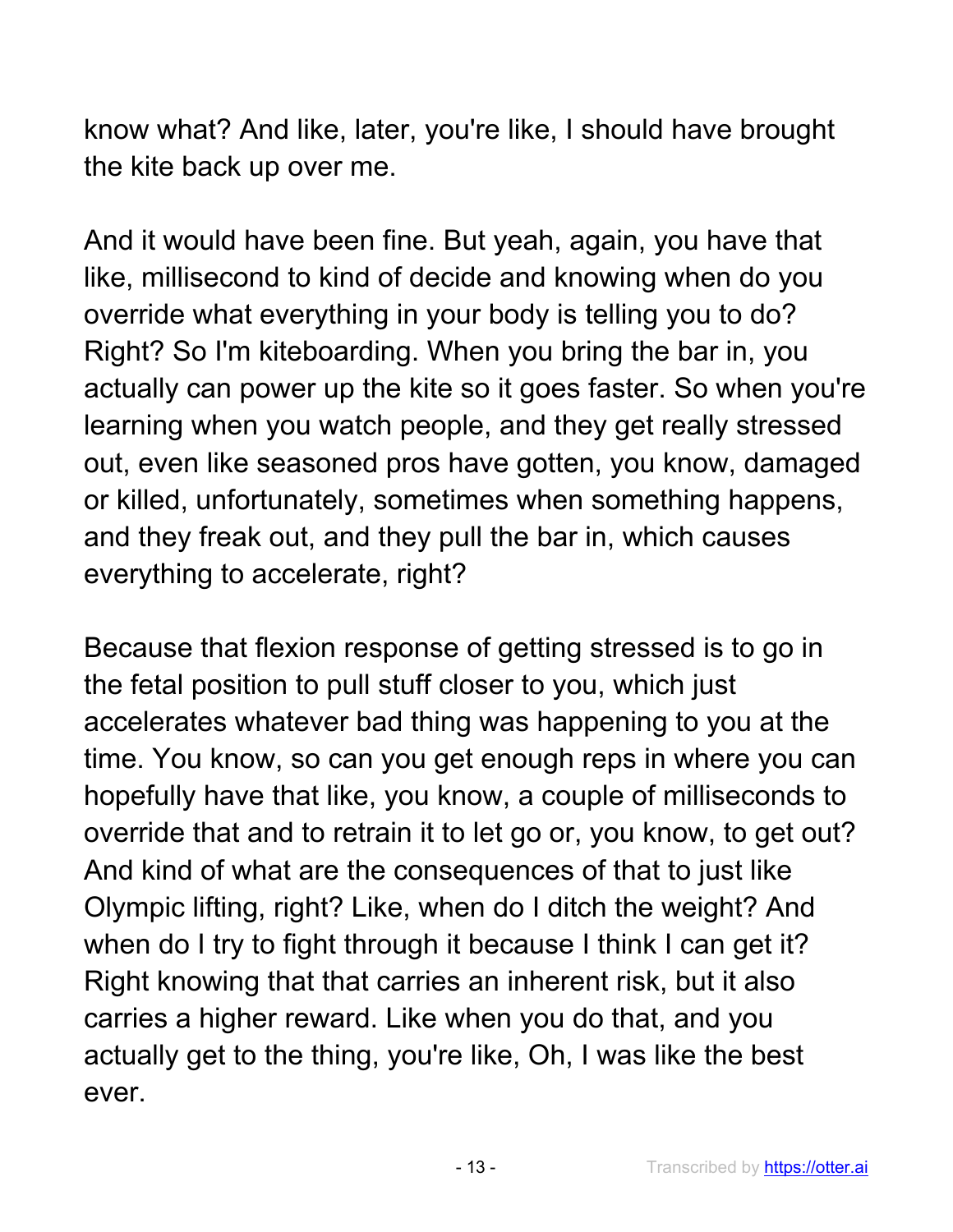know what? And like, later, you're like, I should have brought the kite back up over me.

And it would have been fine. But yeah, again, you have that like, millisecond to kind of decide and knowing when do you override what everything in your body is telling you to do? Right? So I'm kiteboarding. When you bring the bar in, you actually can power up the kite so it goes faster. So when you're learning when you watch people, and they get really stressed out, even like seasoned pros have gotten, you know, damaged or killed, unfortunately, sometimes when something happens, and they freak out, and they pull the bar in, which causes everything to accelerate, right?

Because that flexion response of getting stressed is to go in the fetal position to pull stuff closer to you, which just accelerates whatever bad thing was happening to you at the time. You know, so can you get enough reps in where you can hopefully have that like, you know, a couple of milliseconds to override that and to retrain it to let go or, you know, to get out? And kind of what are the consequences of that to just like Olympic lifting, right? Like, when do I ditch the weight? And when do I try to fight through it because I think I can get it? Right knowing that that carries an inherent risk, but it also carries a higher reward. Like when you do that, and you actually get to the thing, you're like, Oh, I was like the best ever.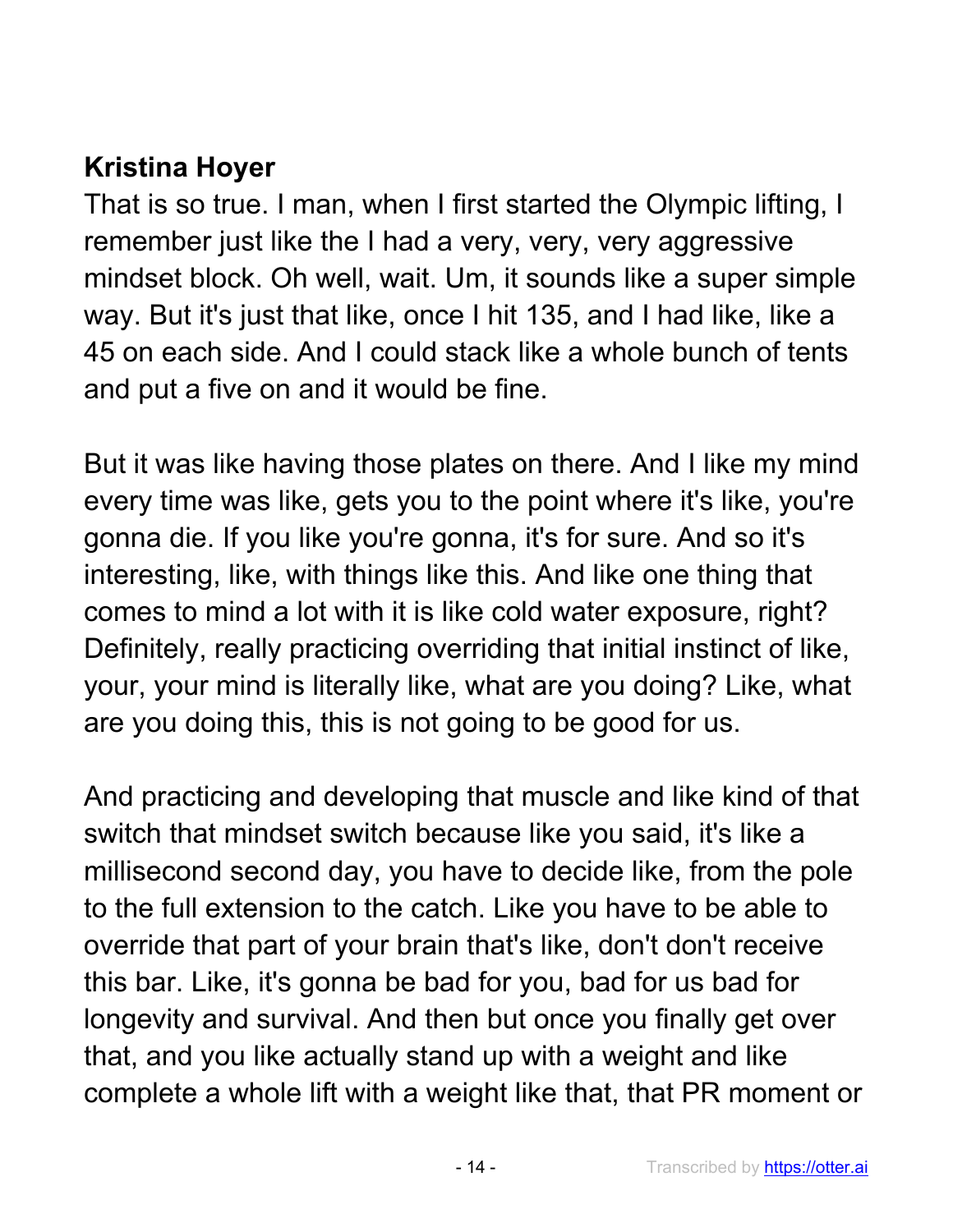## **Kristina Hoyer**

That is so true. I man, when I first started the Olympic lifting, I remember just like the I had a very, very, very aggressive mindset block. Oh well, wait. Um, it sounds like a super simple way. But it's just that like, once I hit 135, and I had like, like a 45 on each side. And I could stack like a whole bunch of tents and put a five on and it would be fine.

But it was like having those plates on there. And I like my mind every time was like, gets you to the point where it's like, you're gonna die. If you like you're gonna, it's for sure. And so it's interesting, like, with things like this. And like one thing that comes to mind a lot with it is like cold water exposure, right? Definitely, really practicing overriding that initial instinct of like, your, your mind is literally like, what are you doing? Like, what are you doing this, this is not going to be good for us.

And practicing and developing that muscle and like kind of that switch that mindset switch because like you said, it's like a millisecond second day, you have to decide like, from the pole to the full extension to the catch. Like you have to be able to override that part of your brain that's like, don't don't receive this bar. Like, it's gonna be bad for you, bad for us bad for longevity and survival. And then but once you finally get over that, and you like actually stand up with a weight and like complete a whole lift with a weight like that, that PR moment or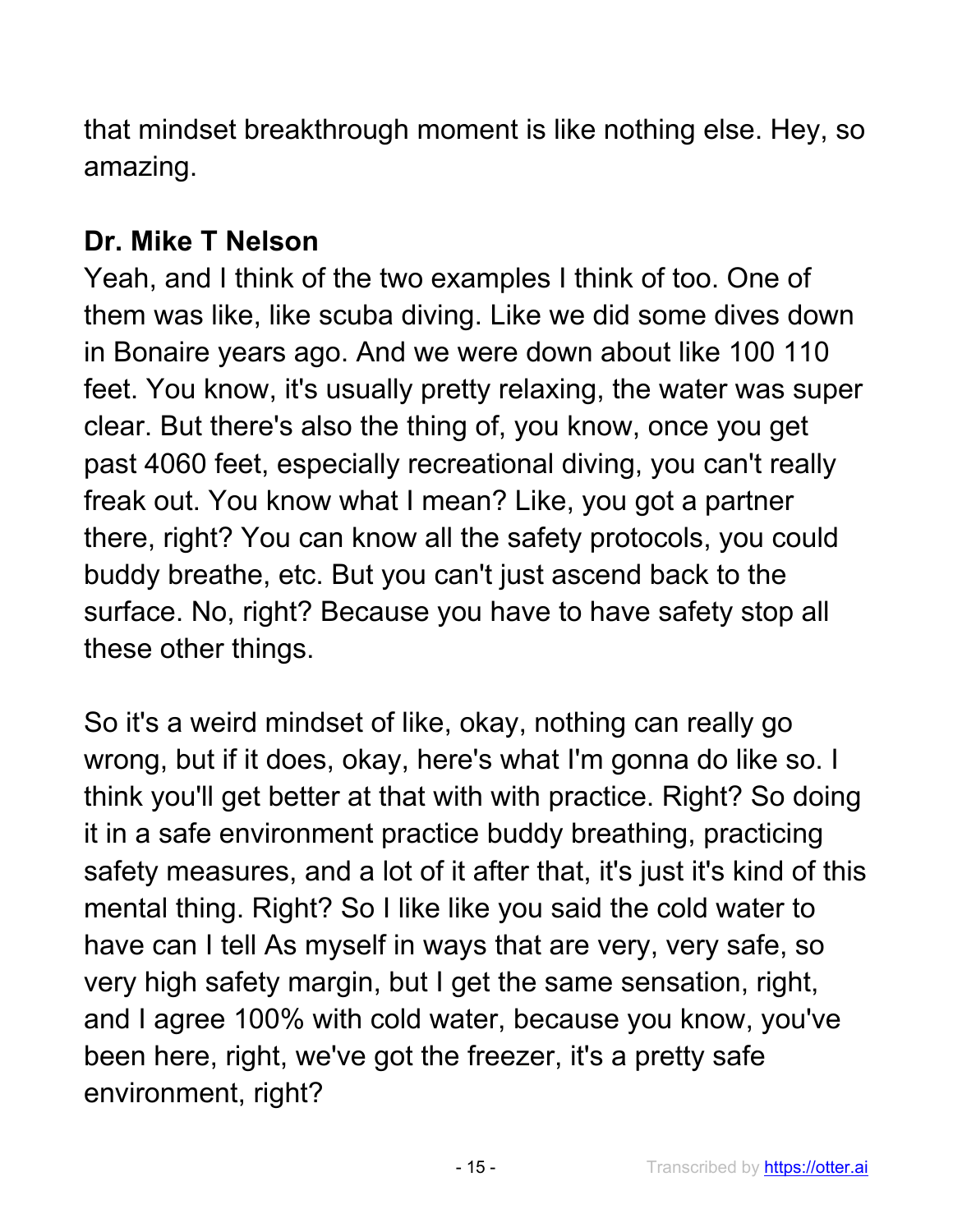that mindset breakthrough moment is like nothing else. Hey, so amazing.

## **Dr. Mike T Nelson**

Yeah, and I think of the two examples I think of too. One of them was like, like scuba diving. Like we did some dives down in Bonaire years ago. And we were down about like 100 110 feet. You know, it's usually pretty relaxing, the water was super clear. But there's also the thing of, you know, once you get past 4060 feet, especially recreational diving, you can't really freak out. You know what I mean? Like, you got a partner there, right? You can know all the safety protocols, you could buddy breathe, etc. But you can't just ascend back to the surface. No, right? Because you have to have safety stop all these other things.

So it's a weird mindset of like, okay, nothing can really go wrong, but if it does, okay, here's what I'm gonna do like so. I think you'll get better at that with with practice. Right? So doing it in a safe environment practice buddy breathing, practicing safety measures, and a lot of it after that, it's just it's kind of this mental thing. Right? So I like like you said the cold water to have can I tell As myself in ways that are very, very safe, so very high safety margin, but I get the same sensation, right, and I agree 100% with cold water, because you know, you've been here, right, we've got the freezer, it's a pretty safe environment, right?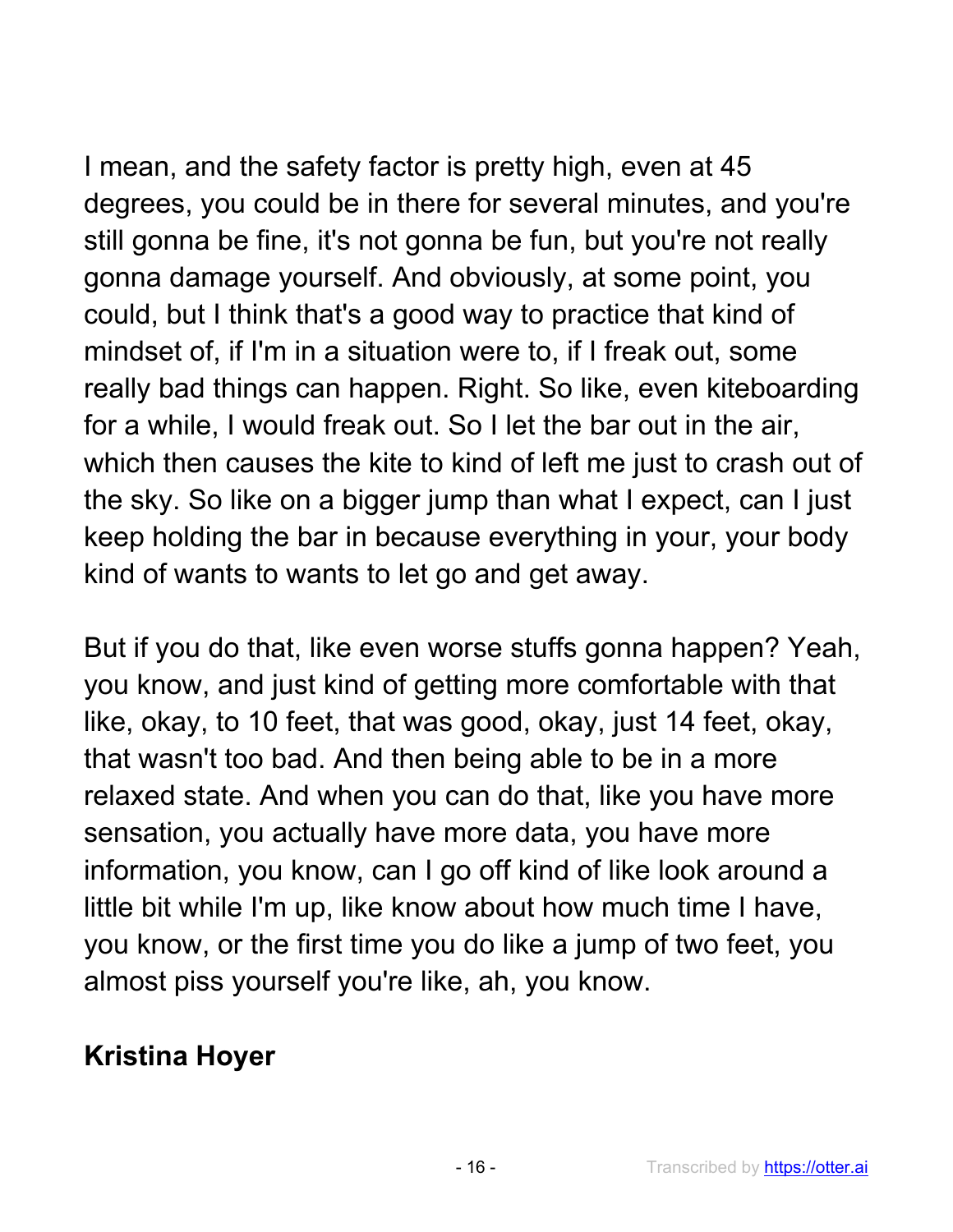I mean, and the safety factor is pretty high, even at 45 degrees, you could be in there for several minutes, and you're still gonna be fine, it's not gonna be fun, but you're not really gonna damage yourself. And obviously, at some point, you could, but I think that's a good way to practice that kind of mindset of, if I'm in a situation were to, if I freak out, some really bad things can happen. Right. So like, even kiteboarding for a while, I would freak out. So I let the bar out in the air, which then causes the kite to kind of left me just to crash out of the sky. So like on a bigger jump than what I expect, can I just keep holding the bar in because everything in your, your body kind of wants to wants to let go and get away.

But if you do that, like even worse stuffs gonna happen? Yeah, you know, and just kind of getting more comfortable with that like, okay, to 10 feet, that was good, okay, just 14 feet, okay, that wasn't too bad. And then being able to be in a more relaxed state. And when you can do that, like you have more sensation, you actually have more data, you have more information, you know, can I go off kind of like look around a little bit while I'm up, like know about how much time I have, you know, or the first time you do like a jump of two feet, you almost piss yourself you're like, ah, you know.

## **Kristina Hoyer**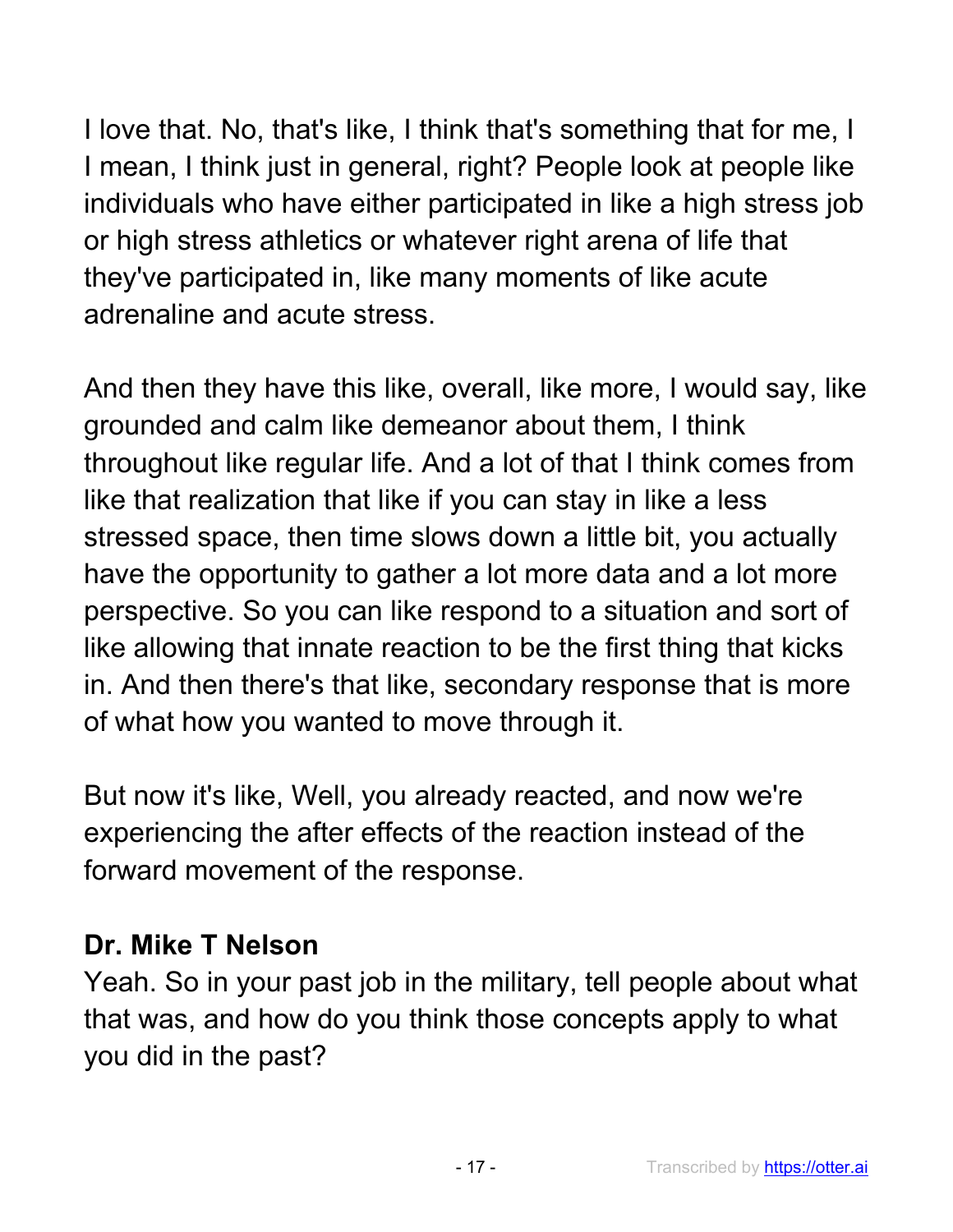I love that. No, that's like, I think that's something that for me, I I mean, I think just in general, right? People look at people like individuals who have either participated in like a high stress job or high stress athletics or whatever right arena of life that they've participated in, like many moments of like acute adrenaline and acute stress.

And then they have this like, overall, like more, I would say, like grounded and calm like demeanor about them, I think throughout like regular life. And a lot of that I think comes from like that realization that like if you can stay in like a less stressed space, then time slows down a little bit, you actually have the opportunity to gather a lot more data and a lot more perspective. So you can like respond to a situation and sort of like allowing that innate reaction to be the first thing that kicks in. And then there's that like, secondary response that is more of what how you wanted to move through it.

But now it's like, Well, you already reacted, and now we're experiencing the after effects of the reaction instead of the forward movement of the response.

## **Dr. Mike T Nelson**

Yeah. So in your past job in the military, tell people about what that was, and how do you think those concepts apply to what you did in the past?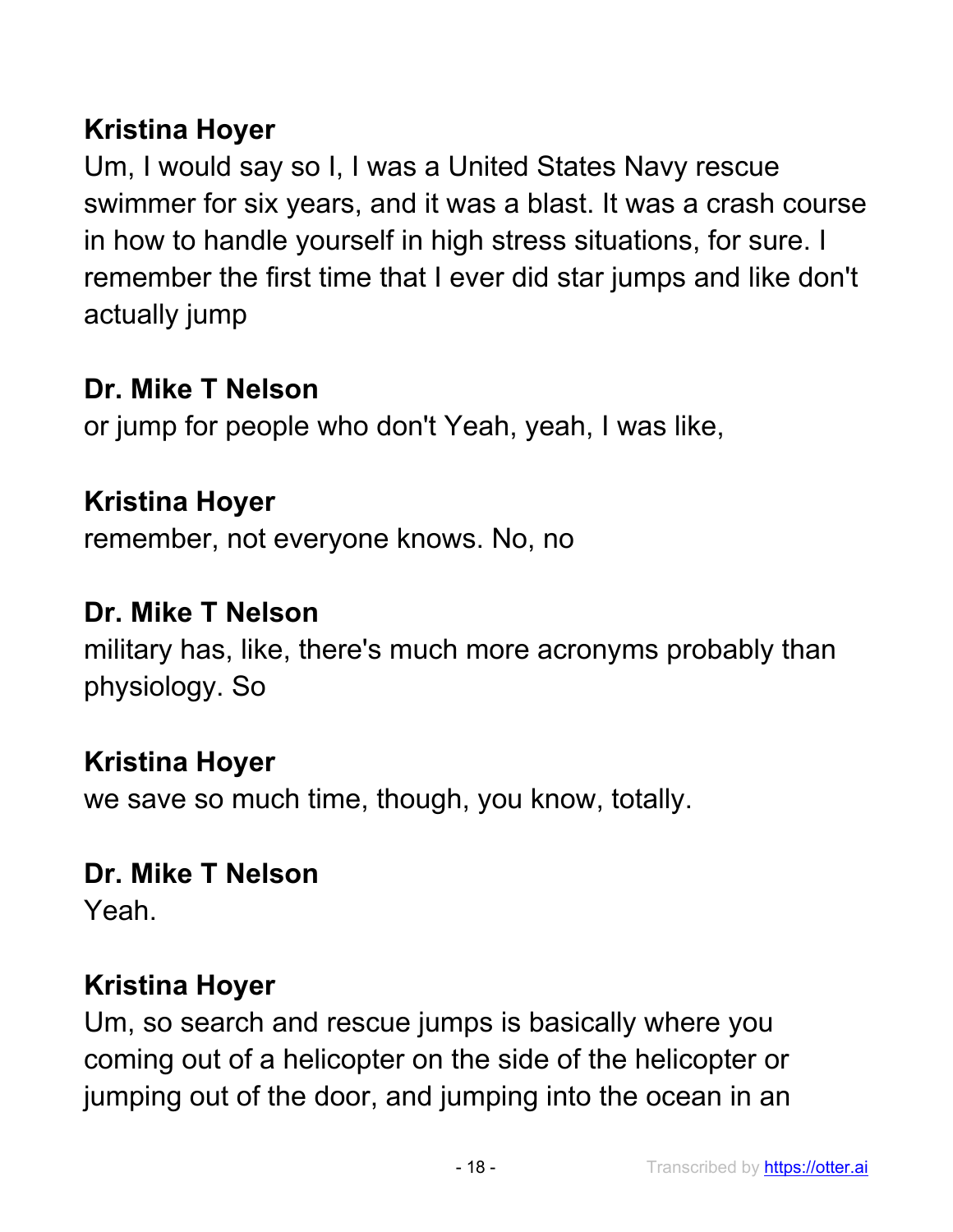## **Kristina Hoyer**

Um, I would say so I, I was a United States Navy rescue swimmer for six years, and it was a blast. It was a crash course in how to handle yourself in high stress situations, for sure. I remember the first time that I ever did star jumps and like don't actually jump

#### **Dr. Mike T Nelson**

or jump for people who don't Yeah, yeah, I was like,

## **Kristina Hoyer**

remember, not everyone knows. No, no

#### **Dr. Mike T Nelson**

military has, like, there's much more acronyms probably than physiology. So

#### **Kristina Hoyer**

we save so much time, though, you know, totally.

#### **Dr. Mike T Nelson**

Yeah.

#### **Kristina Hoyer**

Um, so search and rescue jumps is basically where you coming out of a helicopter on the side of the helicopter or jumping out of the door, and jumping into the ocean in an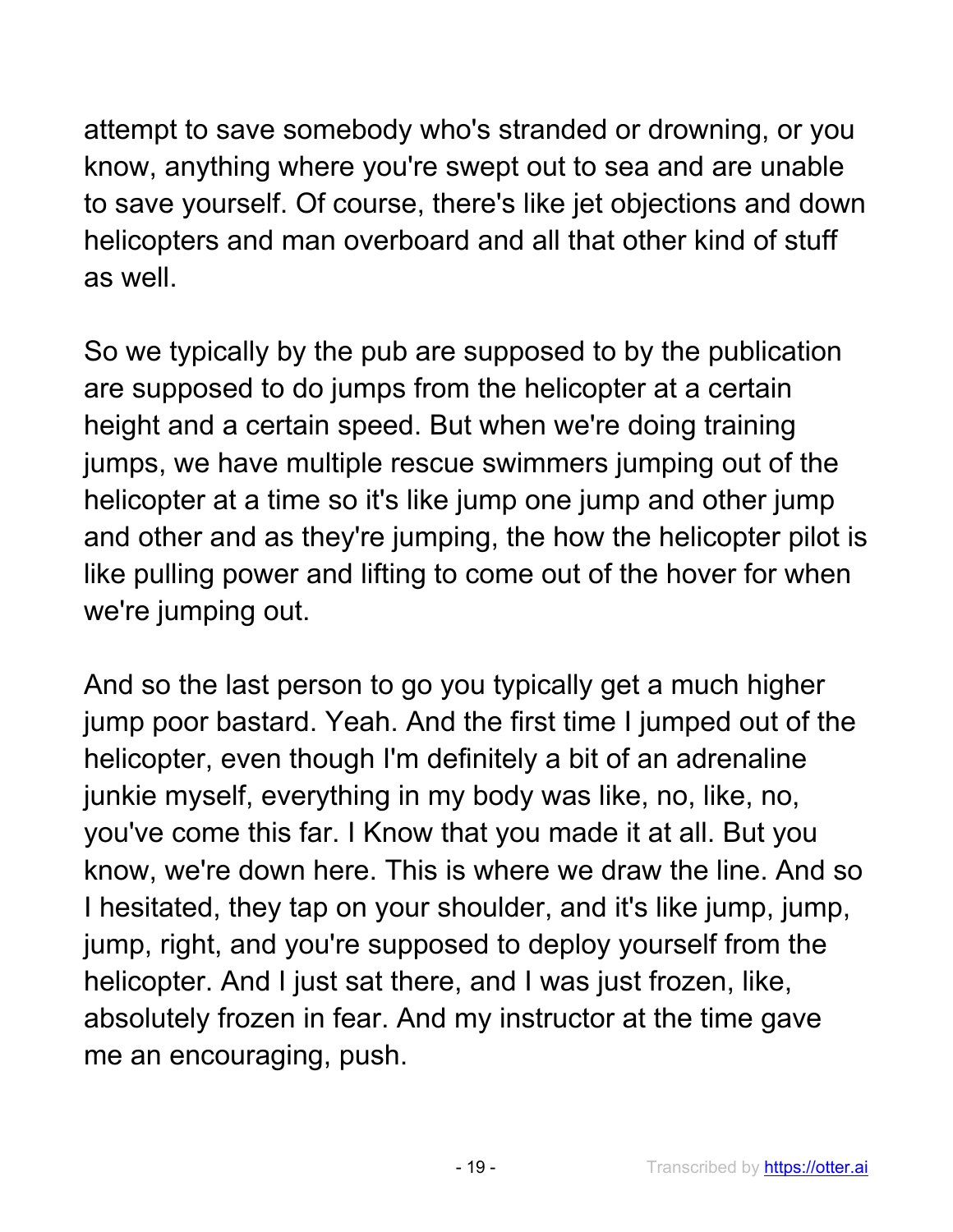attempt to save somebody who's stranded or drowning, or you know, anything where you're swept out to sea and are unable to save yourself. Of course, there's like jet objections and down helicopters and man overboard and all that other kind of stuff as well.

So we typically by the pub are supposed to by the publication are supposed to do jumps from the helicopter at a certain height and a certain speed. But when we're doing training jumps, we have multiple rescue swimmers jumping out of the helicopter at a time so it's like jump one jump and other jump and other and as they're jumping, the how the helicopter pilot is like pulling power and lifting to come out of the hover for when we're jumping out.

And so the last person to go you typically get a much higher jump poor bastard. Yeah. And the first time I jumped out of the helicopter, even though I'm definitely a bit of an adrenaline junkie myself, everything in my body was like, no, like, no, you've come this far. I Know that you made it at all. But you know, we're down here. This is where we draw the line. And so I hesitated, they tap on your shoulder, and it's like jump, jump, jump, right, and you're supposed to deploy yourself from the helicopter. And I just sat there, and I was just frozen, like, absolutely frozen in fear. And my instructor at the time gave me an encouraging, push.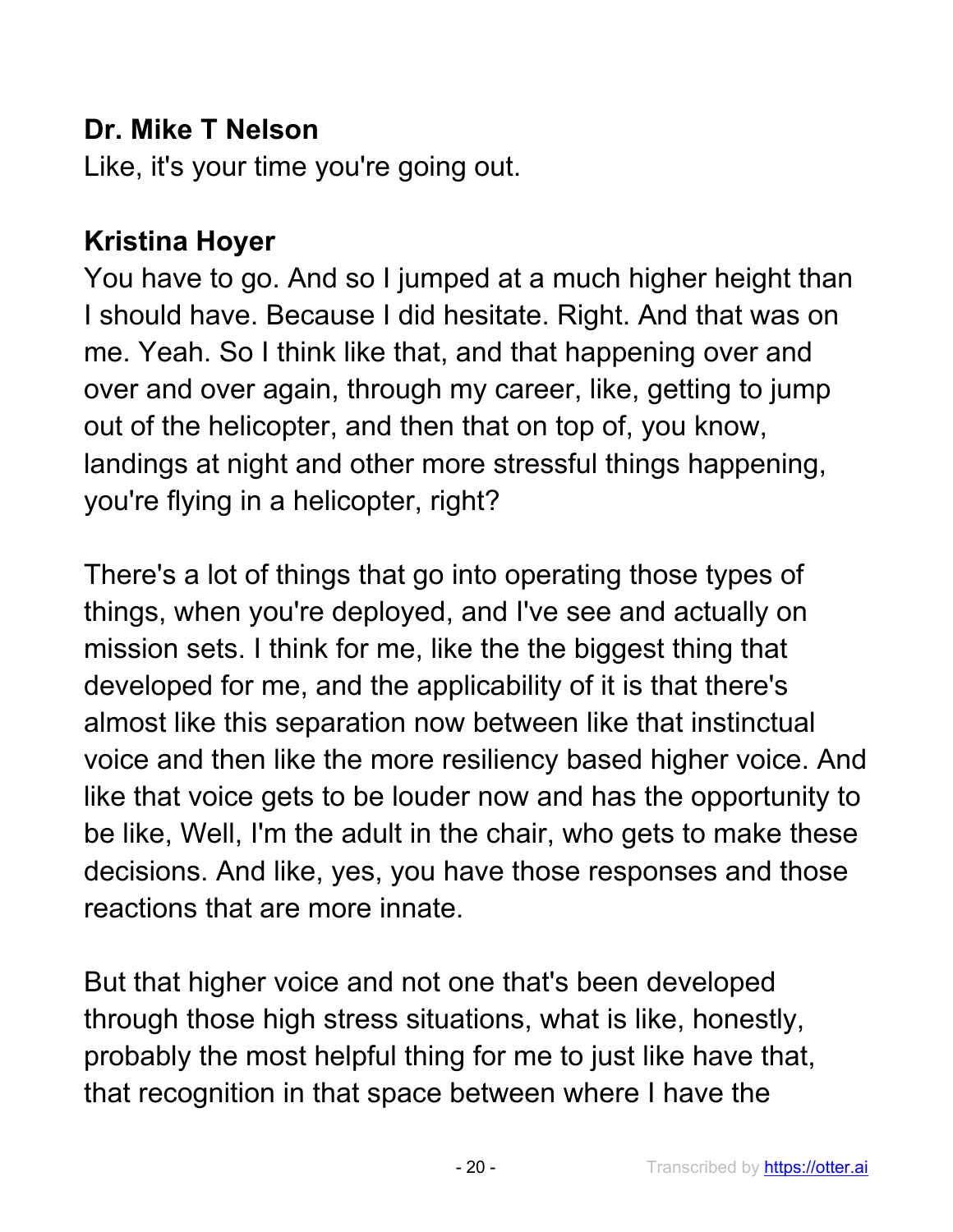### **Dr. Mike T Nelson**

Like, it's your time you're going out.

## **Kristina Hoyer**

You have to go. And so I jumped at a much higher height than I should have. Because I did hesitate. Right. And that was on me. Yeah. So I think like that, and that happening over and over and over again, through my career, like, getting to jump out of the helicopter, and then that on top of, you know, landings at night and other more stressful things happening, you're flying in a helicopter, right?

There's a lot of things that go into operating those types of things, when you're deployed, and I've see and actually on mission sets. I think for me, like the the biggest thing that developed for me, and the applicability of it is that there's almost like this separation now between like that instinctual voice and then like the more resiliency based higher voice. And like that voice gets to be louder now and has the opportunity to be like, Well, I'm the adult in the chair, who gets to make these decisions. And like, yes, you have those responses and those reactions that are more innate.

But that higher voice and not one that's been developed through those high stress situations, what is like, honestly, probably the most helpful thing for me to just like have that, that recognition in that space between where I have the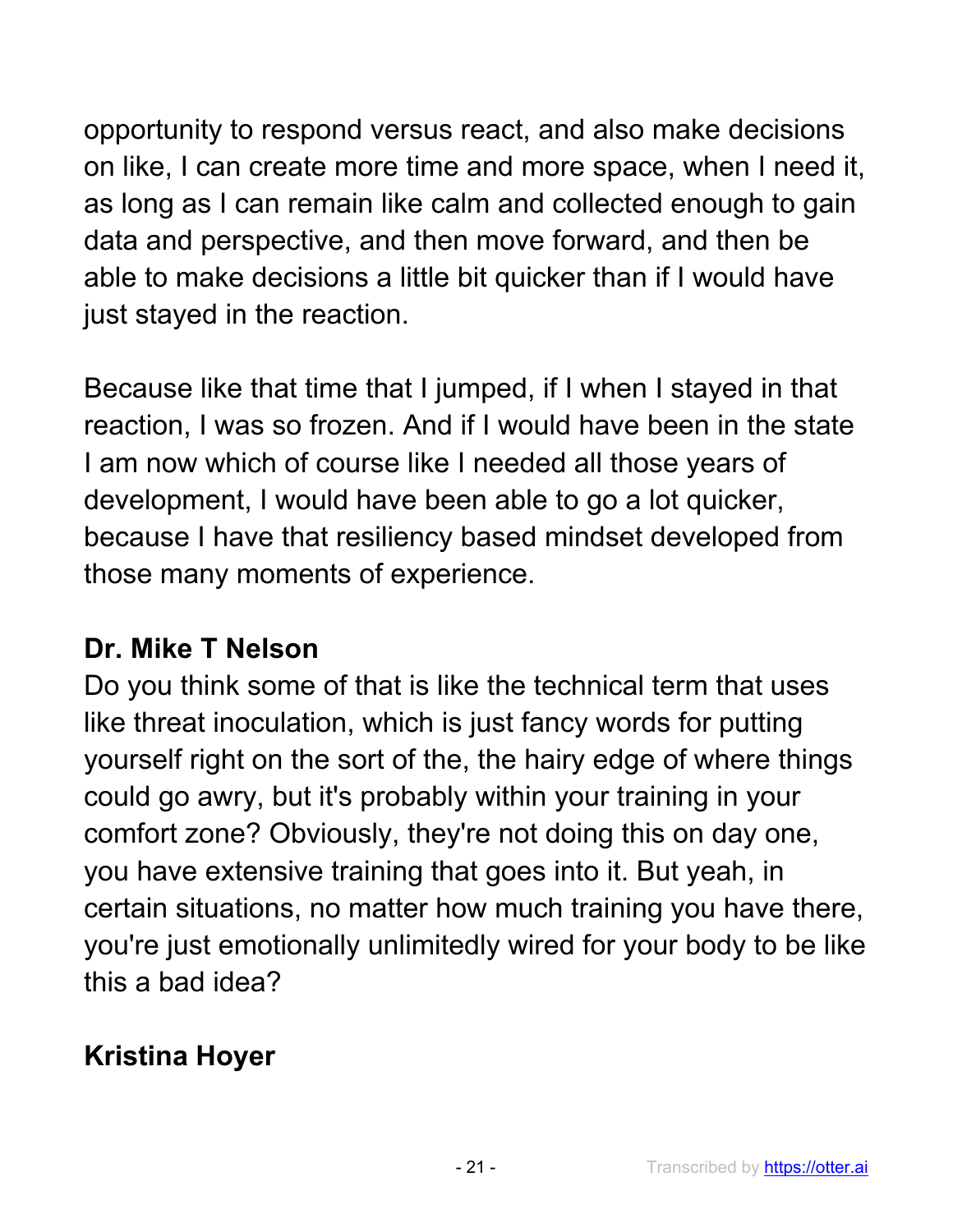opportunity to respond versus react, and also make decisions on like, I can create more time and more space, when I need it, as long as I can remain like calm and collected enough to gain data and perspective, and then move forward, and then be able to make decisions a little bit quicker than if I would have just stayed in the reaction.

Because like that time that I jumped, if I when I stayed in that reaction, I was so frozen. And if I would have been in the state I am now which of course like I needed all those years of development, I would have been able to go a lot quicker, because I have that resiliency based mindset developed from those many moments of experience.

#### **Dr. Mike T Nelson**

Do you think some of that is like the technical term that uses like threat inoculation, which is just fancy words for putting yourself right on the sort of the, the hairy edge of where things could go awry, but it's probably within your training in your comfort zone? Obviously, they're not doing this on day one, you have extensive training that goes into it. But yeah, in certain situations, no matter how much training you have there, you're just emotionally unlimitedly wired for your body to be like this a bad idea?

# **Kristina Hoyer**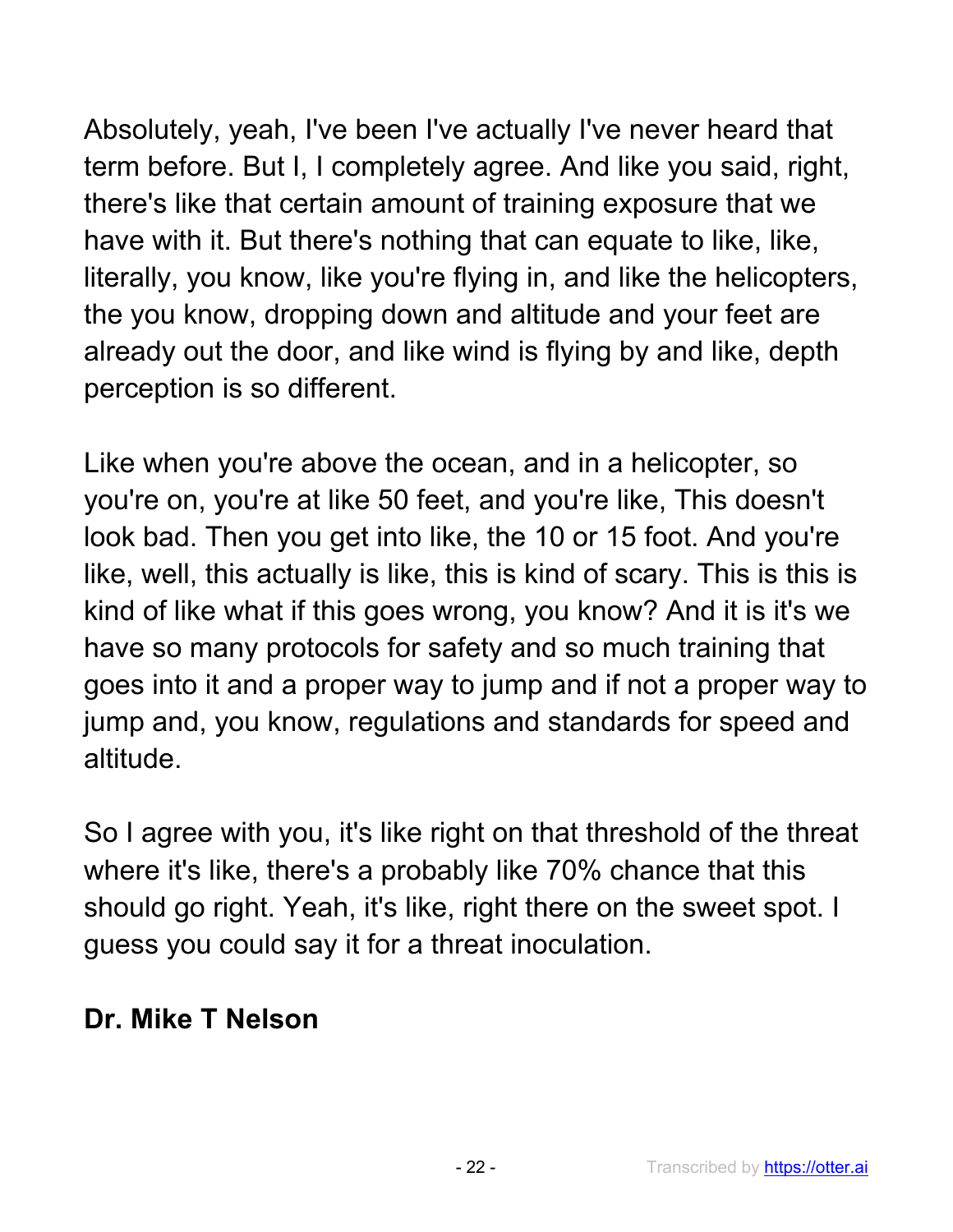Absolutely, yeah, I've been I've actually I've never heard that term before. But I, I completely agree. And like you said, right, there's like that certain amount of training exposure that we have with it. But there's nothing that can equate to like, like, literally, you know, like you're flying in, and like the helicopters, the you know, dropping down and altitude and your feet are already out the door, and like wind is flying by and like, depth perception is so different.

Like when you're above the ocean, and in a helicopter, so you're on, you're at like 50 feet, and you're like, This doesn't look bad. Then you get into like, the 10 or 15 foot. And you're like, well, this actually is like, this is kind of scary. This is this is kind of like what if this goes wrong, you know? And it is it's we have so many protocols for safety and so much training that goes into it and a proper way to jump and if not a proper way to jump and, you know, regulations and standards for speed and altitude.

So I agree with you, it's like right on that threshold of the threat where it's like, there's a probably like 70% chance that this should go right. Yeah, it's like, right there on the sweet spot. I guess you could say it for a threat inoculation.

#### **Dr. Mike T Nelson**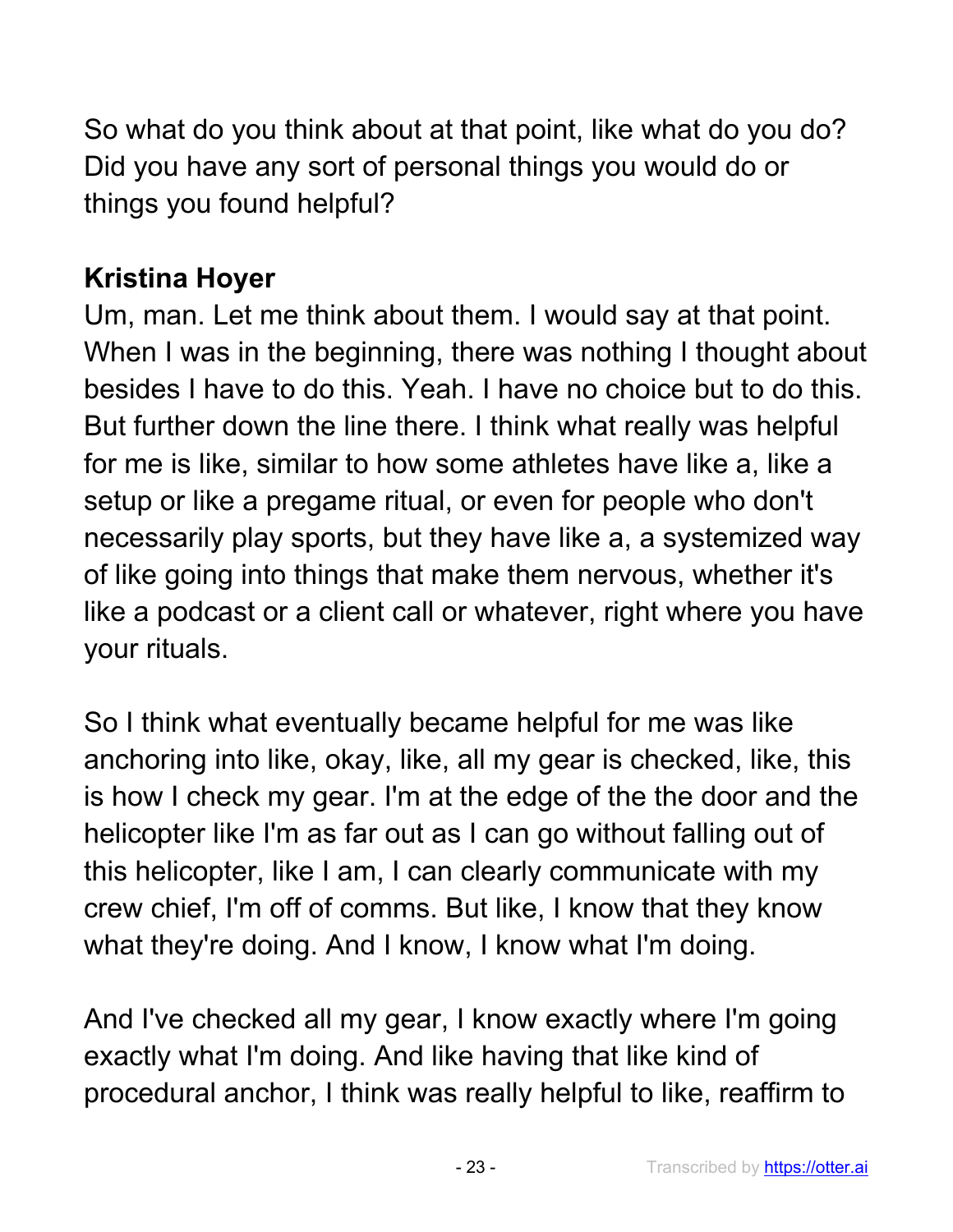So what do you think about at that point, like what do you do? Did you have any sort of personal things you would do or things you found helpful?

## **Kristina Hoyer**

Um, man. Let me think about them. I would say at that point. When I was in the beginning, there was nothing I thought about besides I have to do this. Yeah. I have no choice but to do this. But further down the line there. I think what really was helpful for me is like, similar to how some athletes have like a, like a setup or like a pregame ritual, or even for people who don't necessarily play sports, but they have like a, a systemized way of like going into things that make them nervous, whether it's like a podcast or a client call or whatever, right where you have your rituals.

So I think what eventually became helpful for me was like anchoring into like, okay, like, all my gear is checked, like, this is how I check my gear. I'm at the edge of the the door and the helicopter like I'm as far out as I can go without falling out of this helicopter, like I am, I can clearly communicate with my crew chief, I'm off of comms. But like, I know that they know what they're doing. And I know, I know what I'm doing.

And I've checked all my gear, I know exactly where I'm going exactly what I'm doing. And like having that like kind of procedural anchor, I think was really helpful to like, reaffirm to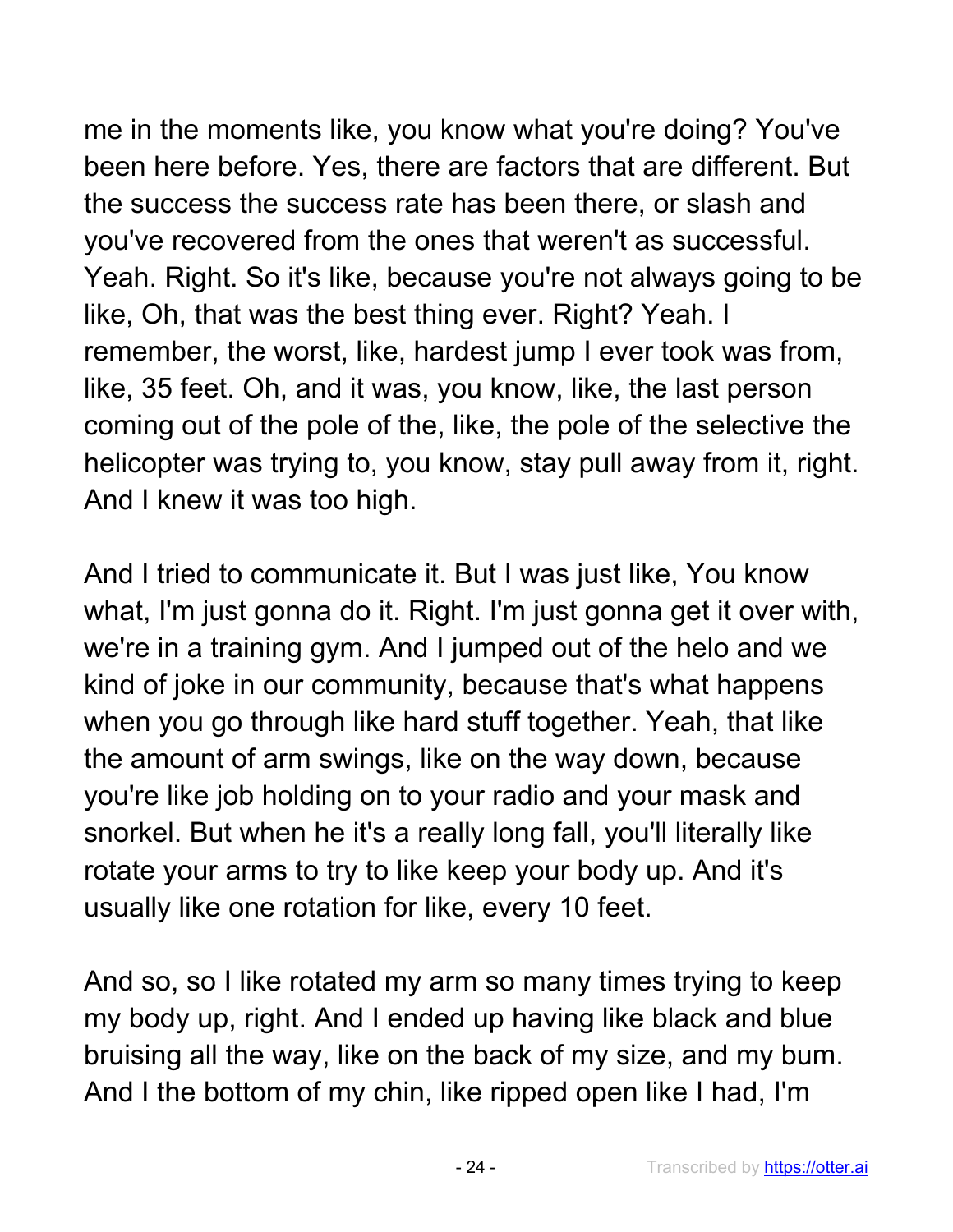me in the moments like, you know what you're doing? You've been here before. Yes, there are factors that are different. But the success the success rate has been there, or slash and you've recovered from the ones that weren't as successful. Yeah. Right. So it's like, because you're not always going to be like, Oh, that was the best thing ever. Right? Yeah. I remember, the worst, like, hardest jump I ever took was from, like, 35 feet. Oh, and it was, you know, like, the last person coming out of the pole of the, like, the pole of the selective the helicopter was trying to, you know, stay pull away from it, right. And I knew it was too high.

And I tried to communicate it. But I was just like, You know what, I'm just gonna do it. Right. I'm just gonna get it over with, we're in a training gym. And I jumped out of the helo and we kind of joke in our community, because that's what happens when you go through like hard stuff together. Yeah, that like the amount of arm swings, like on the way down, because you're like job holding on to your radio and your mask and snorkel. But when he it's a really long fall, you'll literally like rotate your arms to try to like keep your body up. And it's usually like one rotation for like, every 10 feet.

And so, so I like rotated my arm so many times trying to keep my body up, right. And I ended up having like black and blue bruising all the way, like on the back of my size, and my bum. And I the bottom of my chin, like ripped open like I had, I'm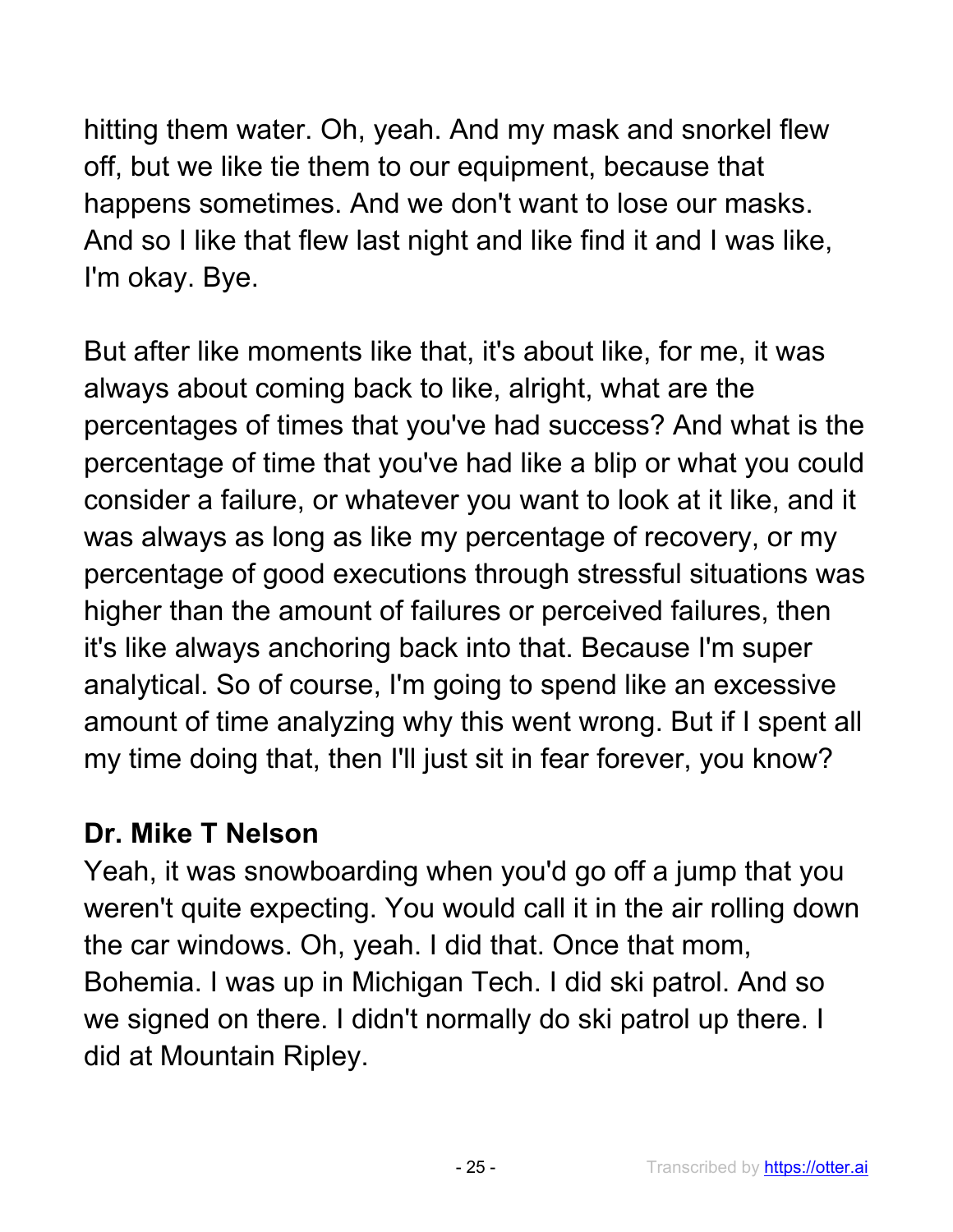hitting them water. Oh, yeah. And my mask and snorkel flew off, but we like tie them to our equipment, because that happens sometimes. And we don't want to lose our masks. And so I like that flew last night and like find it and I was like, I'm okay. Bye.

But after like moments like that, it's about like, for me, it was always about coming back to like, alright, what are the percentages of times that you've had success? And what is the percentage of time that you've had like a blip or what you could consider a failure, or whatever you want to look at it like, and it was always as long as like my percentage of recovery, or my percentage of good executions through stressful situations was higher than the amount of failures or perceived failures, then it's like always anchoring back into that. Because I'm super analytical. So of course, I'm going to spend like an excessive amount of time analyzing why this went wrong. But if I spent all my time doing that, then I'll just sit in fear forever, you know?

#### **Dr. Mike T Nelson**

Yeah, it was snowboarding when you'd go off a jump that you weren't quite expecting. You would call it in the air rolling down the car windows. Oh, yeah. I did that. Once that mom, Bohemia. I was up in Michigan Tech. I did ski patrol. And so we signed on there. I didn't normally do ski patrol up there. I did at Mountain Ripley.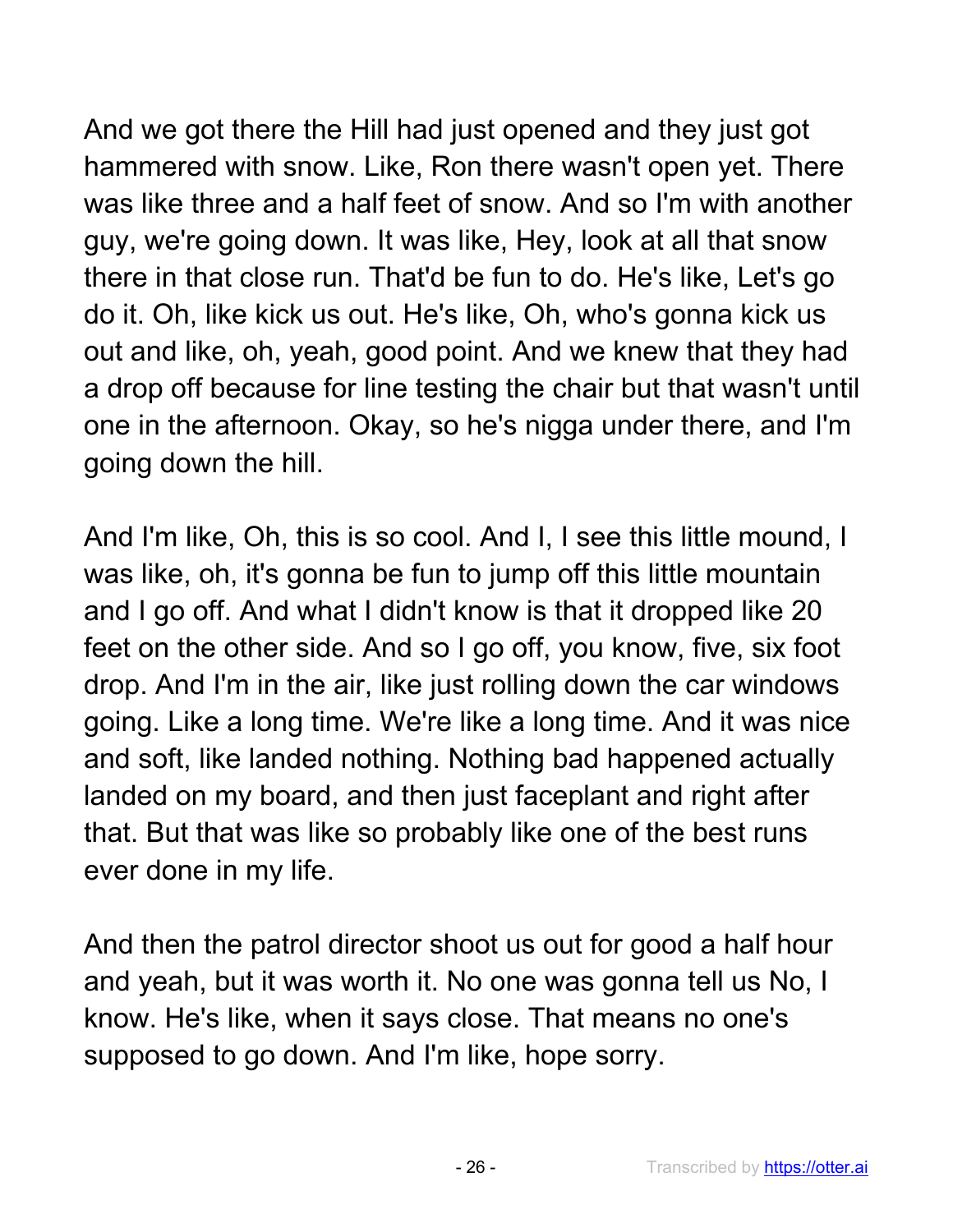And we got there the Hill had just opened and they just got hammered with snow. Like, Ron there wasn't open yet. There was like three and a half feet of snow. And so I'm with another guy, we're going down. It was like, Hey, look at all that snow there in that close run. That'd be fun to do. He's like, Let's go do it. Oh, like kick us out. He's like, Oh, who's gonna kick us out and like, oh, yeah, good point. And we knew that they had a drop off because for line testing the chair but that wasn't until one in the afternoon. Okay, so he's nigga under there, and I'm going down the hill.

And I'm like, Oh, this is so cool. And I, I see this little mound, I was like, oh, it's gonna be fun to jump off this little mountain and I go off. And what I didn't know is that it dropped like 20 feet on the other side. And so I go off, you know, five, six foot drop. And I'm in the air, like just rolling down the car windows going. Like a long time. We're like a long time. And it was nice and soft, like landed nothing. Nothing bad happened actually landed on my board, and then just faceplant and right after that. But that was like so probably like one of the best runs ever done in my life.

And then the patrol director shoot us out for good a half hour and yeah, but it was worth it. No one was gonna tell us No, I know. He's like, when it says close. That means no one's supposed to go down. And I'm like, hope sorry.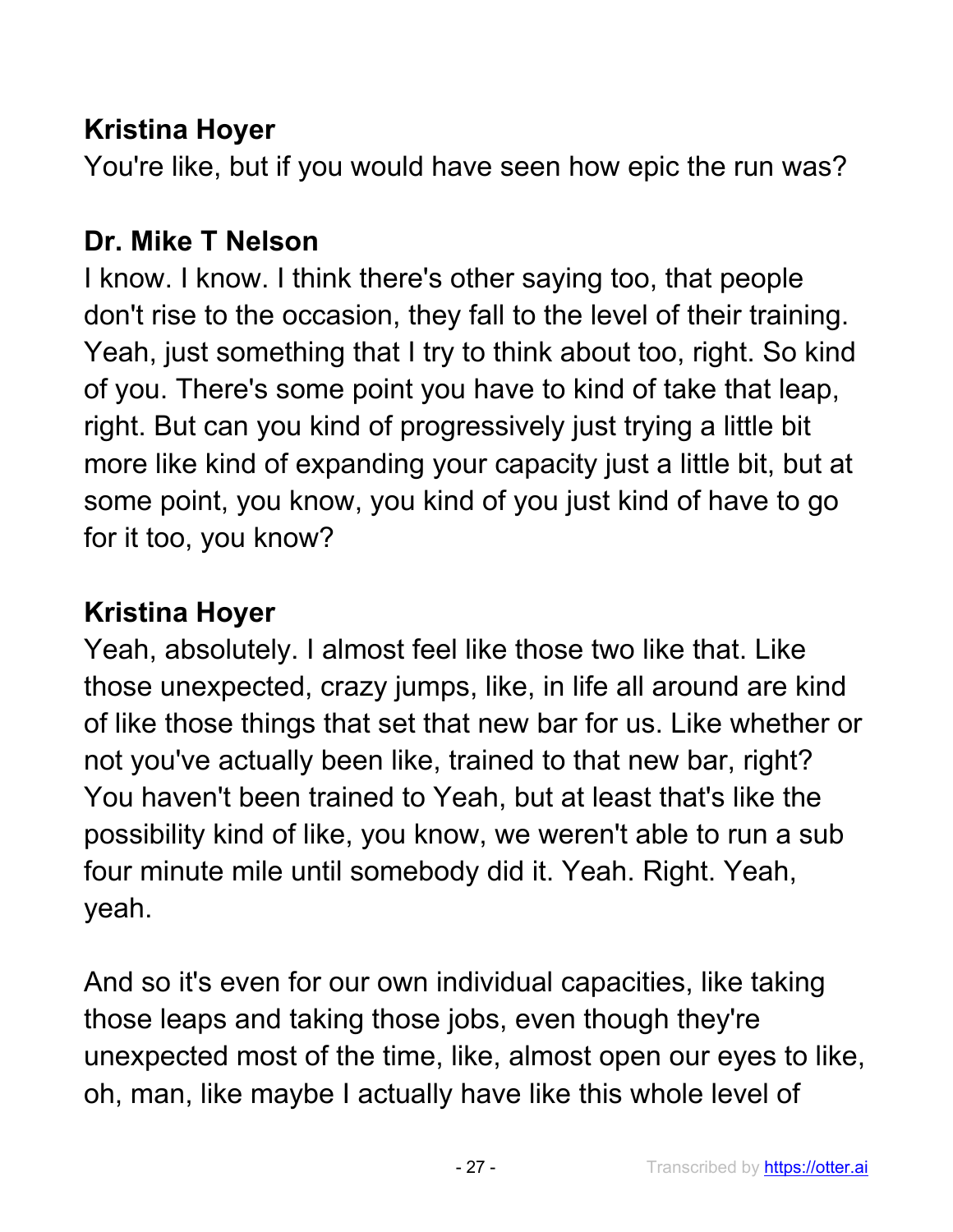## **Kristina Hoyer**

You're like, but if you would have seen how epic the run was?

## **Dr. Mike T Nelson**

I know. I know. I think there's other saying too, that people don't rise to the occasion, they fall to the level of their training. Yeah, just something that I try to think about too, right. So kind of you. There's some point you have to kind of take that leap, right. But can you kind of progressively just trying a little bit more like kind of expanding your capacity just a little bit, but at some point, you know, you kind of you just kind of have to go for it too, you know?

## **Kristina Hoyer**

Yeah, absolutely. I almost feel like those two like that. Like those unexpected, crazy jumps, like, in life all around are kind of like those things that set that new bar for us. Like whether or not you've actually been like, trained to that new bar, right? You haven't been trained to Yeah, but at least that's like the possibility kind of like, you know, we weren't able to run a sub four minute mile until somebody did it. Yeah. Right. Yeah, yeah.

And so it's even for our own individual capacities, like taking those leaps and taking those jobs, even though they're unexpected most of the time, like, almost open our eyes to like, oh, man, like maybe I actually have like this whole level of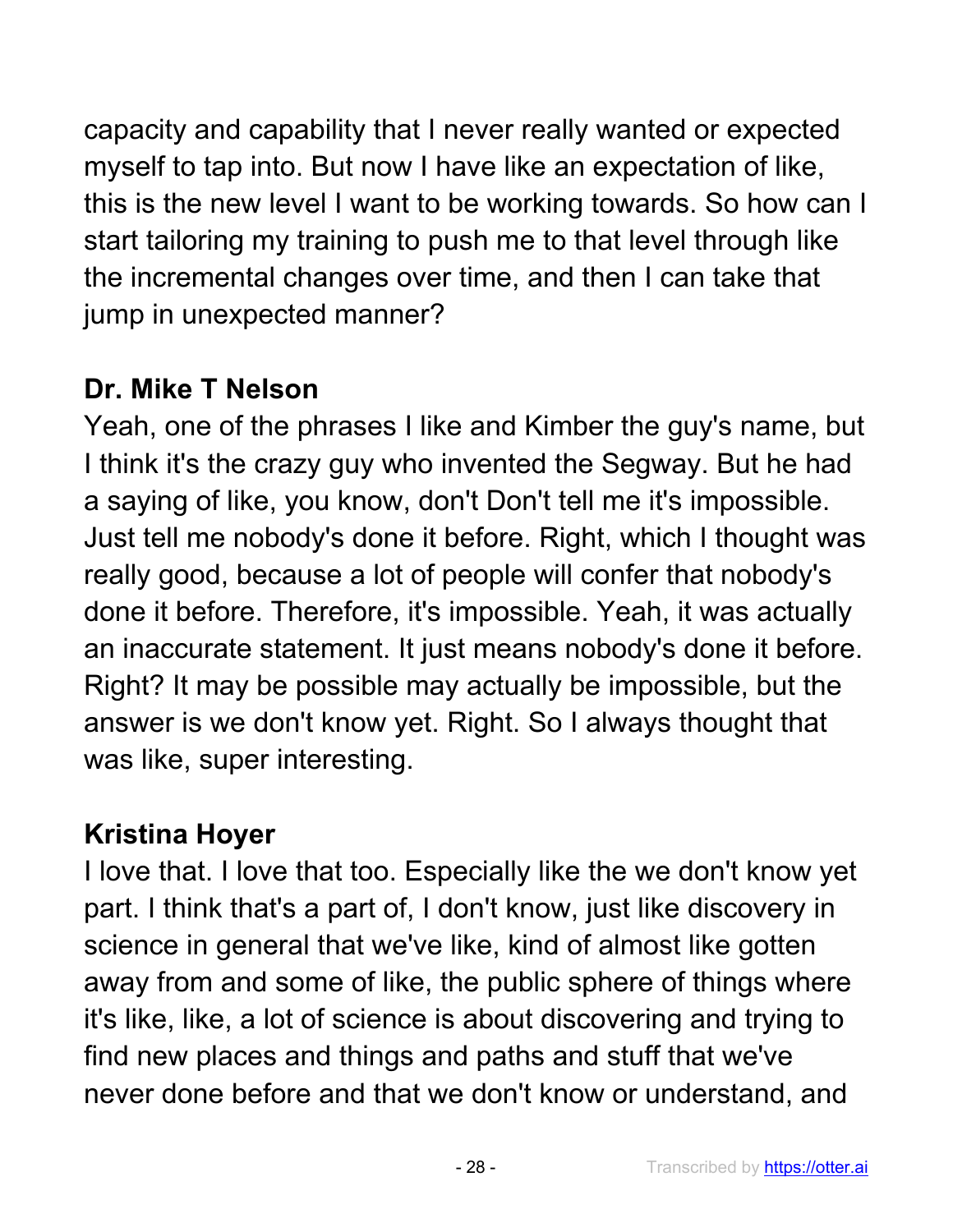capacity and capability that I never really wanted or expected myself to tap into. But now I have like an expectation of like, this is the new level I want to be working towards. So how can I start tailoring my training to push me to that level through like the incremental changes over time, and then I can take that jump in unexpected manner?

## **Dr. Mike T Nelson**

Yeah, one of the phrases I like and Kimber the guy's name, but I think it's the crazy guy who invented the Segway. But he had a saying of like, you know, don't Don't tell me it's impossible. Just tell me nobody's done it before. Right, which I thought was really good, because a lot of people will confer that nobody's done it before. Therefore, it's impossible. Yeah, it was actually an inaccurate statement. It just means nobody's done it before. Right? It may be possible may actually be impossible, but the answer is we don't know yet. Right. So I always thought that was like, super interesting.

# **Kristina Hoyer**

I love that. I love that too. Especially like the we don't know yet part. I think that's a part of, I don't know, just like discovery in science in general that we've like, kind of almost like gotten away from and some of like, the public sphere of things where it's like, like, a lot of science is about discovering and trying to find new places and things and paths and stuff that we've never done before and that we don't know or understand, and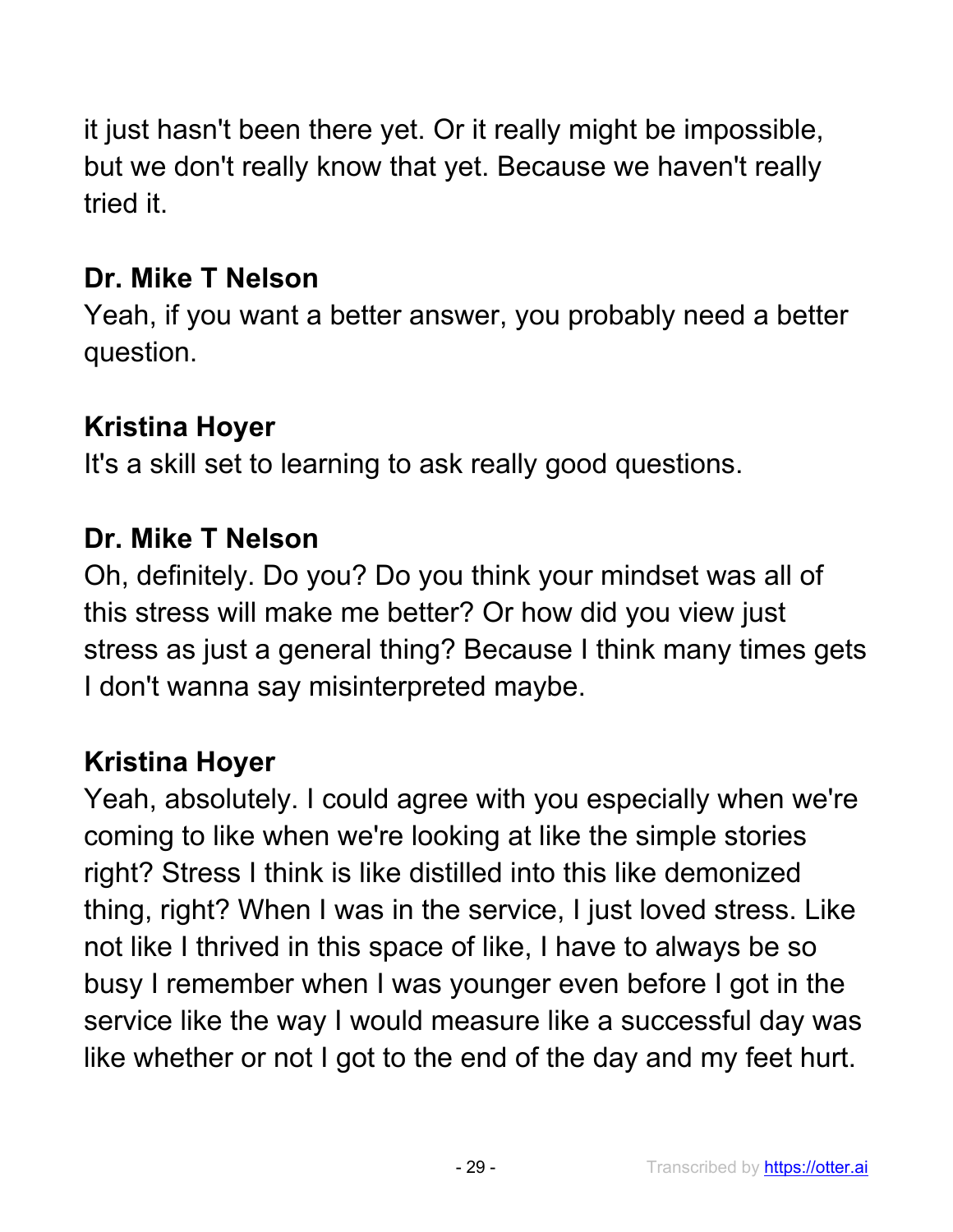it just hasn't been there yet. Or it really might be impossible, but we don't really know that yet. Because we haven't really tried it.

## **Dr. Mike T Nelson**

Yeah, if you want a better answer, you probably need a better question.

## **Kristina Hoyer**

It's a skill set to learning to ask really good questions.

## **Dr. Mike T Nelson**

Oh, definitely. Do you? Do you think your mindset was all of this stress will make me better? Or how did you view just stress as just a general thing? Because I think many times gets I don't wanna say misinterpreted maybe.

## **Kristina Hoyer**

Yeah, absolutely. I could agree with you especially when we're coming to like when we're looking at like the simple stories right? Stress I think is like distilled into this like demonized thing, right? When I was in the service, I just loved stress. Like not like I thrived in this space of like, I have to always be so busy I remember when I was younger even before I got in the service like the way I would measure like a successful day was like whether or not I got to the end of the day and my feet hurt.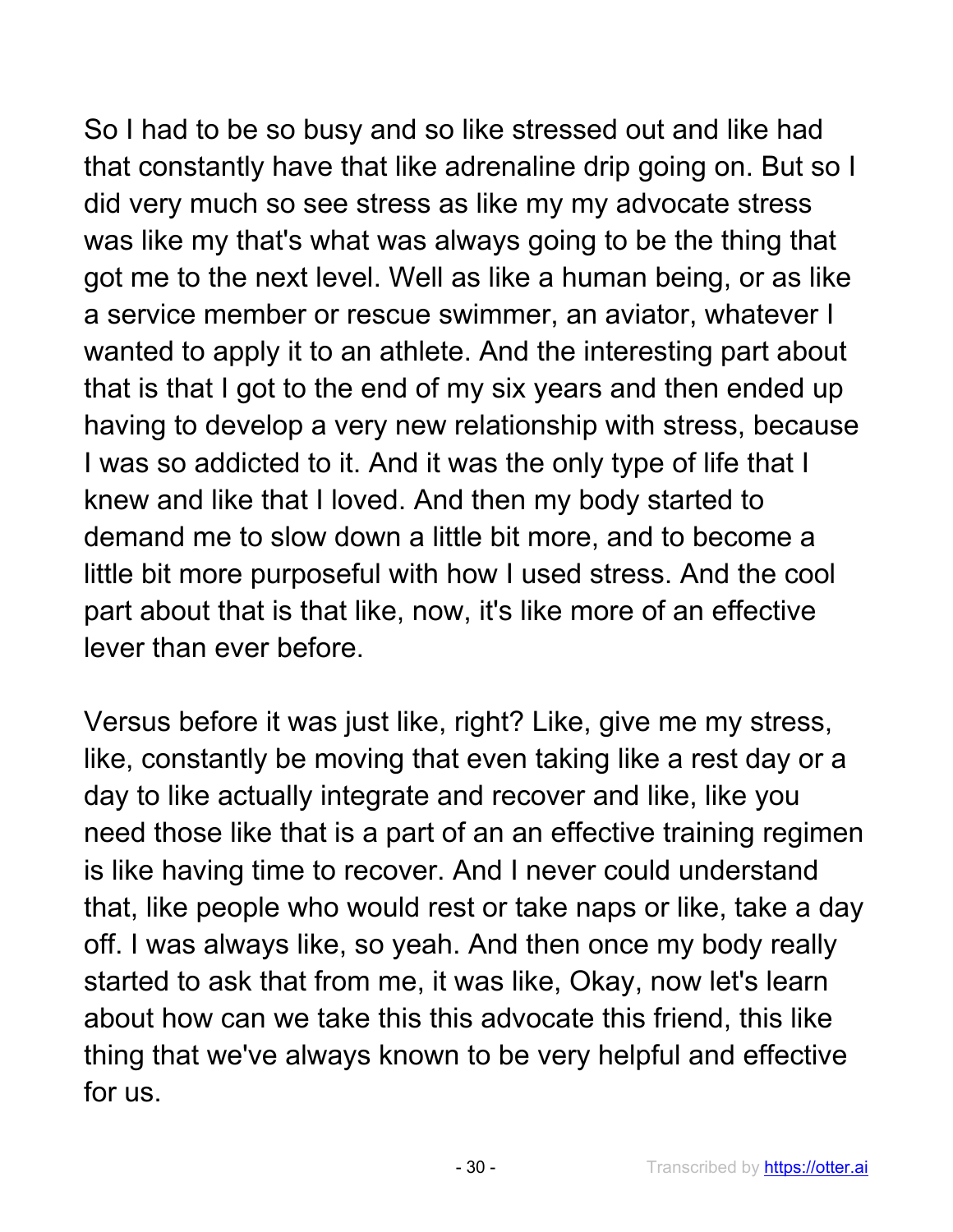So I had to be so busy and so like stressed out and like had that constantly have that like adrenaline drip going on. But so I did very much so see stress as like my my advocate stress was like my that's what was always going to be the thing that got me to the next level. Well as like a human being, or as like a service member or rescue swimmer, an aviator, whatever I wanted to apply it to an athlete. And the interesting part about that is that I got to the end of my six years and then ended up having to develop a very new relationship with stress, because I was so addicted to it. And it was the only type of life that I knew and like that I loved. And then my body started to demand me to slow down a little bit more, and to become a little bit more purposeful with how I used stress. And the cool part about that is that like, now, it's like more of an effective lever than ever before.

Versus before it was just like, right? Like, give me my stress, like, constantly be moving that even taking like a rest day or a day to like actually integrate and recover and like, like you need those like that is a part of an an effective training regimen is like having time to recover. And I never could understand that, like people who would rest or take naps or like, take a day off. I was always like, so yeah. And then once my body really started to ask that from me, it was like, Okay, now let's learn about how can we take this this advocate this friend, this like thing that we've always known to be very helpful and effective for us.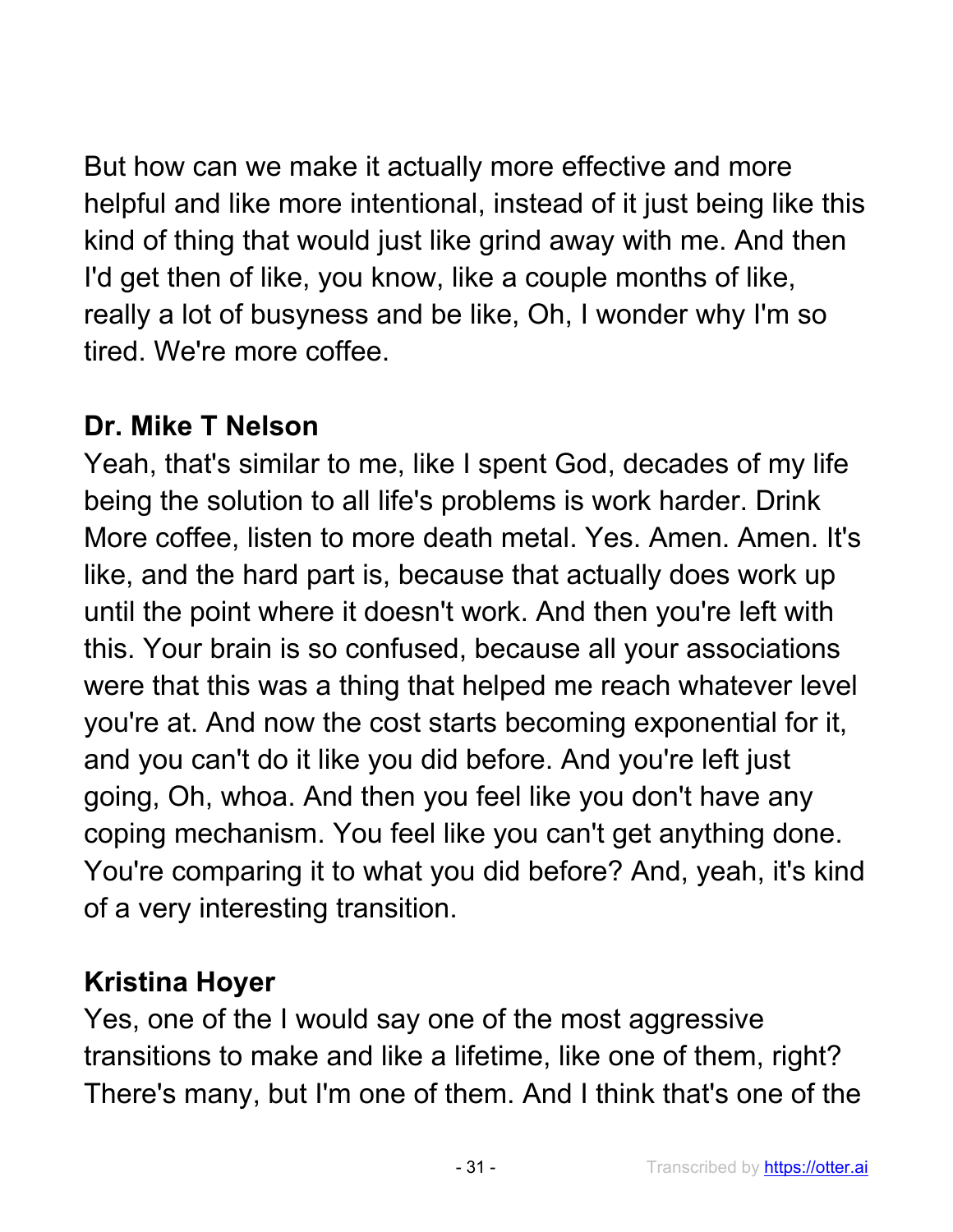But how can we make it actually more effective and more helpful and like more intentional, instead of it just being like this kind of thing that would just like grind away with me. And then I'd get then of like, you know, like a couple months of like, really a lot of busyness and be like, Oh, I wonder why I'm so tired. We're more coffee.

### **Dr. Mike T Nelson**

Yeah, that's similar to me, like I spent God, decades of my life being the solution to all life's problems is work harder. Drink More coffee, listen to more death metal. Yes. Amen. Amen. It's like, and the hard part is, because that actually does work up until the point where it doesn't work. And then you're left with this. Your brain is so confused, because all your associations were that this was a thing that helped me reach whatever level you're at. And now the cost starts becoming exponential for it, and you can't do it like you did before. And you're left just going, Oh, whoa. And then you feel like you don't have any coping mechanism. You feel like you can't get anything done. You're comparing it to what you did before? And, yeah, it's kind of a very interesting transition.

## **Kristina Hoyer**

Yes, one of the I would say one of the most aggressive transitions to make and like a lifetime, like one of them, right? There's many, but I'm one of them. And I think that's one of the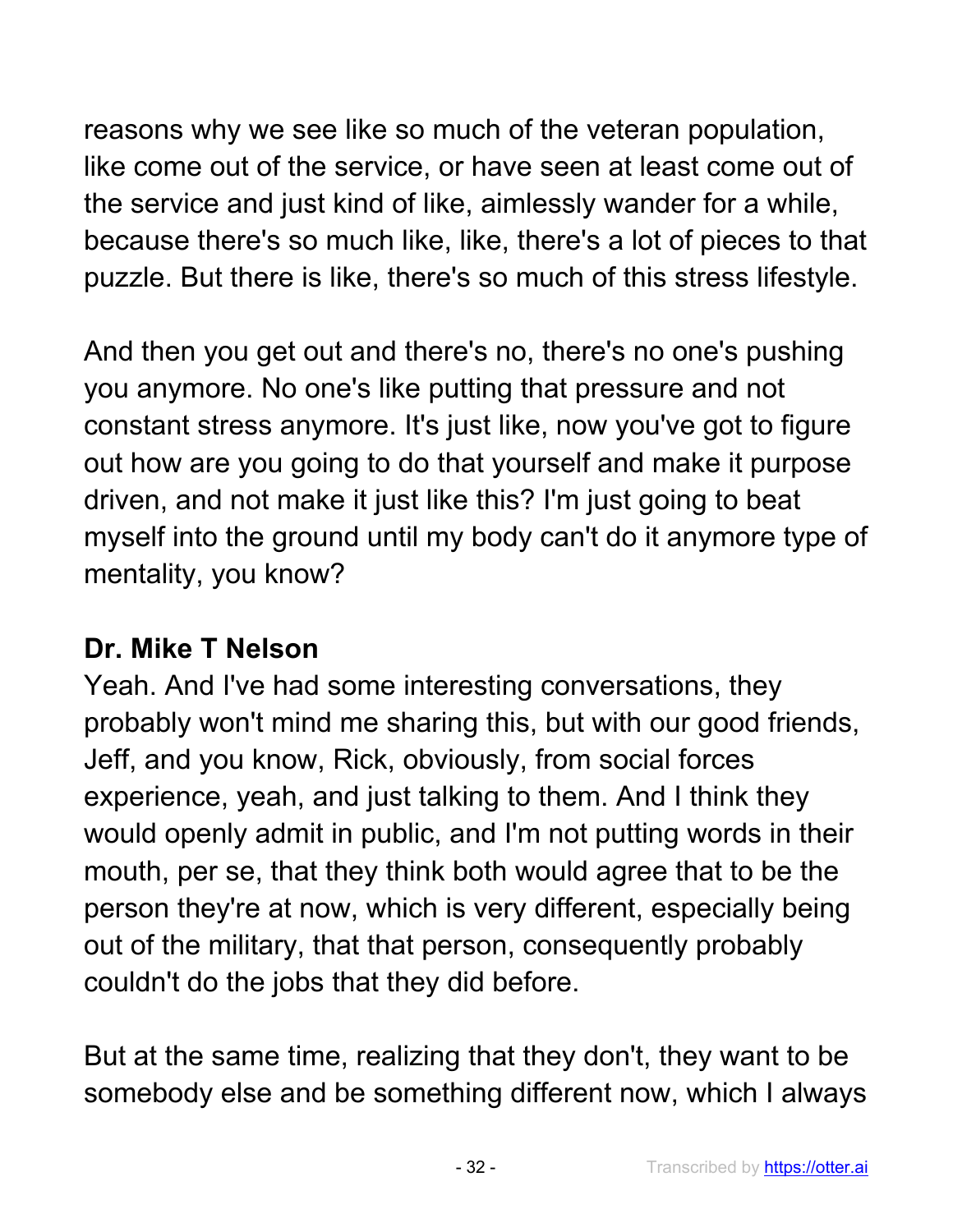reasons why we see like so much of the veteran population, like come out of the service, or have seen at least come out of the service and just kind of like, aimlessly wander for a while, because there's so much like, like, there's a lot of pieces to that puzzle. But there is like, there's so much of this stress lifestyle.

And then you get out and there's no, there's no one's pushing you anymore. No one's like putting that pressure and not constant stress anymore. It's just like, now you've got to figure out how are you going to do that yourself and make it purpose driven, and not make it just like this? I'm just going to beat myself into the ground until my body can't do it anymore type of mentality, you know?

## **Dr. Mike T Nelson**

Yeah. And I've had some interesting conversations, they probably won't mind me sharing this, but with our good friends, Jeff, and you know, Rick, obviously, from social forces experience, yeah, and just talking to them. And I think they would openly admit in public, and I'm not putting words in their mouth, per se, that they think both would agree that to be the person they're at now, which is very different, especially being out of the military, that that person, consequently probably couldn't do the jobs that they did before.

But at the same time, realizing that they don't, they want to be somebody else and be something different now, which I always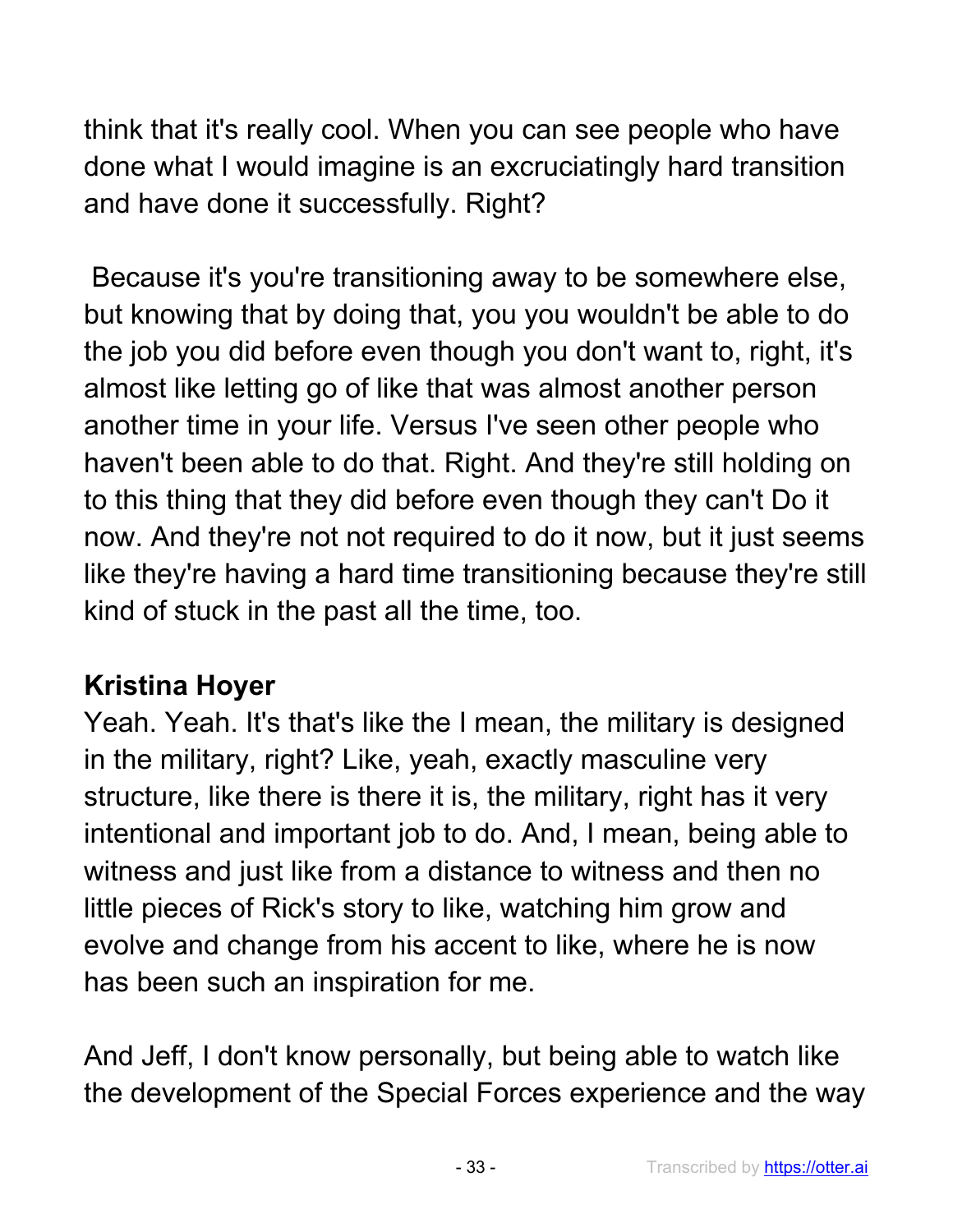think that it's really cool. When you can see people who have done what I would imagine is an excruciatingly hard transition and have done it successfully. Right?

Because it's you're transitioning away to be somewhere else, but knowing that by doing that, you you wouldn't be able to do the job you did before even though you don't want to, right, it's almost like letting go of like that was almost another person another time in your life. Versus I've seen other people who haven't been able to do that. Right. And they're still holding on to this thing that they did before even though they can't Do it now. And they're not not required to do it now, but it just seems like they're having a hard time transitioning because they're still kind of stuck in the past all the time, too.

## **Kristina Hoyer**

Yeah. Yeah. It's that's like the I mean, the military is designed in the military, right? Like, yeah, exactly masculine very structure, like there is there it is, the military, right has it very intentional and important job to do. And, I mean, being able to witness and just like from a distance to witness and then no little pieces of Rick's story to like, watching him grow and evolve and change from his accent to like, where he is now has been such an inspiration for me.

And Jeff, I don't know personally, but being able to watch like the development of the Special Forces experience and the way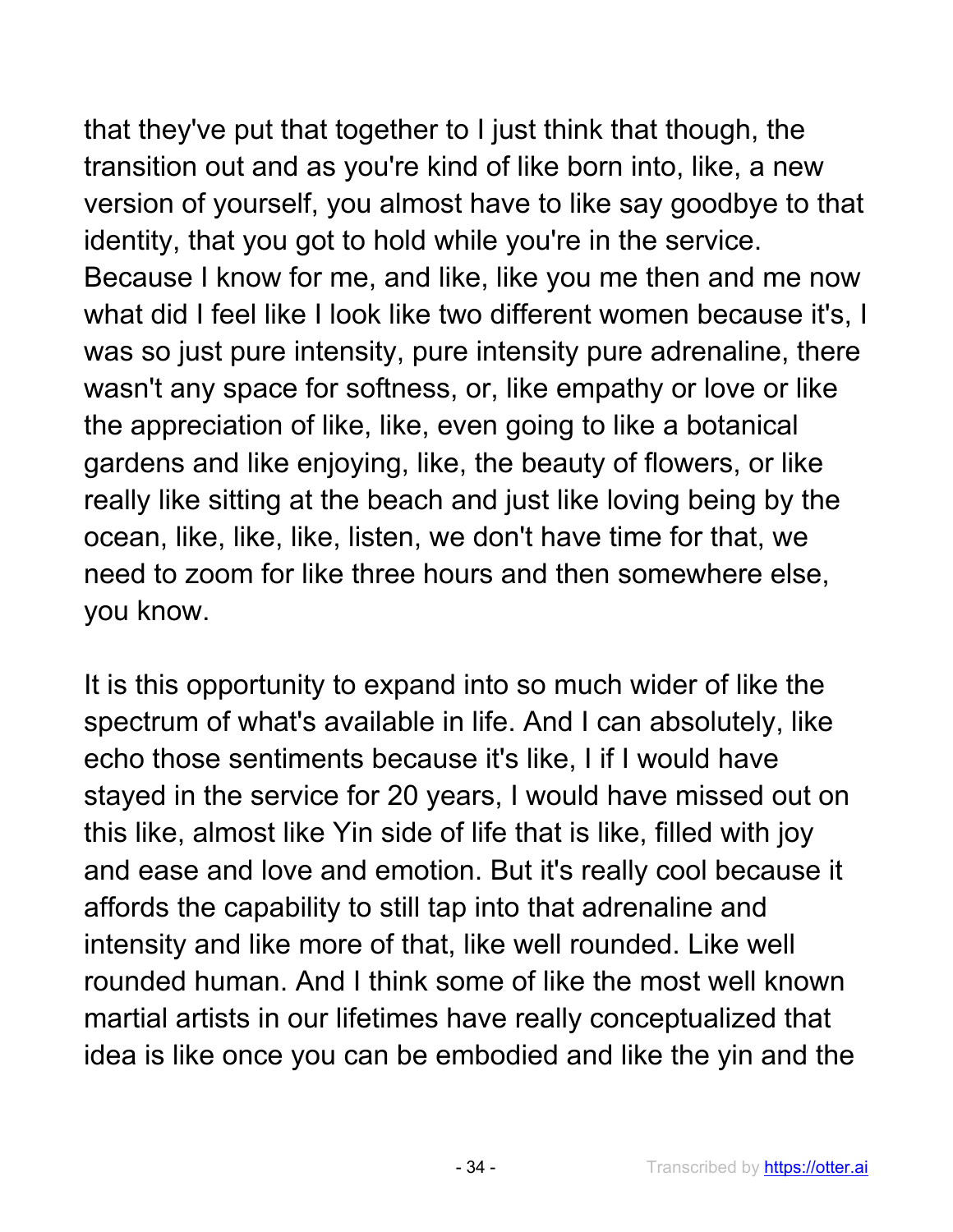that they've put that together to I just think that though, the transition out and as you're kind of like born into, like, a new version of yourself, you almost have to like say goodbye to that identity, that you got to hold while you're in the service. Because I know for me, and like, like you me then and me now what did I feel like I look like two different women because it's, I was so just pure intensity, pure intensity pure adrenaline, there wasn't any space for softness, or, like empathy or love or like the appreciation of like, like, even going to like a botanical gardens and like enjoying, like, the beauty of flowers, or like really like sitting at the beach and just like loving being by the ocean, like, like, like, listen, we don't have time for that, we need to zoom for like three hours and then somewhere else, you know.

It is this opportunity to expand into so much wider of like the spectrum of what's available in life. And I can absolutely, like echo those sentiments because it's like, I if I would have stayed in the service for 20 years, I would have missed out on this like, almost like Yin side of life that is like, filled with joy and ease and love and emotion. But it's really cool because it affords the capability to still tap into that adrenaline and intensity and like more of that, like well rounded. Like well rounded human. And I think some of like the most well known martial artists in our lifetimes have really conceptualized that idea is like once you can be embodied and like the yin and the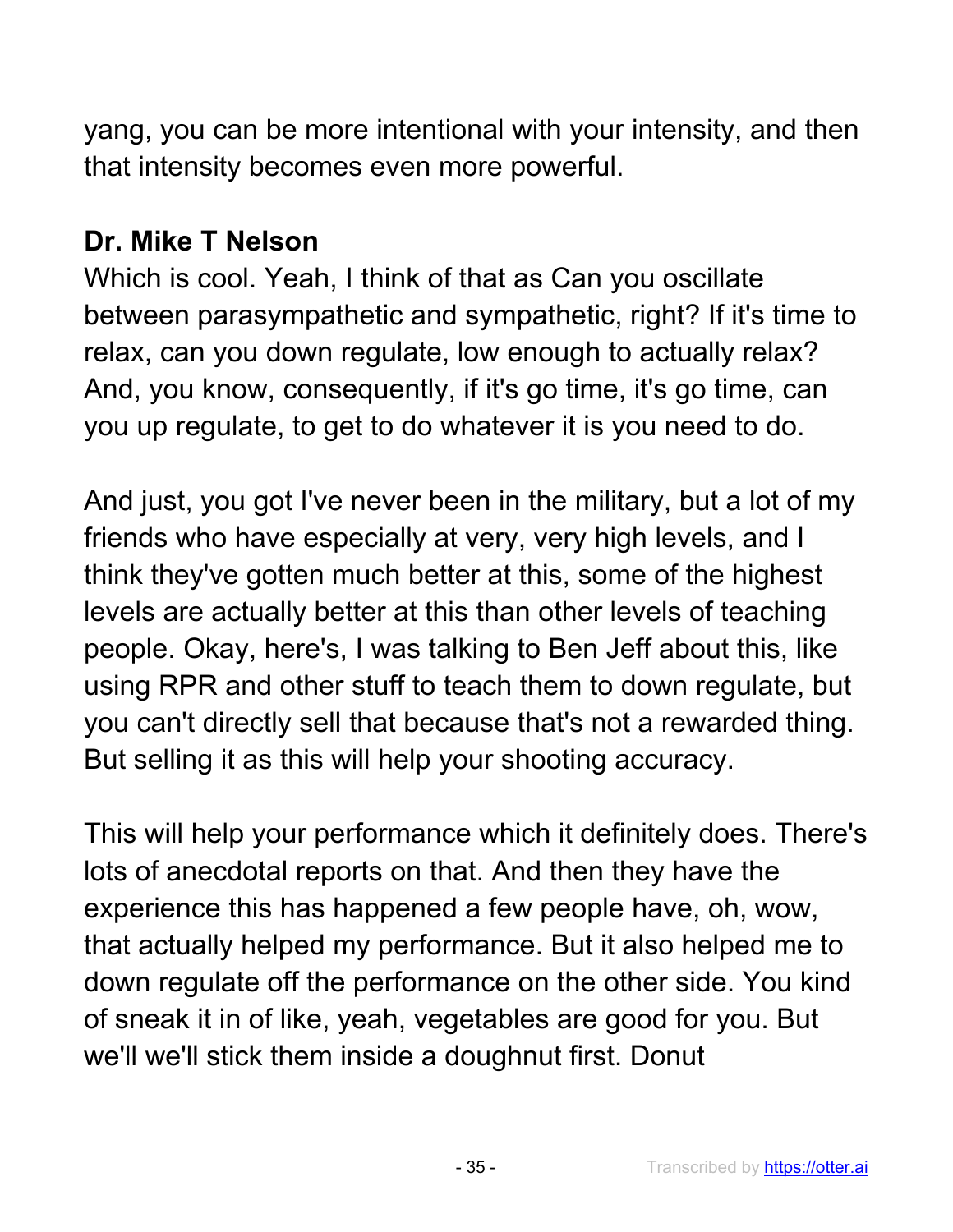yang, you can be more intentional with your intensity, and then that intensity becomes even more powerful.

## **Dr. Mike T Nelson**

Which is cool. Yeah, I think of that as Can you oscillate between parasympathetic and sympathetic, right? If it's time to relax, can you down regulate, low enough to actually relax? And, you know, consequently, if it's go time, it's go time, can you up regulate, to get to do whatever it is you need to do.

And just, you got I've never been in the military, but a lot of my friends who have especially at very, very high levels, and I think they've gotten much better at this, some of the highest levels are actually better at this than other levels of teaching people. Okay, here's, I was talking to Ben Jeff about this, like using RPR and other stuff to teach them to down regulate, but you can't directly sell that because that's not a rewarded thing. But selling it as this will help your shooting accuracy.

This will help your performance which it definitely does. There's lots of anecdotal reports on that. And then they have the experience this has happened a few people have, oh, wow, that actually helped my performance. But it also helped me to down regulate off the performance on the other side. You kind of sneak it in of like, yeah, vegetables are good for you. But we'll we'll stick them inside a doughnut first. Donut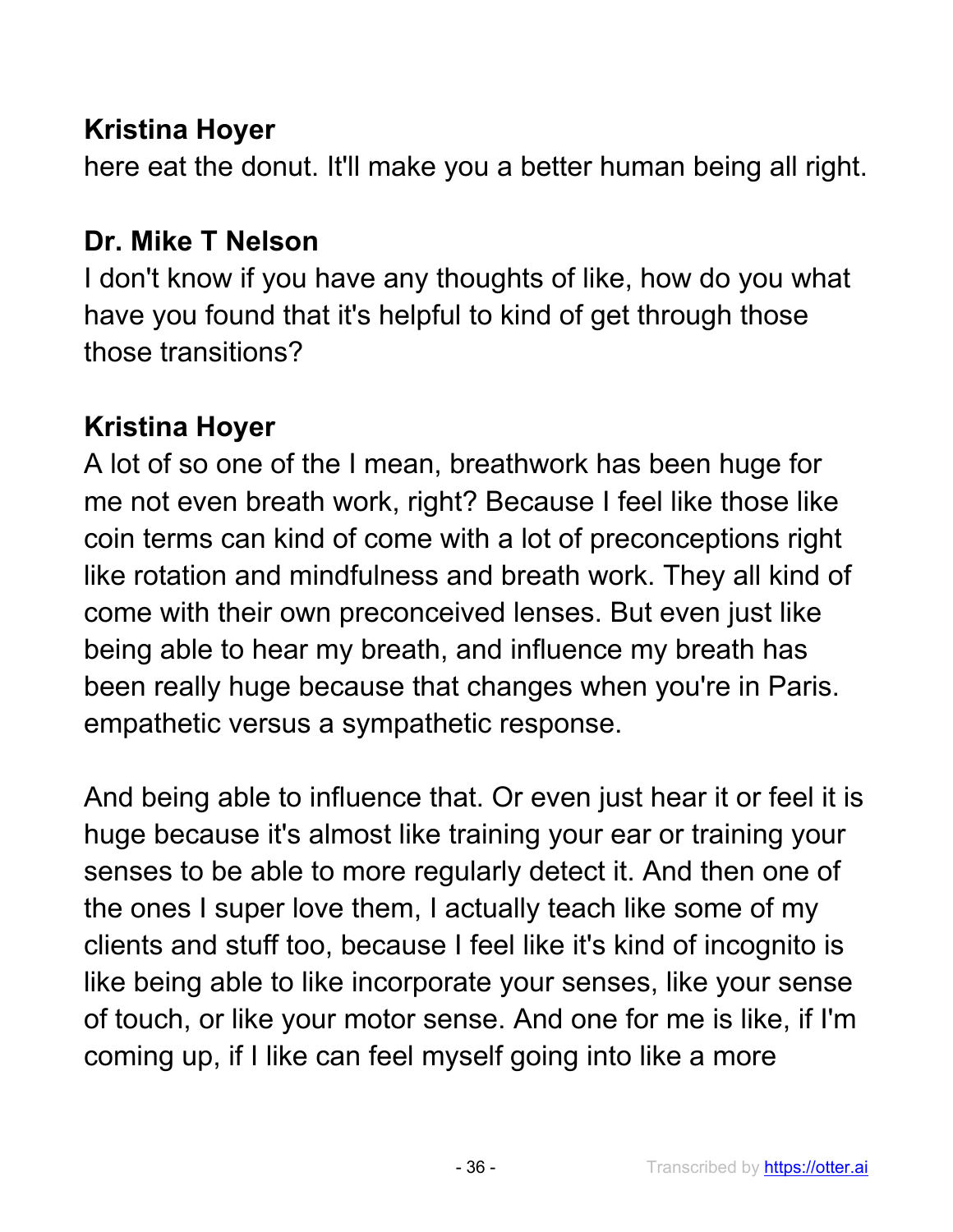## **Kristina Hoyer**

here eat the donut. It'll make you a better human being all right.

### **Dr. Mike T Nelson**

I don't know if you have any thoughts of like, how do you what have you found that it's helpful to kind of get through those those transitions?

## **Kristina Hoyer**

A lot of so one of the I mean, breathwork has been huge for me not even breath work, right? Because I feel like those like coin terms can kind of come with a lot of preconceptions right like rotation and mindfulness and breath work. They all kind of come with their own preconceived lenses. But even just like being able to hear my breath, and influence my breath has been really huge because that changes when you're in Paris. empathetic versus a sympathetic response.

And being able to influence that. Or even just hear it or feel it is huge because it's almost like training your ear or training your senses to be able to more regularly detect it. And then one of the ones I super love them, I actually teach like some of my clients and stuff too, because I feel like it's kind of incognito is like being able to like incorporate your senses, like your sense of touch, or like your motor sense. And one for me is like, if I'm coming up, if I like can feel myself going into like a more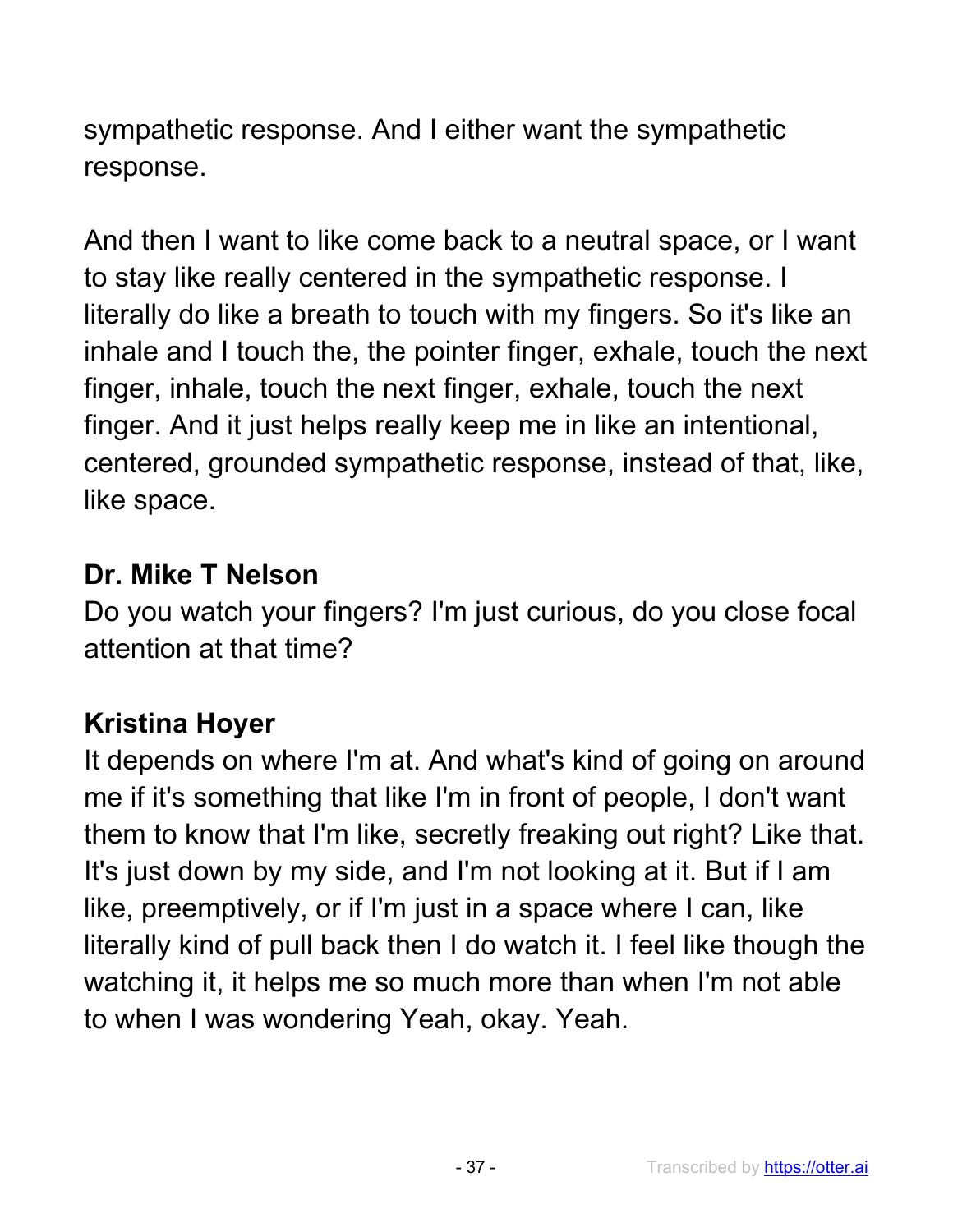sympathetic response. And I either want the sympathetic response.

And then I want to like come back to a neutral space, or I want to stay like really centered in the sympathetic response. I literally do like a breath to touch with my fingers. So it's like an inhale and I touch the, the pointer finger, exhale, touch the next finger, inhale, touch the next finger, exhale, touch the next finger. And it just helps really keep me in like an intentional, centered, grounded sympathetic response, instead of that, like, like space.

### **Dr. Mike T Nelson**

Do you watch your fingers? I'm just curious, do you close focal attention at that time?

# **Kristina Hoyer**

It depends on where I'm at. And what's kind of going on around me if it's something that like I'm in front of people, I don't want them to know that I'm like, secretly freaking out right? Like that. It's just down by my side, and I'm not looking at it. But if I am like, preemptively, or if I'm just in a space where I can, like literally kind of pull back then I do watch it. I feel like though the watching it, it helps me so much more than when I'm not able to when I was wondering Yeah, okay. Yeah.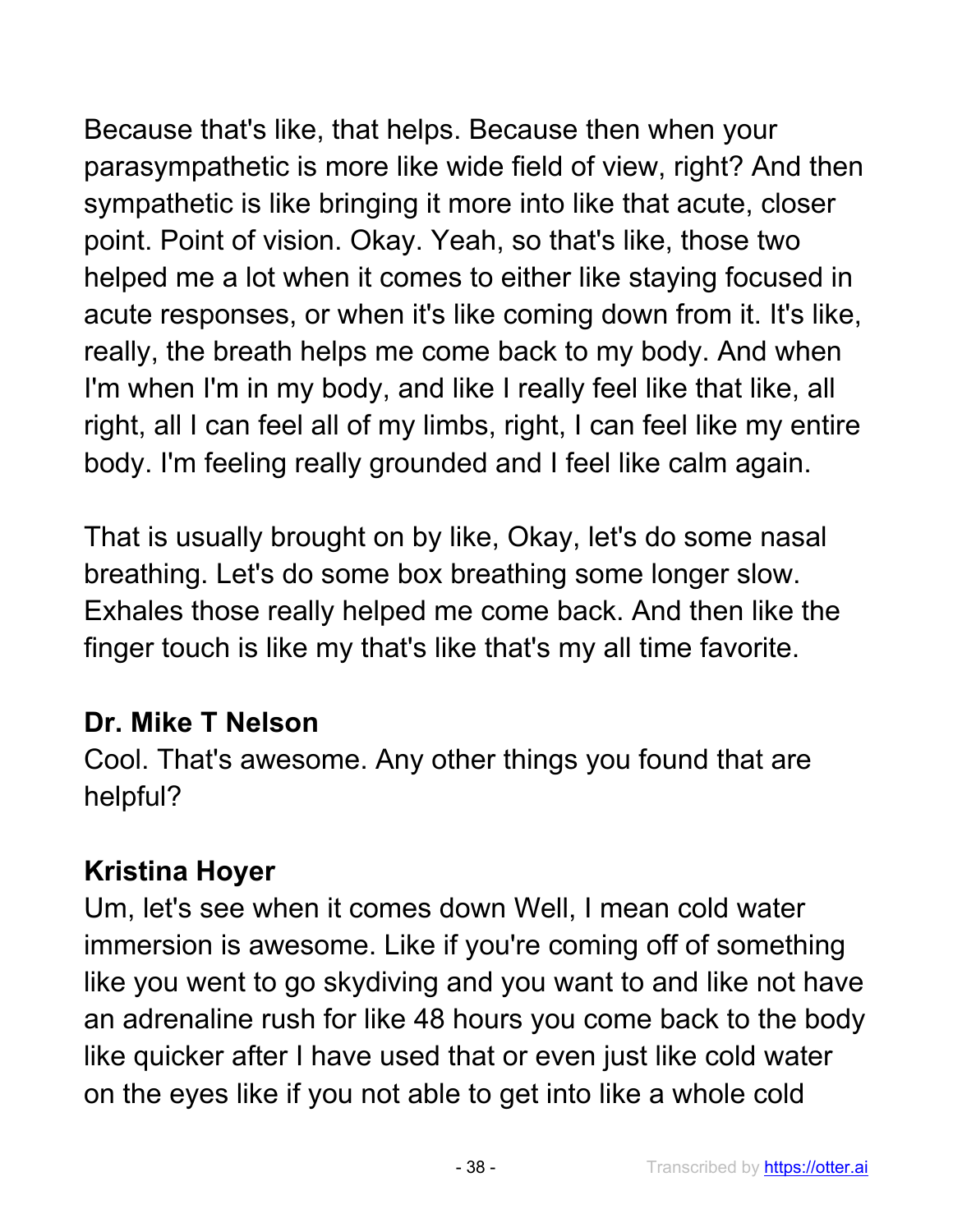Because that's like, that helps. Because then when your parasympathetic is more like wide field of view, right? And then sympathetic is like bringing it more into like that acute, closer point. Point of vision. Okay. Yeah, so that's like, those two helped me a lot when it comes to either like staying focused in acute responses, or when it's like coming down from it. It's like, really, the breath helps me come back to my body. And when I'm when I'm in my body, and like I really feel like that like, all right, all I can feel all of my limbs, right, I can feel like my entire body. I'm feeling really grounded and I feel like calm again.

That is usually brought on by like, Okay, let's do some nasal breathing. Let's do some box breathing some longer slow. Exhales those really helped me come back. And then like the finger touch is like my that's like that's my all time favorite.

# **Dr. Mike T Nelson**

Cool. That's awesome. Any other things you found that are helpful?

# **Kristina Hoyer**

Um, let's see when it comes down Well, I mean cold water immersion is awesome. Like if you're coming off of something like you went to go skydiving and you want to and like not have an adrenaline rush for like 48 hours you come back to the body like quicker after I have used that or even just like cold water on the eyes like if you not able to get into like a whole cold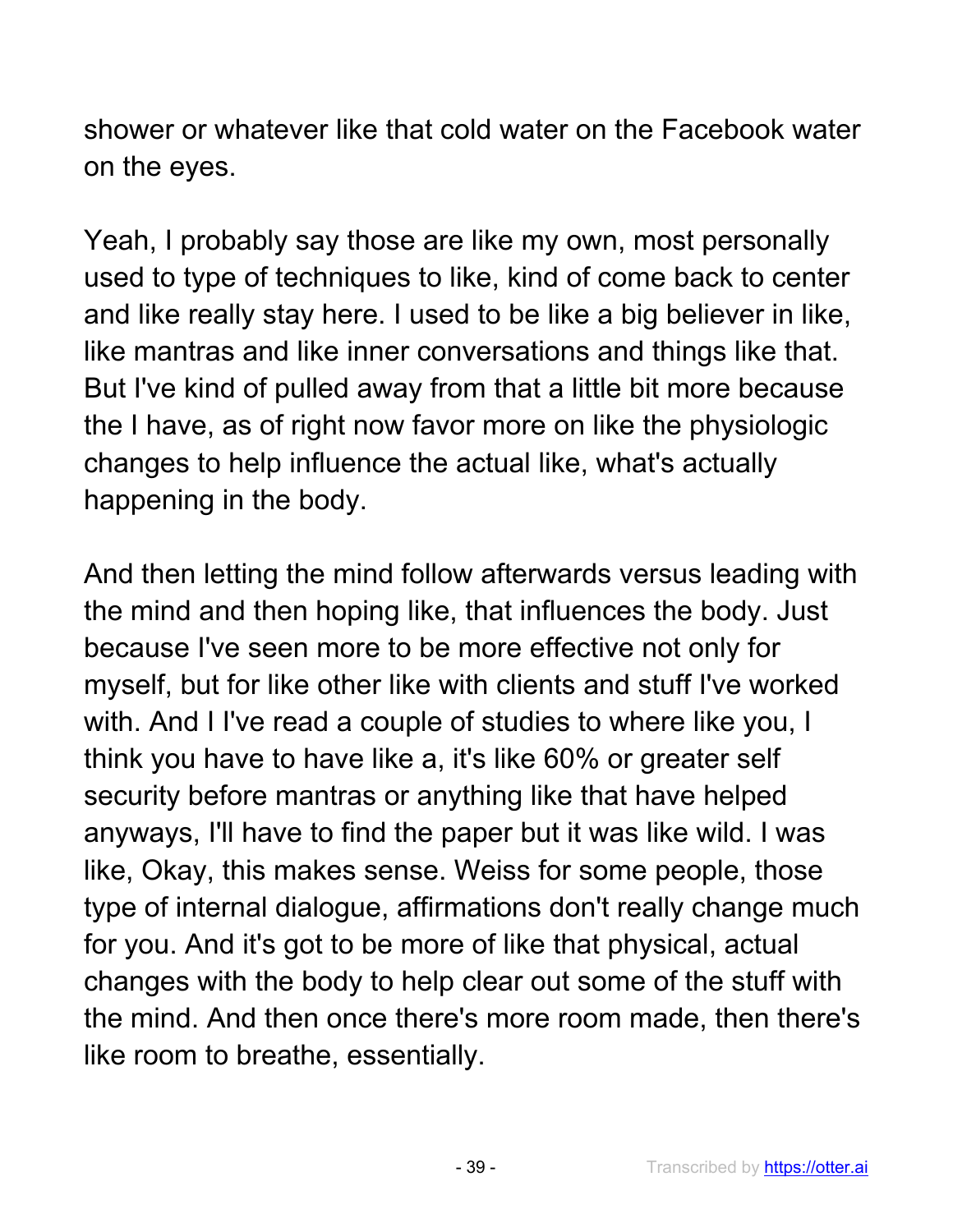shower or whatever like that cold water on the Facebook water on the eyes.

Yeah, I probably say those are like my own, most personally used to type of techniques to like, kind of come back to center and like really stay here. I used to be like a big believer in like, like mantras and like inner conversations and things like that. But I've kind of pulled away from that a little bit more because the I have, as of right now favor more on like the physiologic changes to help influence the actual like, what's actually happening in the body.

And then letting the mind follow afterwards versus leading with the mind and then hoping like, that influences the body. Just because I've seen more to be more effective not only for myself, but for like other like with clients and stuff I've worked with. And I I've read a couple of studies to where like you, I think you have to have like a, it's like 60% or greater self security before mantras or anything like that have helped anyways, I'll have to find the paper but it was like wild. I was like, Okay, this makes sense. Weiss for some people, those type of internal dialogue, affirmations don't really change much for you. And it's got to be more of like that physical, actual changes with the body to help clear out some of the stuff with the mind. And then once there's more room made, then there's like room to breathe, essentially.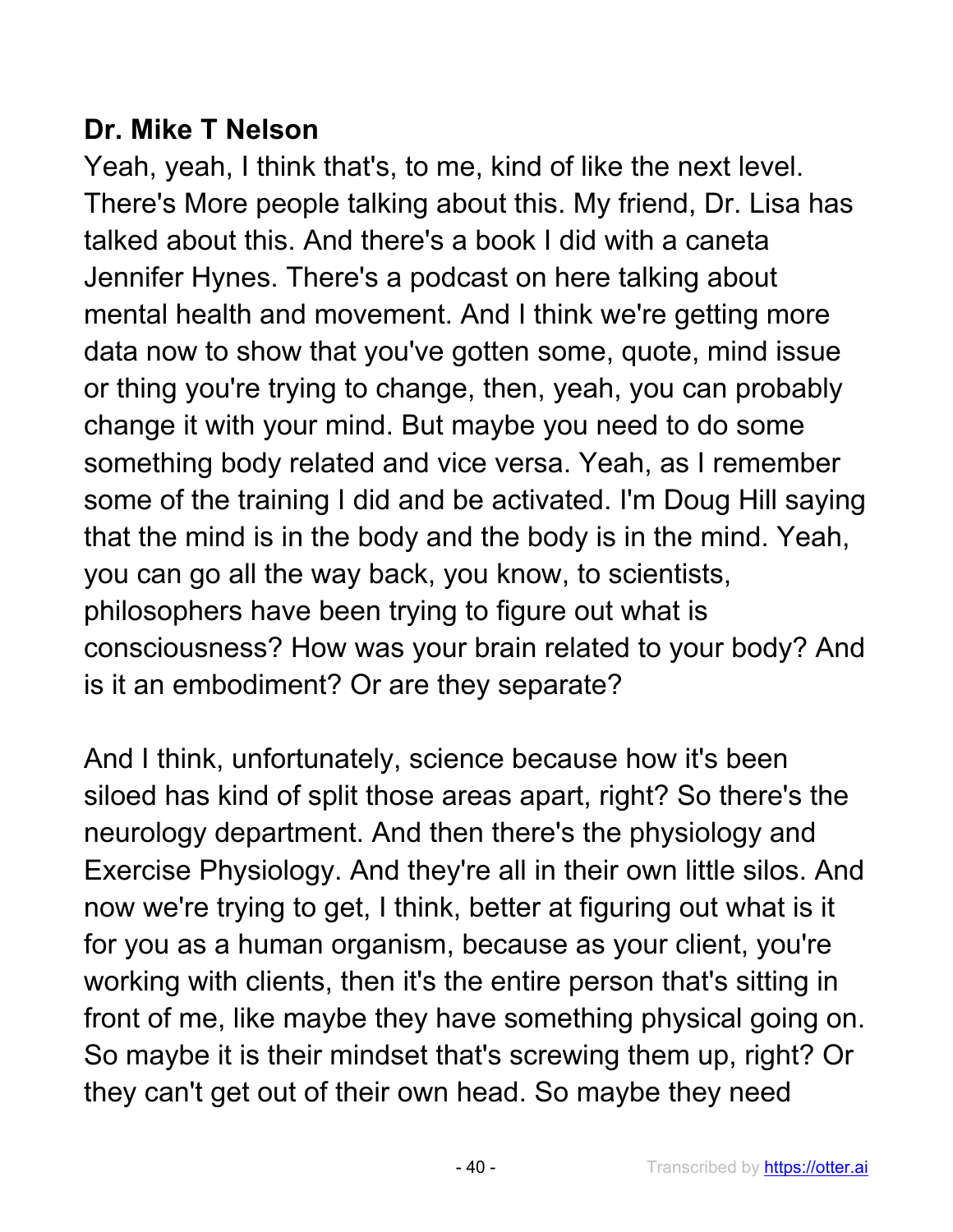### **Dr. Mike T Nelson**

Yeah, yeah, I think that's, to me, kind of like the next level. There's More people talking about this. My friend, Dr. Lisa has talked about this. And there's a book I did with a caneta Jennifer Hynes. There's a podcast on here talking about mental health and movement. And I think we're getting more data now to show that you've gotten some, quote, mind issue or thing you're trying to change, then, yeah, you can probably change it with your mind. But maybe you need to do some something body related and vice versa. Yeah, as I remember some of the training I did and be activated. I'm Doug Hill saying that the mind is in the body and the body is in the mind. Yeah, you can go all the way back, you know, to scientists, philosophers have been trying to figure out what is consciousness? How was your brain related to your body? And is it an embodiment? Or are they separate?

And I think, unfortunately, science because how it's been siloed has kind of split those areas apart, right? So there's the neurology department. And then there's the physiology and Exercise Physiology. And they're all in their own little silos. And now we're trying to get, I think, better at figuring out what is it for you as a human organism, because as your client, you're working with clients, then it's the entire person that's sitting in front of me, like maybe they have something physical going on. So maybe it is their mindset that's screwing them up, right? Or they can't get out of their own head. So maybe they need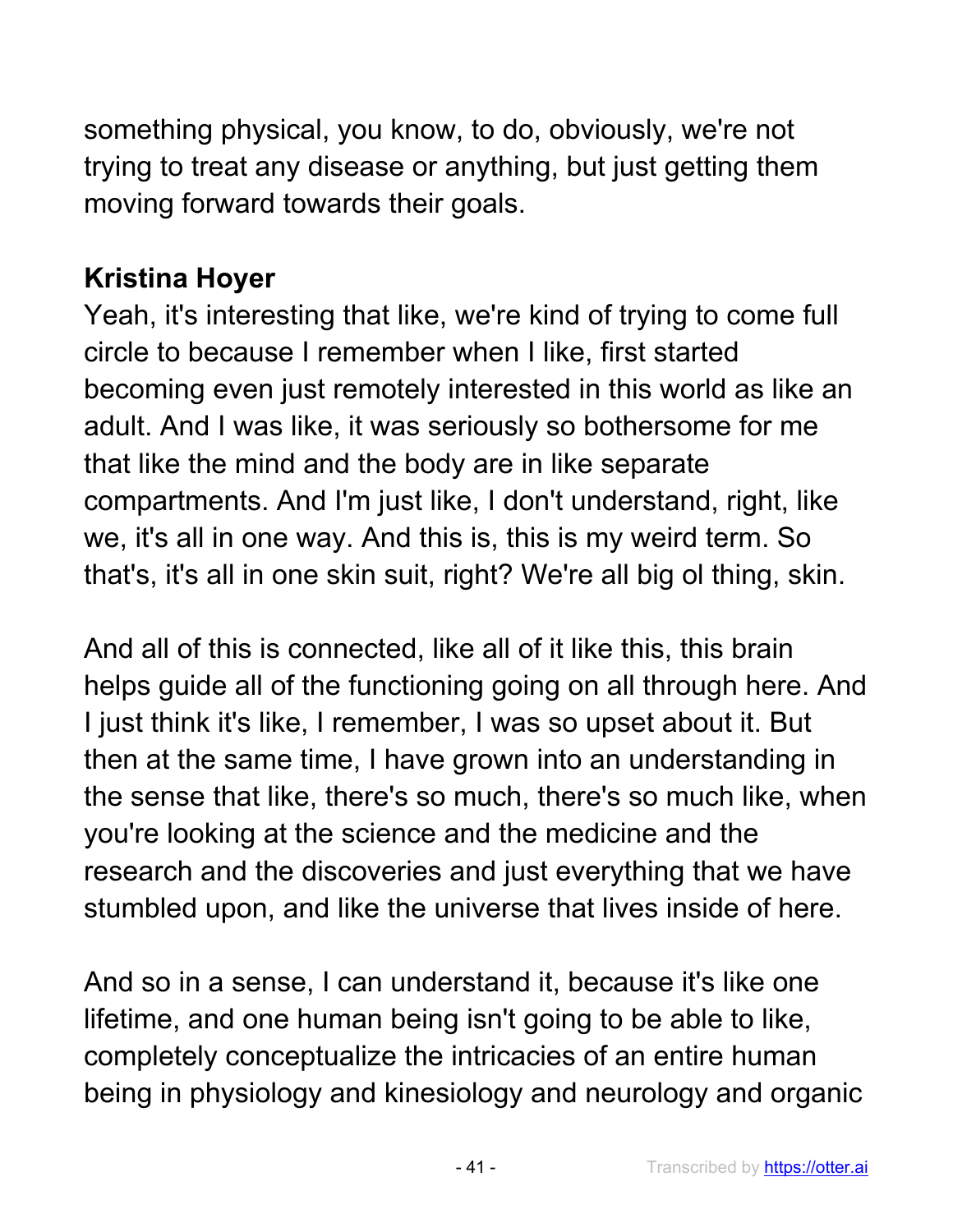something physical, you know, to do, obviously, we're not trying to treat any disease or anything, but just getting them moving forward towards their goals.

### **Kristina Hoyer**

Yeah, it's interesting that like, we're kind of trying to come full circle to because I remember when I like, first started becoming even just remotely interested in this world as like an adult. And I was like, it was seriously so bothersome for me that like the mind and the body are in like separate compartments. And I'm just like, I don't understand, right, like we, it's all in one way. And this is, this is my weird term. So that's, it's all in one skin suit, right? We're all big ol thing, skin.

And all of this is connected, like all of it like this, this brain helps guide all of the functioning going on all through here. And I just think it's like, I remember, I was so upset about it. But then at the same time, I have grown into an understanding in the sense that like, there's so much, there's so much like, when you're looking at the science and the medicine and the research and the discoveries and just everything that we have stumbled upon, and like the universe that lives inside of here.

And so in a sense, I can understand it, because it's like one lifetime, and one human being isn't going to be able to like, completely conceptualize the intricacies of an entire human being in physiology and kinesiology and neurology and organic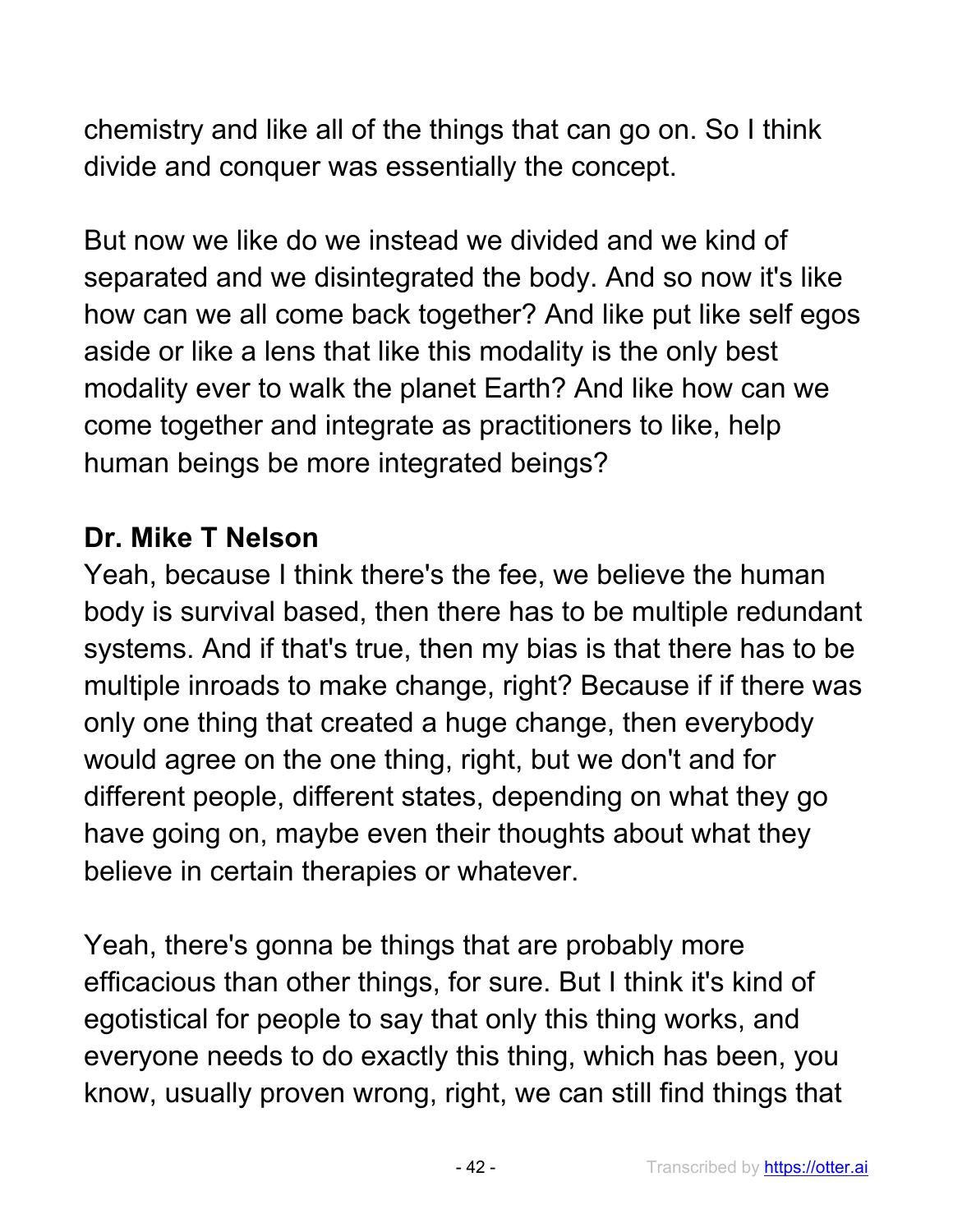chemistry and like all of the things that can go on. So I think divide and conquer was essentially the concept.

But now we like do we instead we divided and we kind of separated and we disintegrated the body. And so now it's like how can we all come back together? And like put like self egos aside or like a lens that like this modality is the only best modality ever to walk the planet Earth? And like how can we come together and integrate as practitioners to like, help human beings be more integrated beings?

#### **Dr. Mike T Nelson**

Yeah, because I think there's the fee, we believe the human body is survival based, then there has to be multiple redundant systems. And if that's true, then my bias is that there has to be multiple inroads to make change, right? Because if if there was only one thing that created a huge change, then everybody would agree on the one thing, right, but we don't and for different people, different states, depending on what they go have going on, maybe even their thoughts about what they believe in certain therapies or whatever.

Yeah, there's gonna be things that are probably more efficacious than other things, for sure. But I think it's kind of egotistical for people to say that only this thing works, and everyone needs to do exactly this thing, which has been, you know, usually proven wrong, right, we can still find things that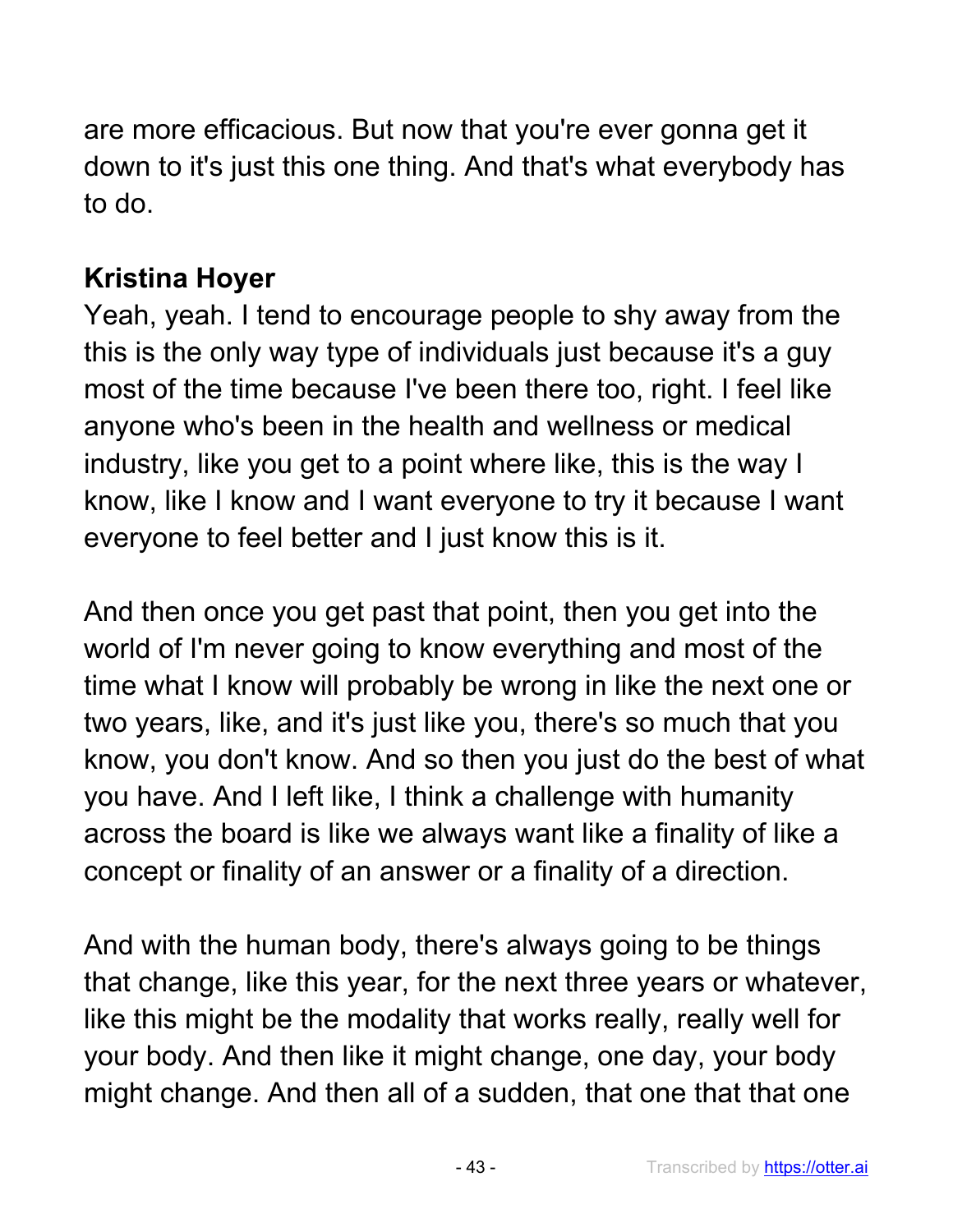are more efficacious. But now that you're ever gonna get it down to it's just this one thing. And that's what everybody has to do.

## **Kristina Hoyer**

Yeah, yeah. I tend to encourage people to shy away from the this is the only way type of individuals just because it's a guy most of the time because I've been there too, right. I feel like anyone who's been in the health and wellness or medical industry, like you get to a point where like, this is the way I know, like I know and I want everyone to try it because I want everyone to feel better and I just know this is it.

And then once you get past that point, then you get into the world of I'm never going to know everything and most of the time what I know will probably be wrong in like the next one or two years, like, and it's just like you, there's so much that you know, you don't know. And so then you just do the best of what you have. And I left like, I think a challenge with humanity across the board is like we always want like a finality of like a concept or finality of an answer or a finality of a direction.

And with the human body, there's always going to be things that change, like this year, for the next three years or whatever, like this might be the modality that works really, really well for your body. And then like it might change, one day, your body might change. And then all of a sudden, that one that that one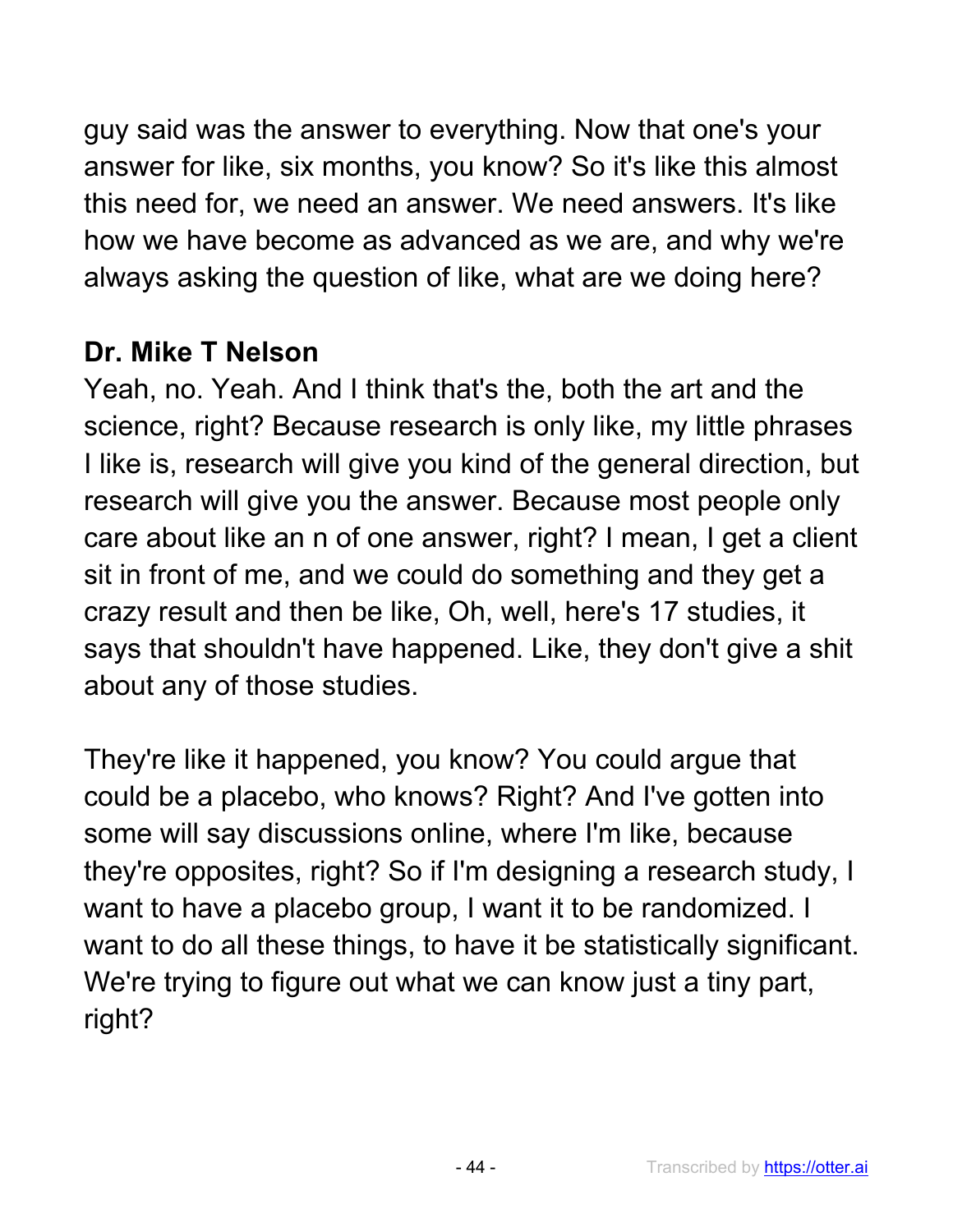guy said was the answer to everything. Now that one's your answer for like, six months, you know? So it's like this almost this need for, we need an answer. We need answers. It's like how we have become as advanced as we are, and why we're always asking the question of like, what are we doing here?

#### **Dr. Mike T Nelson**

Yeah, no. Yeah. And I think that's the, both the art and the science, right? Because research is only like, my little phrases I like is, research will give you kind of the general direction, but research will give you the answer. Because most people only care about like an n of one answer, right? I mean, I get a client sit in front of me, and we could do something and they get a crazy result and then be like, Oh, well, here's 17 studies, it says that shouldn't have happened. Like, they don't give a shit about any of those studies.

They're like it happened, you know? You could argue that could be a placebo, who knows? Right? And I've gotten into some will say discussions online, where I'm like, because they're opposites, right? So if I'm designing a research study, I want to have a placebo group, I want it to be randomized. I want to do all these things, to have it be statistically significant. We're trying to figure out what we can know just a tiny part, right?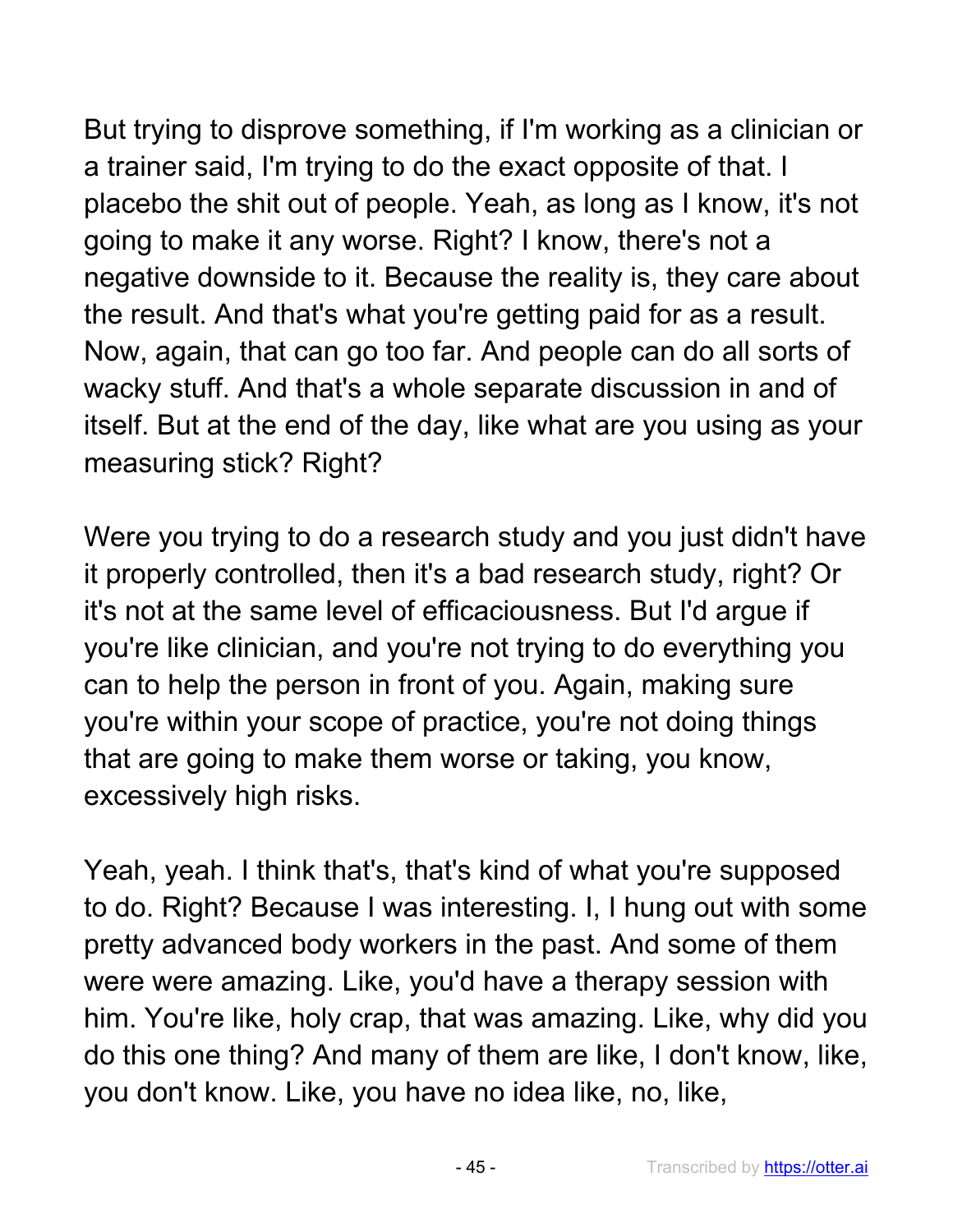But trying to disprove something, if I'm working as a clinician or a trainer said, I'm trying to do the exact opposite of that. I placebo the shit out of people. Yeah, as long as I know, it's not going to make it any worse. Right? I know, there's not a negative downside to it. Because the reality is, they care about the result. And that's what you're getting paid for as a result. Now, again, that can go too far. And people can do all sorts of wacky stuff. And that's a whole separate discussion in and of itself. But at the end of the day, like what are you using as your measuring stick? Right?

Were you trying to do a research study and you just didn't have it properly controlled, then it's a bad research study, right? Or it's not at the same level of efficaciousness. But I'd argue if you're like clinician, and you're not trying to do everything you can to help the person in front of you. Again, making sure you're within your scope of practice, you're not doing things that are going to make them worse or taking, you know, excessively high risks.

Yeah, yeah. I think that's, that's kind of what you're supposed to do. Right? Because I was interesting. I, I hung out with some pretty advanced body workers in the past. And some of them were were amazing. Like, you'd have a therapy session with him. You're like, holy crap, that was amazing. Like, why did you do this one thing? And many of them are like, I don't know, like, you don't know. Like, you have no idea like, no, like,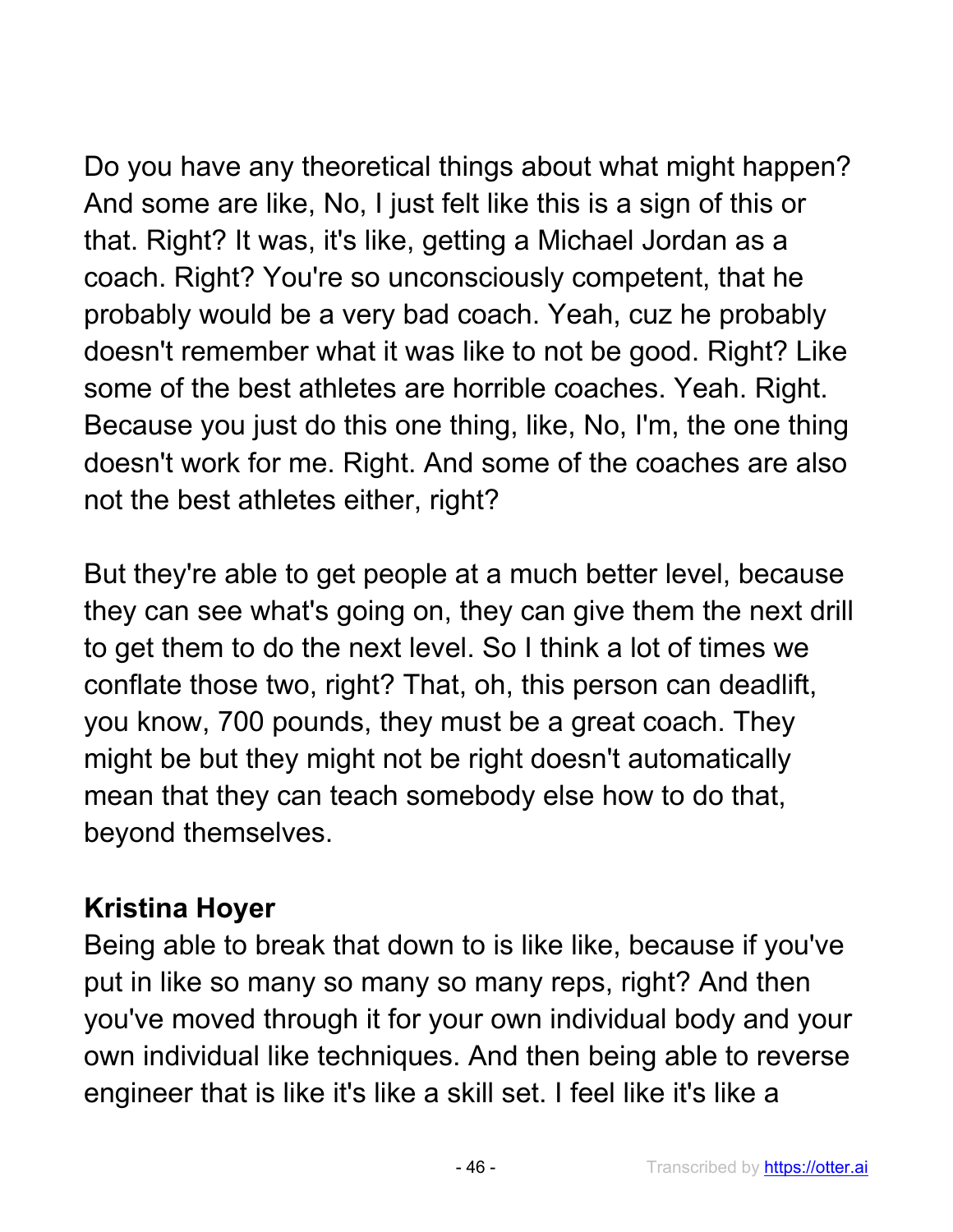Do you have any theoretical things about what might happen? And some are like, No, I just felt like this is a sign of this or that. Right? It was, it's like, getting a Michael Jordan as a coach. Right? You're so unconsciously competent, that he probably would be a very bad coach. Yeah, cuz he probably doesn't remember what it was like to not be good. Right? Like some of the best athletes are horrible coaches. Yeah. Right. Because you just do this one thing, like, No, I'm, the one thing doesn't work for me. Right. And some of the coaches are also not the best athletes either, right?

But they're able to get people at a much better level, because they can see what's going on, they can give them the next drill to get them to do the next level. So I think a lot of times we conflate those two, right? That, oh, this person can deadlift, you know, 700 pounds, they must be a great coach. They might be but they might not be right doesn't automatically mean that they can teach somebody else how to do that, beyond themselves.

### **Kristina Hoyer**

Being able to break that down to is like like, because if you've put in like so many so many so many reps, right? And then you've moved through it for your own individual body and your own individual like techniques. And then being able to reverse engineer that is like it's like a skill set. I feel like it's like a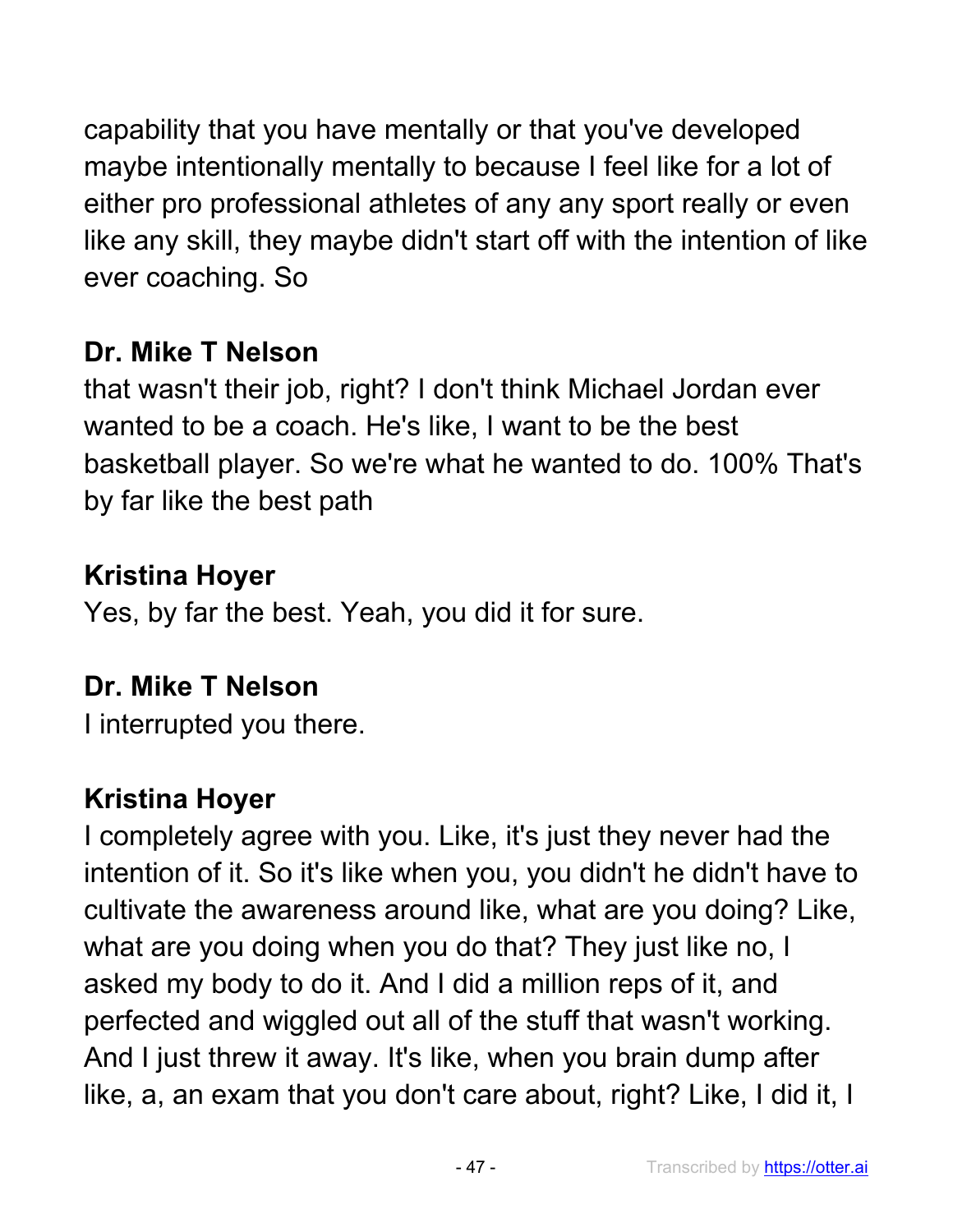capability that you have mentally or that you've developed maybe intentionally mentally to because I feel like for a lot of either pro professional athletes of any any sport really or even like any skill, they maybe didn't start off with the intention of like ever coaching. So

# **Dr. Mike T Nelson**

that wasn't their job, right? I don't think Michael Jordan ever wanted to be a coach. He's like, I want to be the best basketball player. So we're what he wanted to do. 100% That's by far like the best path

# **Kristina Hoyer**

Yes, by far the best. Yeah, you did it for sure.

# **Dr. Mike T Nelson**

I interrupted you there.

# **Kristina Hoyer**

I completely agree with you. Like, it's just they never had the intention of it. So it's like when you, you didn't he didn't have to cultivate the awareness around like, what are you doing? Like, what are you doing when you do that? They just like no, I asked my body to do it. And I did a million reps of it, and perfected and wiggled out all of the stuff that wasn't working. And I just threw it away. It's like, when you brain dump after like, a, an exam that you don't care about, right? Like, I did it, I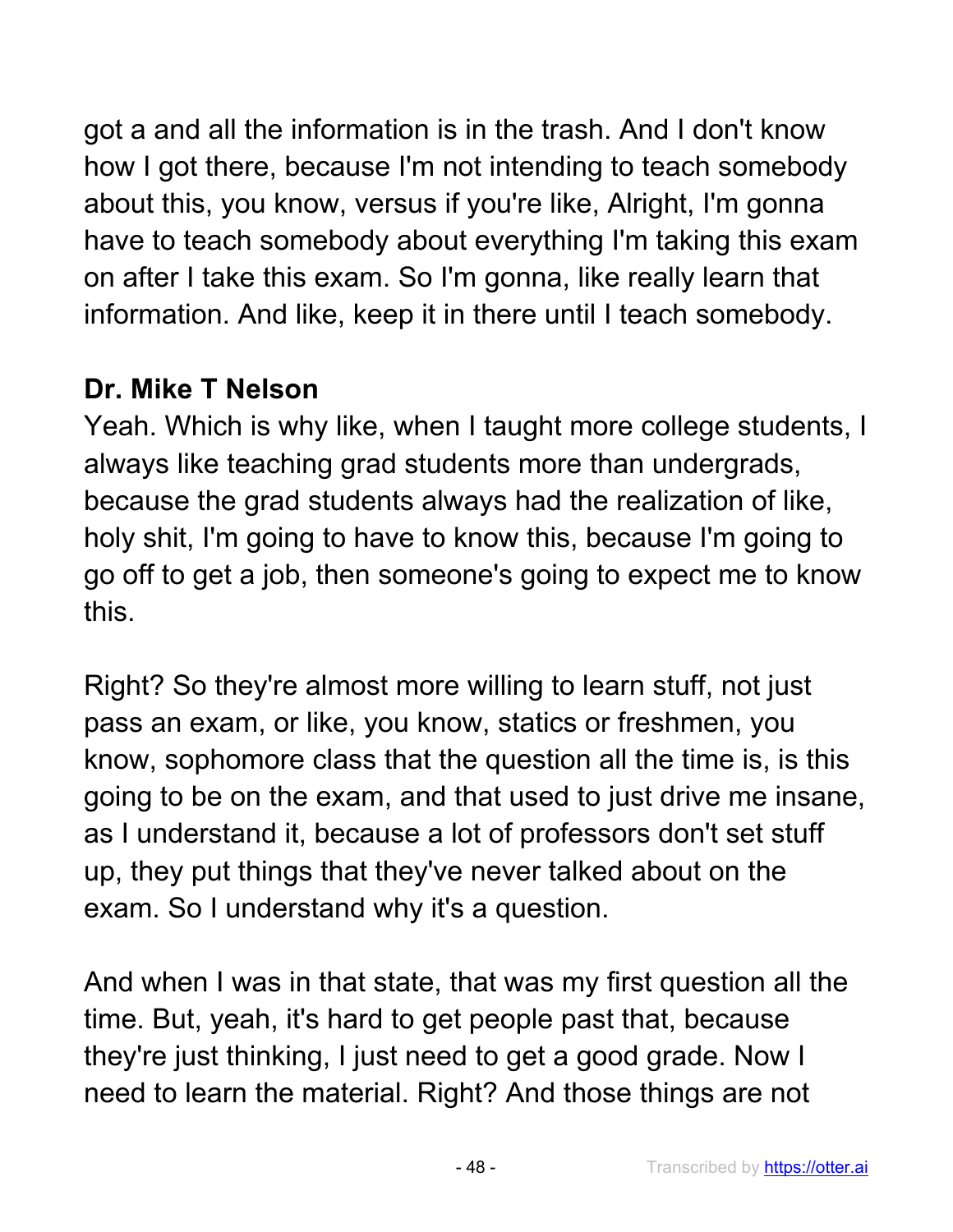got a and all the information is in the trash. And I don't know how I got there, because I'm not intending to teach somebody about this, you know, versus if you're like, Alright, I'm gonna have to teach somebody about everything I'm taking this exam on after I take this exam. So I'm gonna, like really learn that information. And like, keep it in there until I teach somebody.

## **Dr. Mike T Nelson**

Yeah. Which is why like, when I taught more college students, I always like teaching grad students more than undergrads, because the grad students always had the realization of like, holy shit, I'm going to have to know this, because I'm going to go off to get a job, then someone's going to expect me to know this.

Right? So they're almost more willing to learn stuff, not just pass an exam, or like, you know, statics or freshmen, you know, sophomore class that the question all the time is, is this going to be on the exam, and that used to just drive me insane, as I understand it, because a lot of professors don't set stuff up, they put things that they've never talked about on the exam. So I understand why it's a question.

And when I was in that state, that was my first question all the time. But, yeah, it's hard to get people past that, because they're just thinking, I just need to get a good grade. Now I need to learn the material. Right? And those things are not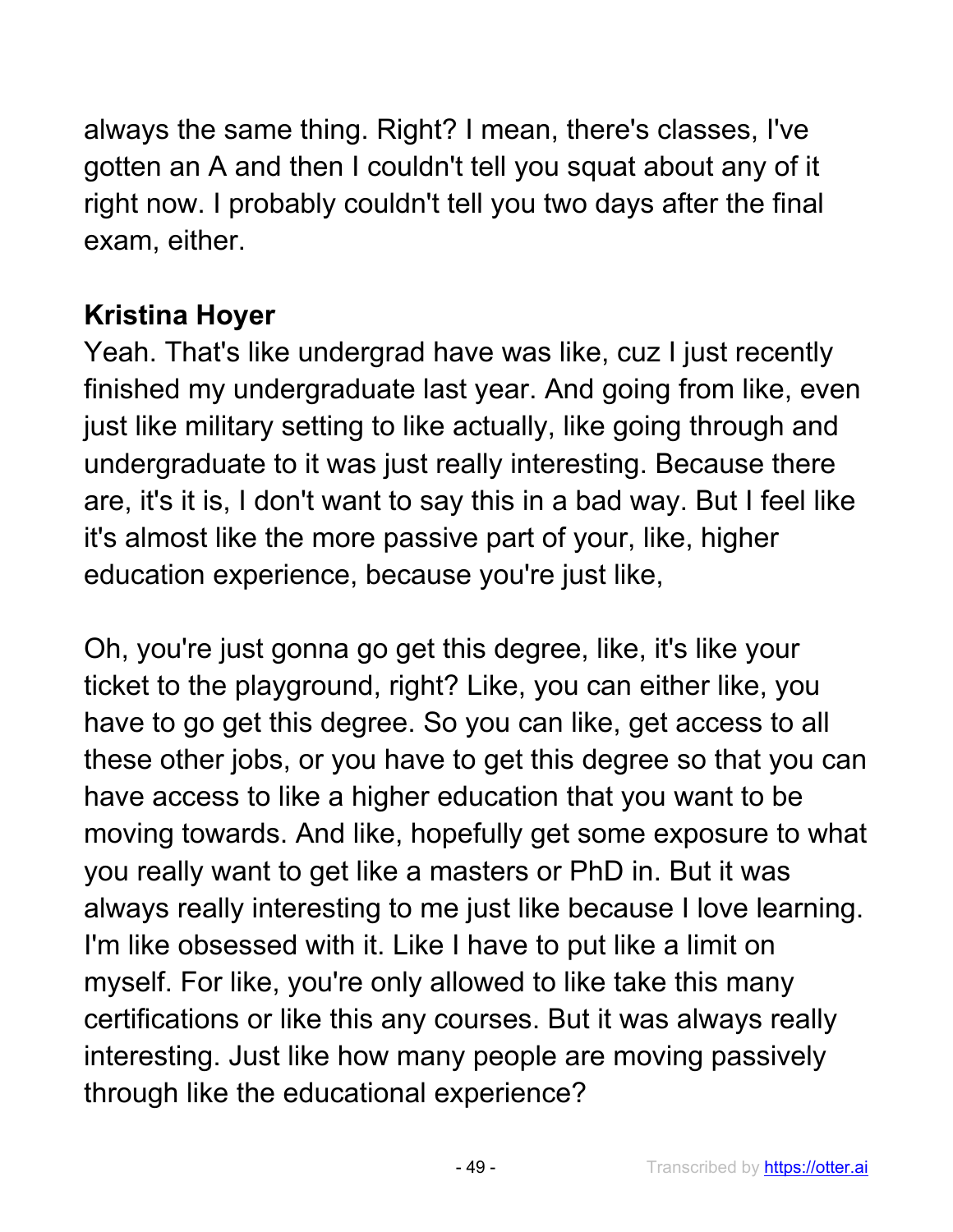always the same thing. Right? I mean, there's classes, I've gotten an A and then I couldn't tell you squat about any of it right now. I probably couldn't tell you two days after the final exam, either.

## **Kristina Hoyer**

Yeah. That's like undergrad have was like, cuz I just recently finished my undergraduate last year. And going from like, even just like military setting to like actually, like going through and undergraduate to it was just really interesting. Because there are, it's it is, I don't want to say this in a bad way. But I feel like it's almost like the more passive part of your, like, higher education experience, because you're just like,

Oh, you're just gonna go get this degree, like, it's like your ticket to the playground, right? Like, you can either like, you have to go get this degree. So you can like, get access to all these other jobs, or you have to get this degree so that you can have access to like a higher education that you want to be moving towards. And like, hopefully get some exposure to what you really want to get like a masters or PhD in. But it was always really interesting to me just like because I love learning. I'm like obsessed with it. Like I have to put like a limit on myself. For like, you're only allowed to like take this many certifications or like this any courses. But it was always really interesting. Just like how many people are moving passively through like the educational experience?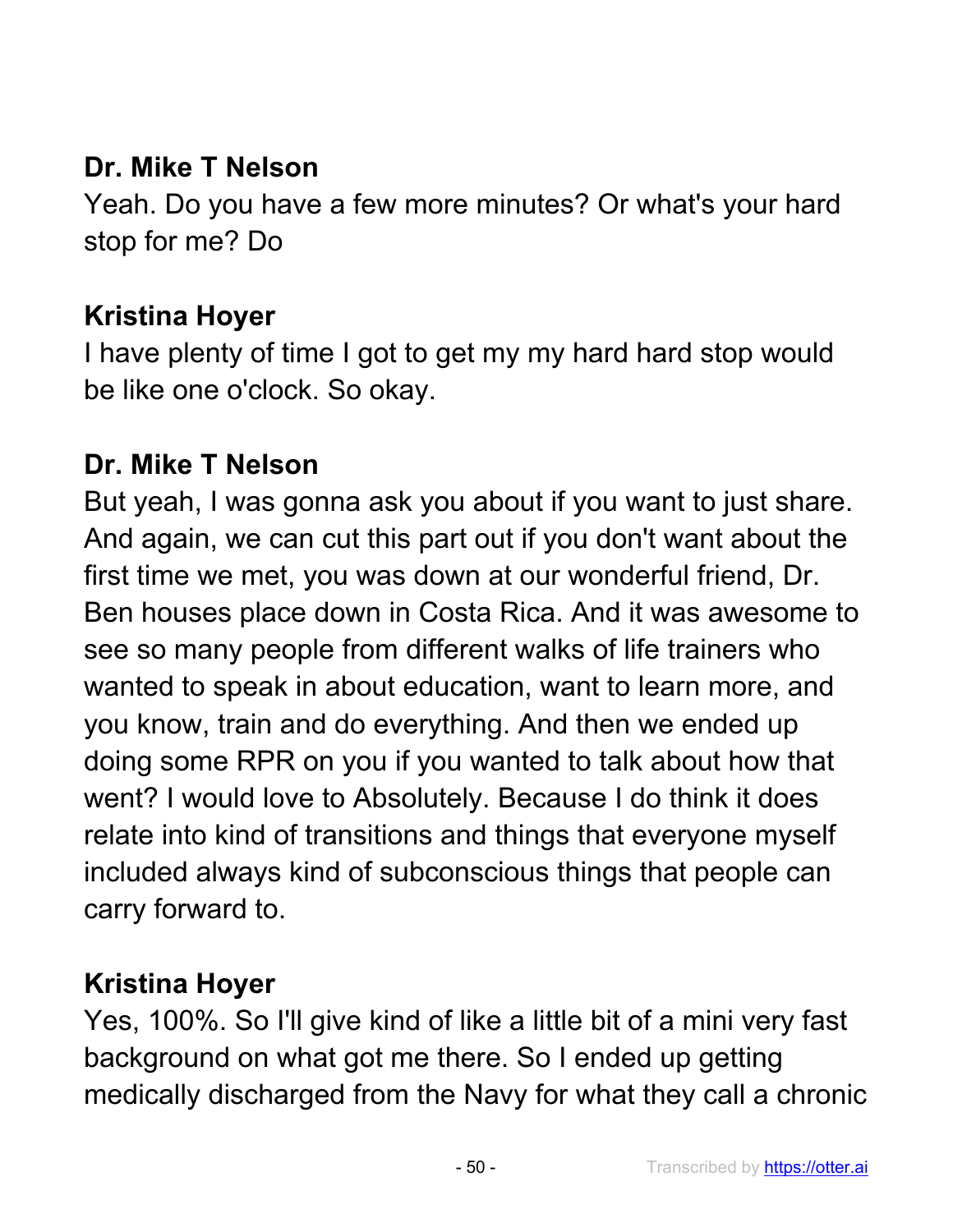### **Dr. Mike T Nelson**

Yeah. Do you have a few more minutes? Or what's your hard stop for me? Do

#### **Kristina Hoyer**

I have plenty of time I got to get my my hard hard stop would be like one o'clock. So okay.

#### **Dr. Mike T Nelson**

But yeah, I was gonna ask you about if you want to just share. And again, we can cut this part out if you don't want about the first time we met, you was down at our wonderful friend, Dr. Ben houses place down in Costa Rica. And it was awesome to see so many people from different walks of life trainers who wanted to speak in about education, want to learn more, and you know, train and do everything. And then we ended up doing some RPR on you if you wanted to talk about how that went? I would love to Absolutely. Because I do think it does relate into kind of transitions and things that everyone myself included always kind of subconscious things that people can carry forward to.

### **Kristina Hoyer**

Yes, 100%. So I'll give kind of like a little bit of a mini very fast background on what got me there. So I ended up getting medically discharged from the Navy for what they call a chronic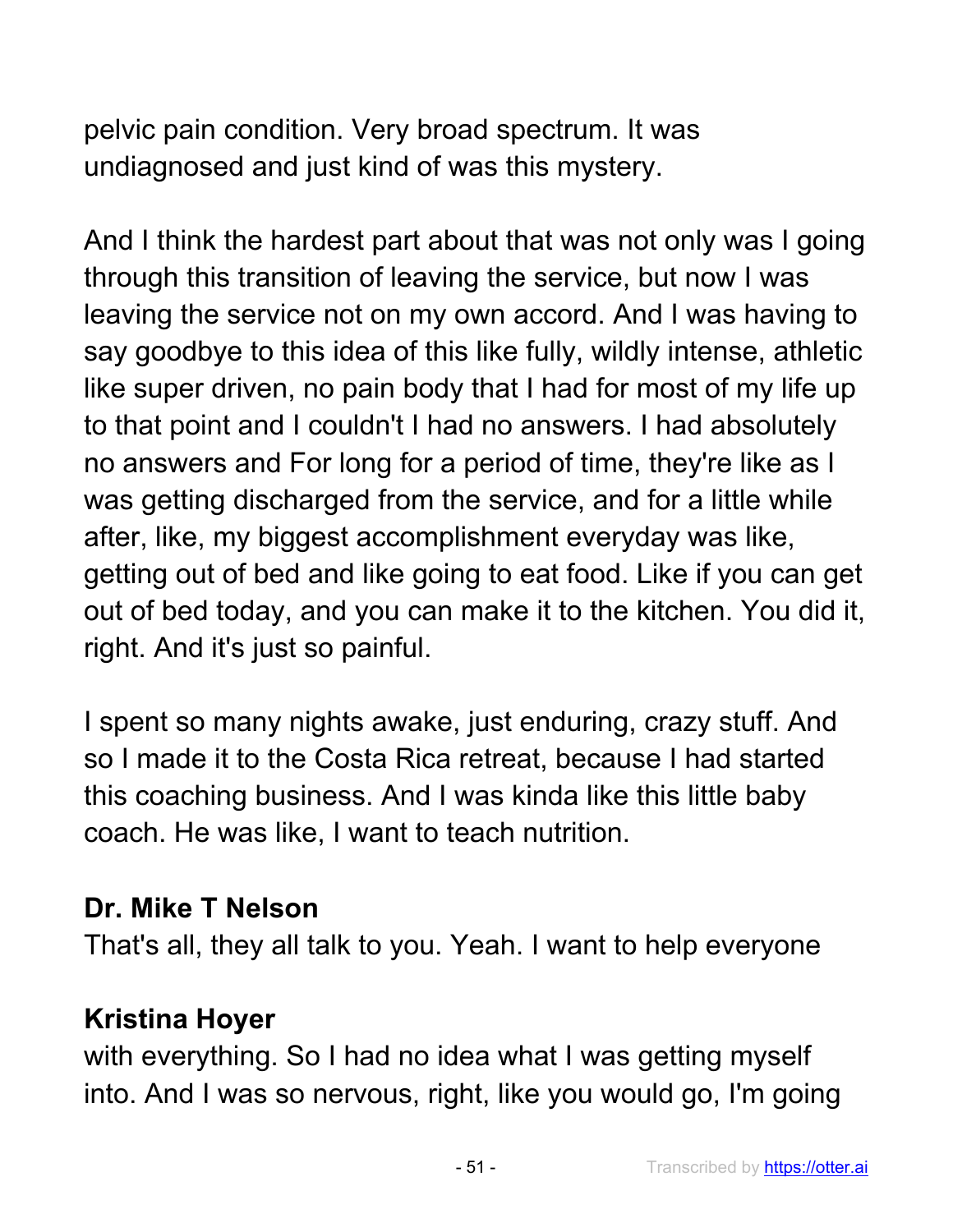pelvic pain condition. Very broad spectrum. It was undiagnosed and just kind of was this mystery.

And I think the hardest part about that was not only was I going through this transition of leaving the service, but now I was leaving the service not on my own accord. And I was having to say goodbye to this idea of this like fully, wildly intense, athletic like super driven, no pain body that I had for most of my life up to that point and I couldn't I had no answers. I had absolutely no answers and For long for a period of time, they're like as I was getting discharged from the service, and for a little while after, like, my biggest accomplishment everyday was like, getting out of bed and like going to eat food. Like if you can get out of bed today, and you can make it to the kitchen. You did it, right. And it's just so painful.

I spent so many nights awake, just enduring, crazy stuff. And so I made it to the Costa Rica retreat, because I had started this coaching business. And I was kinda like this little baby coach. He was like, I want to teach nutrition.

### **Dr. Mike T Nelson**

That's all, they all talk to you. Yeah. I want to help everyone

### **Kristina Hoyer**

with everything. So I had no idea what I was getting myself into. And I was so nervous, right, like you would go, I'm going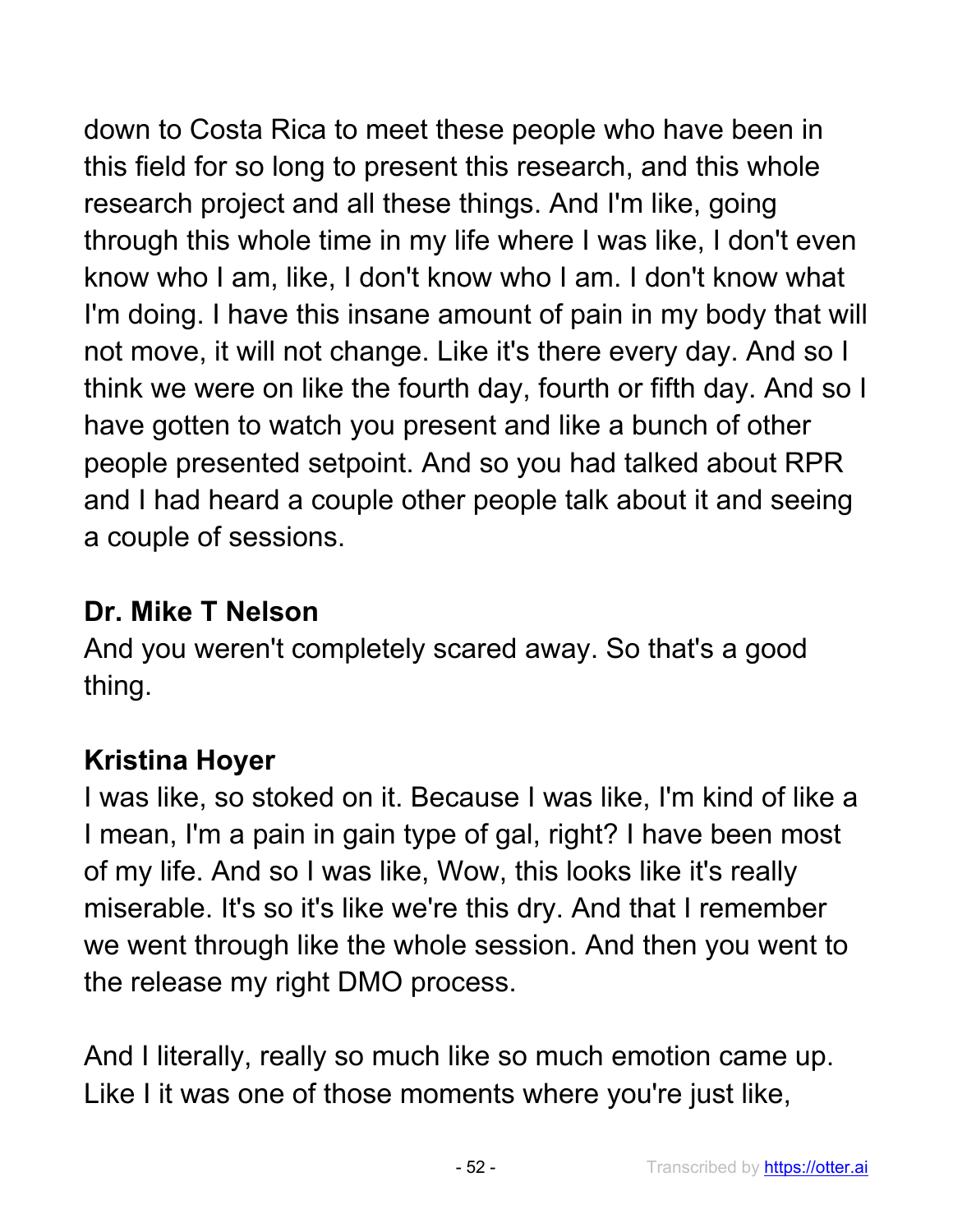down to Costa Rica to meet these people who have been in this field for so long to present this research, and this whole research project and all these things. And I'm like, going through this whole time in my life where I was like, I don't even know who I am, like, I don't know who I am. I don't know what I'm doing. I have this insane amount of pain in my body that will not move, it will not change. Like it's there every day. And so I think we were on like the fourth day, fourth or fifth day. And so I have gotten to watch you present and like a bunch of other people presented setpoint. And so you had talked about RPR and I had heard a couple other people talk about it and seeing a couple of sessions.

### **Dr. Mike T Nelson**

And you weren't completely scared away. So that's a good thing.

# **Kristina Hoyer**

I was like, so stoked on it. Because I was like, I'm kind of like a I mean, I'm a pain in gain type of gal, right? I have been most of my life. And so I was like, Wow, this looks like it's really miserable. It's so it's like we're this dry. And that I remember we went through like the whole session. And then you went to the release my right DMO process.

And I literally, really so much like so much emotion came up. Like I it was one of those moments where you're just like,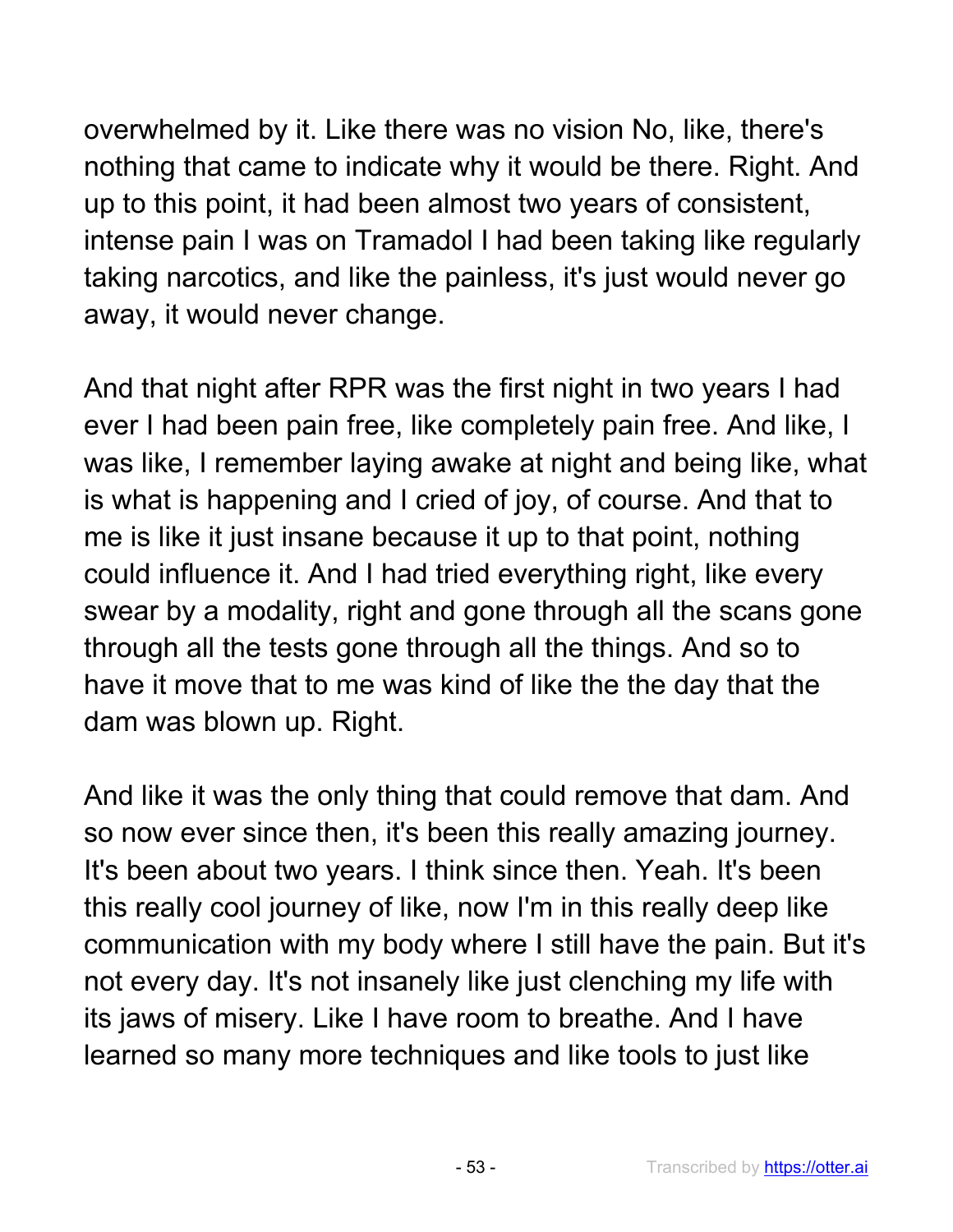overwhelmed by it. Like there was no vision No, like, there's nothing that came to indicate why it would be there. Right. And up to this point, it had been almost two years of consistent, intense pain I was on Tramadol I had been taking like regularly taking narcotics, and like the painless, it's just would never go away, it would never change.

And that night after RPR was the first night in two years I had ever I had been pain free, like completely pain free. And like, I was like, I remember laying awake at night and being like, what is what is happening and I cried of joy, of course. And that to me is like it just insane because it up to that point, nothing could influence it. And I had tried everything right, like every swear by a modality, right and gone through all the scans gone through all the tests gone through all the things. And so to have it move that to me was kind of like the the day that the dam was blown up. Right.

And like it was the only thing that could remove that dam. And so now ever since then, it's been this really amazing journey. It's been about two years. I think since then. Yeah. It's been this really cool journey of like, now I'm in this really deep like communication with my body where I still have the pain. But it's not every day. It's not insanely like just clenching my life with its jaws of misery. Like I have room to breathe. And I have learned so many more techniques and like tools to just like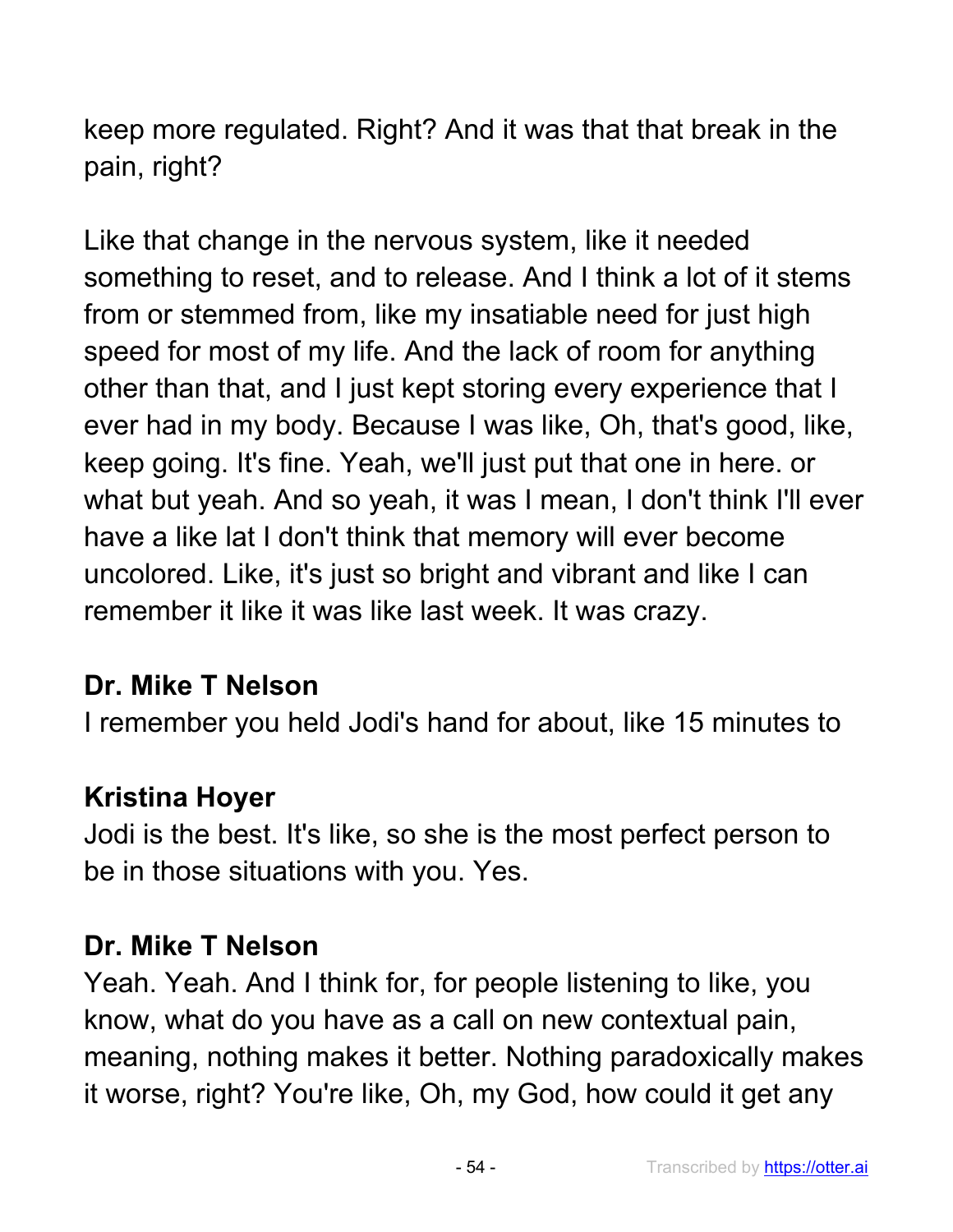keep more regulated. Right? And it was that that break in the pain, right?

Like that change in the nervous system, like it needed something to reset, and to release. And I think a lot of it stems from or stemmed from, like my insatiable need for just high speed for most of my life. And the lack of room for anything other than that, and I just kept storing every experience that I ever had in my body. Because I was like, Oh, that's good, like, keep going. It's fine. Yeah, we'll just put that one in here. or what but yeah. And so yeah, it was I mean, I don't think I'll ever have a like lat I don't think that memory will ever become uncolored. Like, it's just so bright and vibrant and like I can remember it like it was like last week. It was crazy.

### **Dr. Mike T Nelson**

I remember you held Jodi's hand for about, like 15 minutes to

### **Kristina Hoyer**

Jodi is the best. It's like, so she is the most perfect person to be in those situations with you. Yes.

# **Dr. Mike T Nelson**

Yeah. Yeah. And I think for, for people listening to like, you know, what do you have as a call on new contextual pain, meaning, nothing makes it better. Nothing paradoxically makes it worse, right? You're like, Oh, my God, how could it get any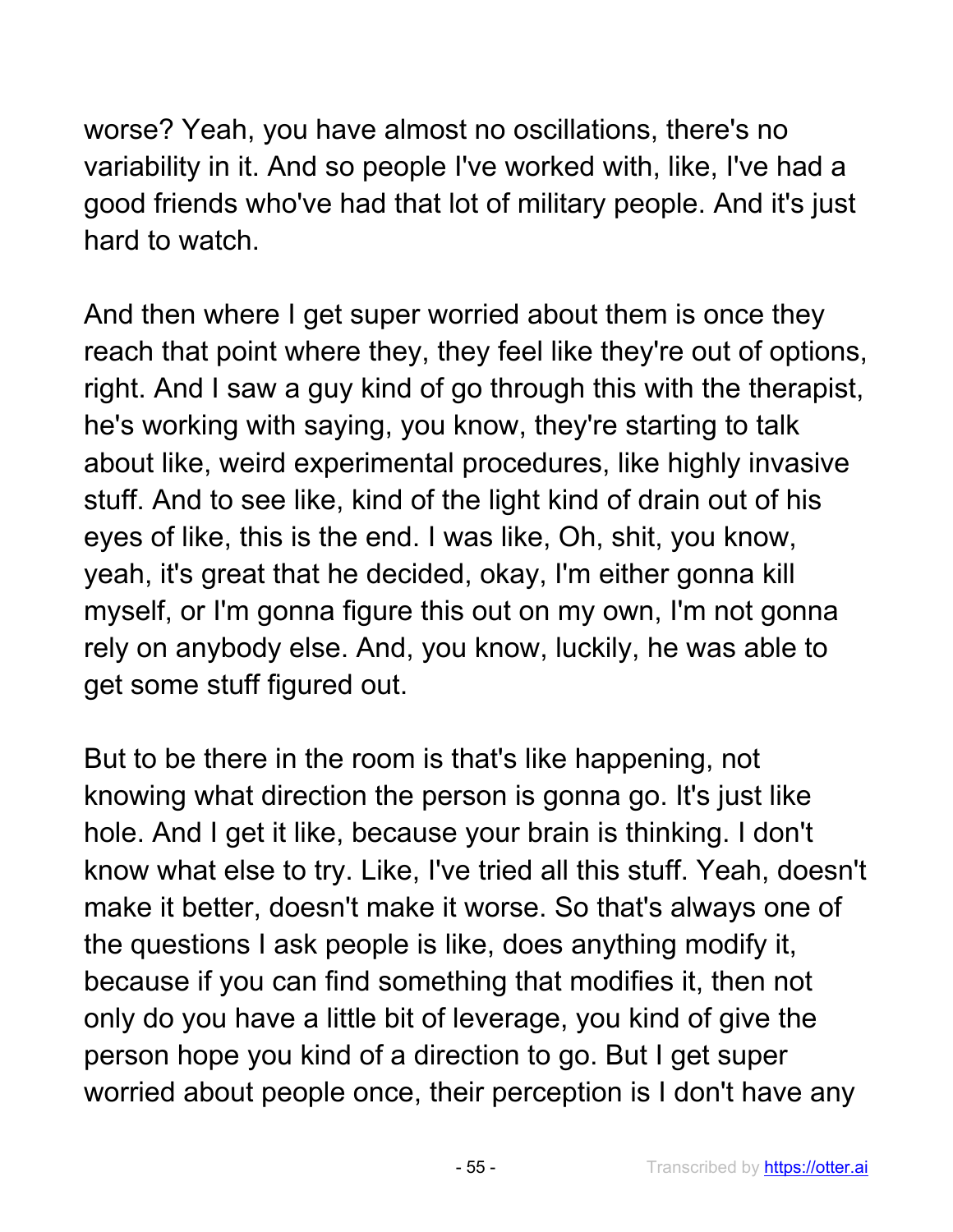worse? Yeah, you have almost no oscillations, there's no variability in it. And so people I've worked with, like, I've had a good friends who've had that lot of military people. And it's just hard to watch.

And then where I get super worried about them is once they reach that point where they, they feel like they're out of options, right. And I saw a guy kind of go through this with the therapist, he's working with saying, you know, they're starting to talk about like, weird experimental procedures, like highly invasive stuff. And to see like, kind of the light kind of drain out of his eyes of like, this is the end. I was like, Oh, shit, you know, yeah, it's great that he decided, okay, I'm either gonna kill myself, or I'm gonna figure this out on my own, I'm not gonna rely on anybody else. And, you know, luckily, he was able to get some stuff figured out.

But to be there in the room is that's like happening, not knowing what direction the person is gonna go. It's just like hole. And I get it like, because your brain is thinking. I don't know what else to try. Like, I've tried all this stuff. Yeah, doesn't make it better, doesn't make it worse. So that's always one of the questions I ask people is like, does anything modify it, because if you can find something that modifies it, then not only do you have a little bit of leverage, you kind of give the person hope you kind of a direction to go. But I get super worried about people once, their perception is I don't have any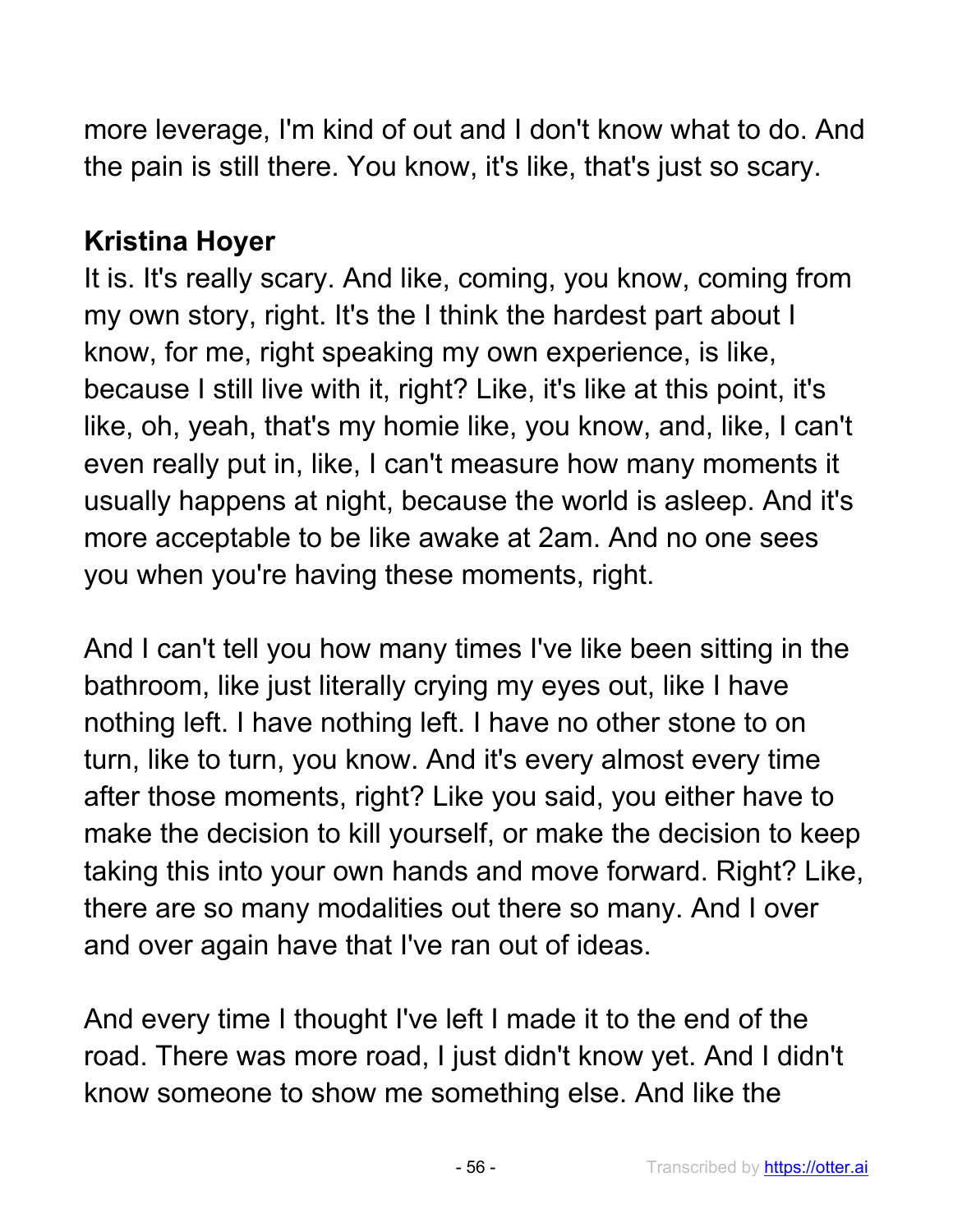more leverage, I'm kind of out and I don't know what to do. And the pain is still there. You know, it's like, that's just so scary.

### **Kristina Hoyer**

It is. It's really scary. And like, coming, you know, coming from my own story, right. It's the I think the hardest part about I know, for me, right speaking my own experience, is like, because I still live with it, right? Like, it's like at this point, it's like, oh, yeah, that's my homie like, you know, and, like, I can't even really put in, like, I can't measure how many moments it usually happens at night, because the world is asleep. And it's more acceptable to be like awake at 2am. And no one sees you when you're having these moments, right.

And I can't tell you how many times I've like been sitting in the bathroom, like just literally crying my eyes out, like I have nothing left. I have nothing left. I have no other stone to on turn, like to turn, you know. And it's every almost every time after those moments, right? Like you said, you either have to make the decision to kill yourself, or make the decision to keep taking this into your own hands and move forward. Right? Like, there are so many modalities out there so many. And I over and over again have that I've ran out of ideas.

And every time I thought I've left I made it to the end of the road. There was more road, I just didn't know yet. And I didn't know someone to show me something else. And like the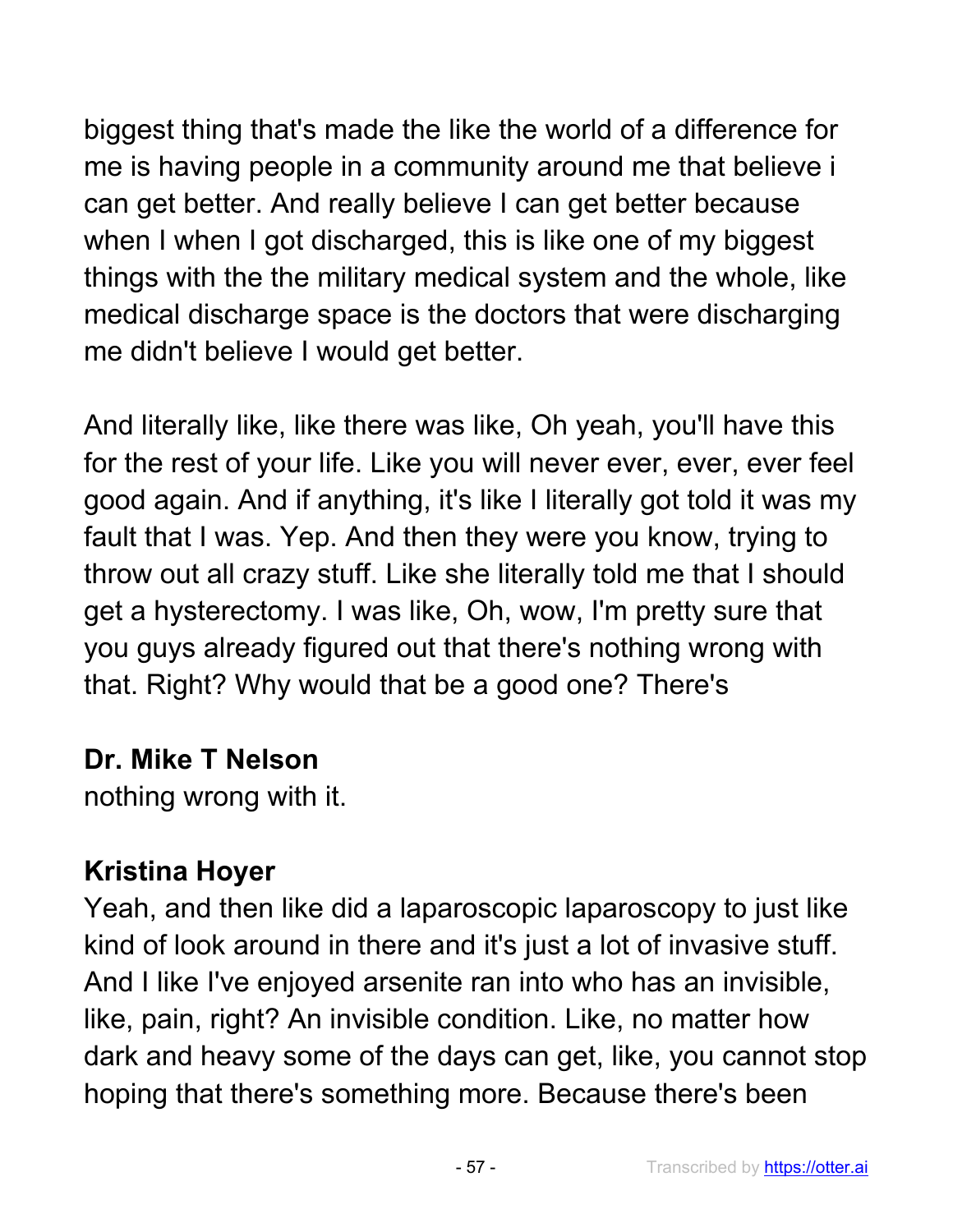biggest thing that's made the like the world of a difference for me is having people in a community around me that believe i can get better. And really believe I can get better because when I when I got discharged, this is like one of my biggest things with the the military medical system and the whole, like medical discharge space is the doctors that were discharging me didn't believe I would get better.

And literally like, like there was like, Oh yeah, you'll have this for the rest of your life. Like you will never ever, ever, ever feel good again. And if anything, it's like I literally got told it was my fault that I was. Yep. And then they were you know, trying to throw out all crazy stuff. Like she literally told me that I should get a hysterectomy. I was like, Oh, wow, I'm pretty sure that you guys already figured out that there's nothing wrong with that. Right? Why would that be a good one? There's

#### **Dr. Mike T Nelson**

nothing wrong with it.

#### **Kristina Hoyer**

Yeah, and then like did a laparoscopic laparoscopy to just like kind of look around in there and it's just a lot of invasive stuff. And I like I've enjoyed arsenite ran into who has an invisible, like, pain, right? An invisible condition. Like, no matter how dark and heavy some of the days can get, like, you cannot stop hoping that there's something more. Because there's been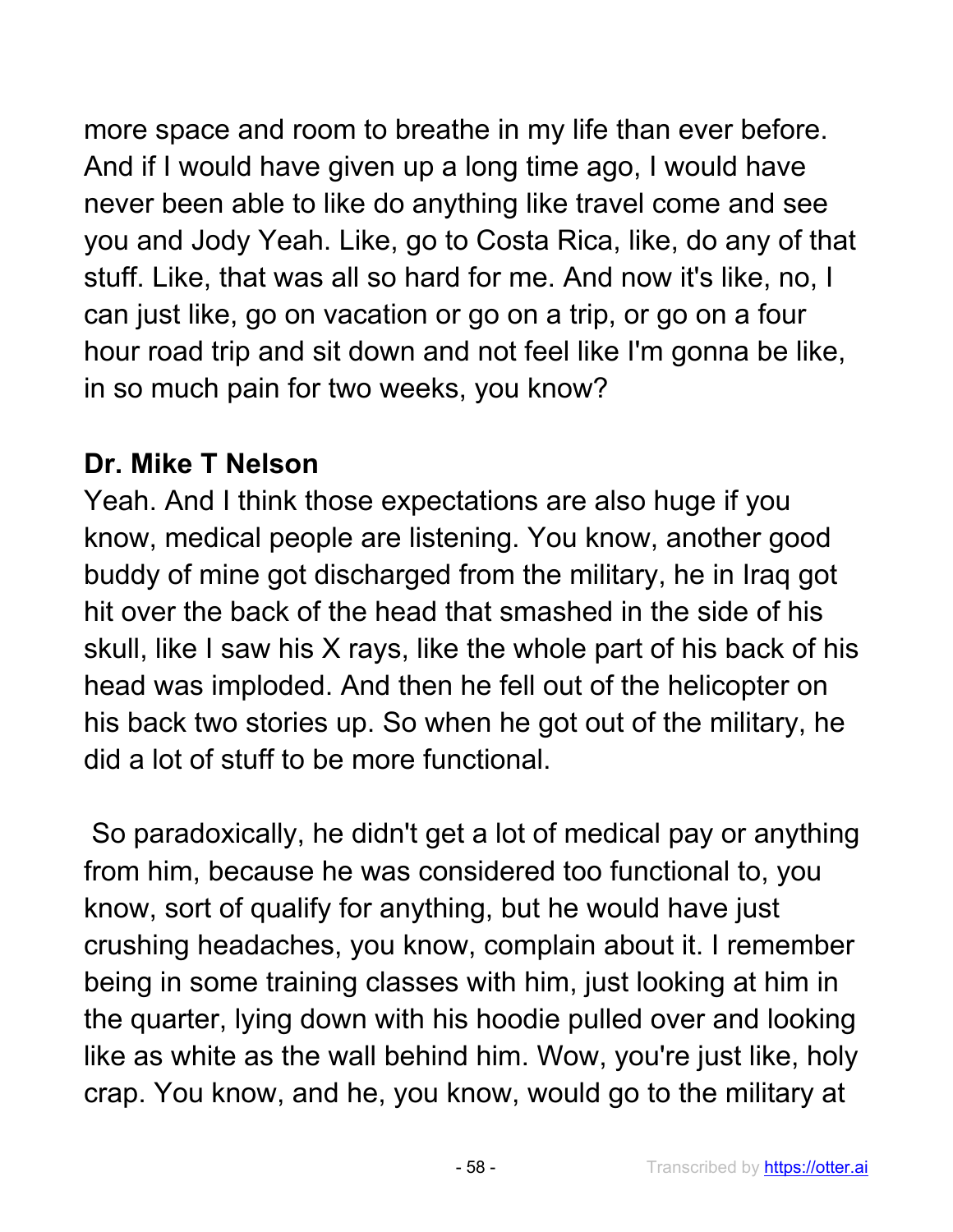more space and room to breathe in my life than ever before. And if I would have given up a long time ago, I would have never been able to like do anything like travel come and see you and Jody Yeah. Like, go to Costa Rica, like, do any of that stuff. Like, that was all so hard for me. And now it's like, no, I can just like, go on vacation or go on a trip, or go on a four hour road trip and sit down and not feel like I'm gonna be like, in so much pain for two weeks, you know?

#### **Dr. Mike T Nelson**

Yeah. And I think those expectations are also huge if you know, medical people are listening. You know, another good buddy of mine got discharged from the military, he in Iraq got hit over the back of the head that smashed in the side of his skull, like I saw his X rays, like the whole part of his back of his head was imploded. And then he fell out of the helicopter on his back two stories up. So when he got out of the military, he did a lot of stuff to be more functional.

So paradoxically, he didn't get a lot of medical pay or anything from him, because he was considered too functional to, you know, sort of qualify for anything, but he would have just crushing headaches, you know, complain about it. I remember being in some training classes with him, just looking at him in the quarter, lying down with his hoodie pulled over and looking like as white as the wall behind him. Wow, you're just like, holy crap. You know, and he, you know, would go to the military at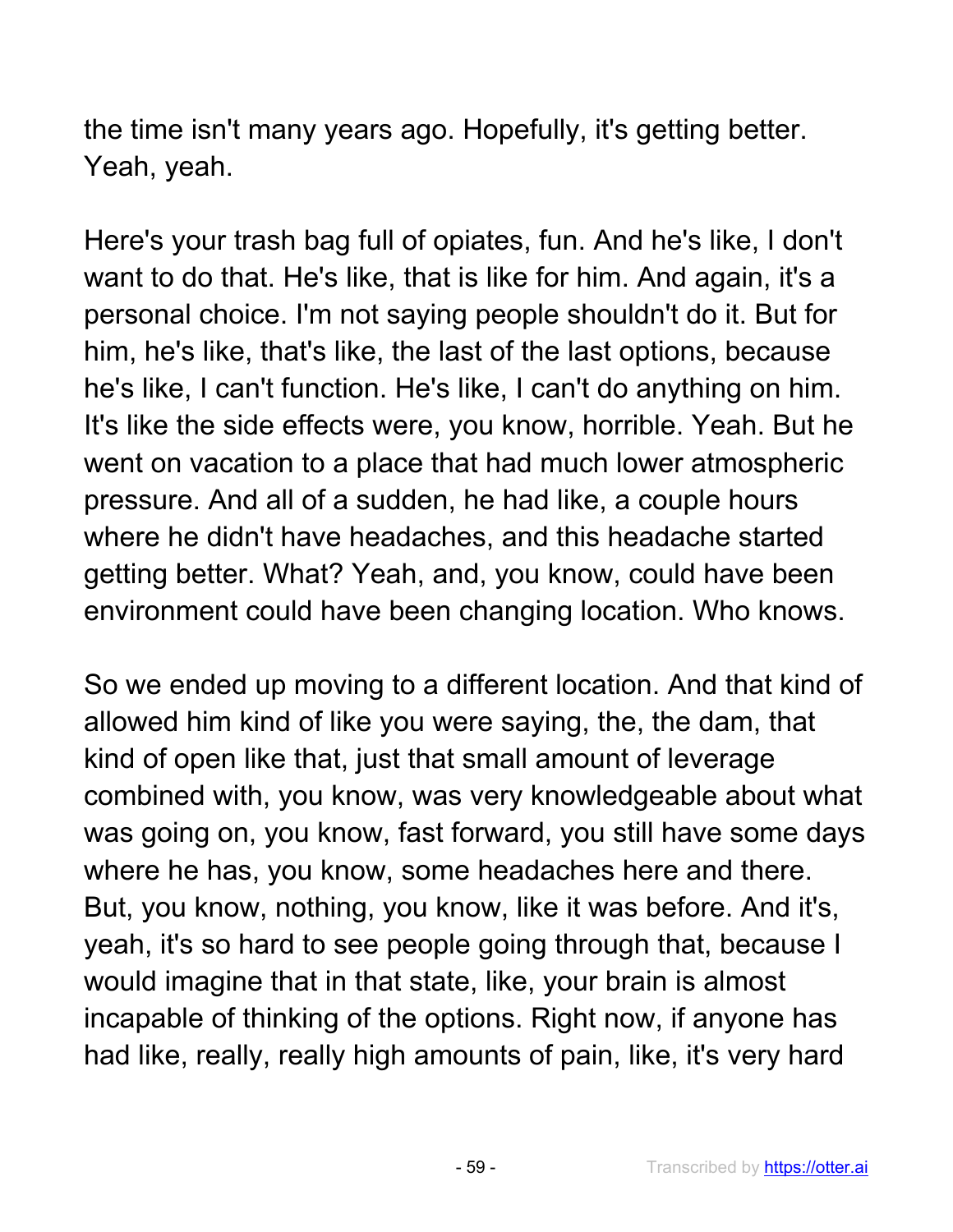the time isn't many years ago. Hopefully, it's getting better. Yeah, yeah.

Here's your trash bag full of opiates, fun. And he's like, I don't want to do that. He's like, that is like for him. And again, it's a personal choice. I'm not saying people shouldn't do it. But for him, he's like, that's like, the last of the last options, because he's like, I can't function. He's like, I can't do anything on him. It's like the side effects were, you know, horrible. Yeah. But he went on vacation to a place that had much lower atmospheric pressure. And all of a sudden, he had like, a couple hours where he didn't have headaches, and this headache started getting better. What? Yeah, and, you know, could have been environment could have been changing location. Who knows.

So we ended up moving to a different location. And that kind of allowed him kind of like you were saying, the, the dam, that kind of open like that, just that small amount of leverage combined with, you know, was very knowledgeable about what was going on, you know, fast forward, you still have some days where he has, you know, some headaches here and there. But, you know, nothing, you know, like it was before. And it's, yeah, it's so hard to see people going through that, because I would imagine that in that state, like, your brain is almost incapable of thinking of the options. Right now, if anyone has had like, really, really high amounts of pain, like, it's very hard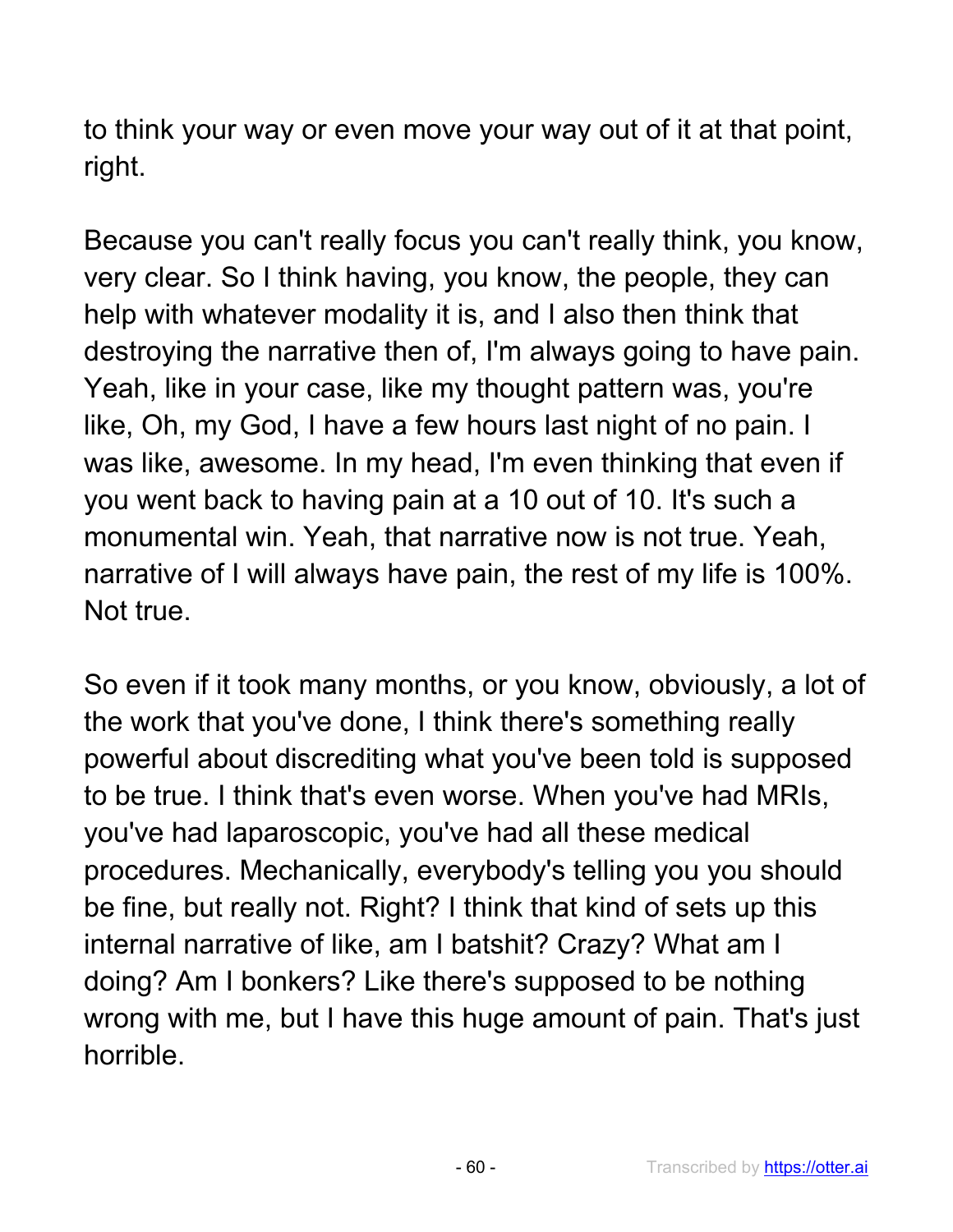to think your way or even move your way out of it at that point, right.

Because you can't really focus you can't really think, you know, very clear. So I think having, you know, the people, they can help with whatever modality it is, and I also then think that destroying the narrative then of, I'm always going to have pain. Yeah, like in your case, like my thought pattern was, you're like, Oh, my God, I have a few hours last night of no pain. I was like, awesome. In my head, I'm even thinking that even if you went back to having pain at a 10 out of 10. It's such a monumental win. Yeah, that narrative now is not true. Yeah, narrative of I will always have pain, the rest of my life is 100%. Not true.

So even if it took many months, or you know, obviously, a lot of the work that you've done, I think there's something really powerful about discrediting what you've been told is supposed to be true. I think that's even worse. When you've had MRIs, you've had laparoscopic, you've had all these medical procedures. Mechanically, everybody's telling you you should be fine, but really not. Right? I think that kind of sets up this internal narrative of like, am I batshit? Crazy? What am I doing? Am I bonkers? Like there's supposed to be nothing wrong with me, but I have this huge amount of pain. That's just horrible.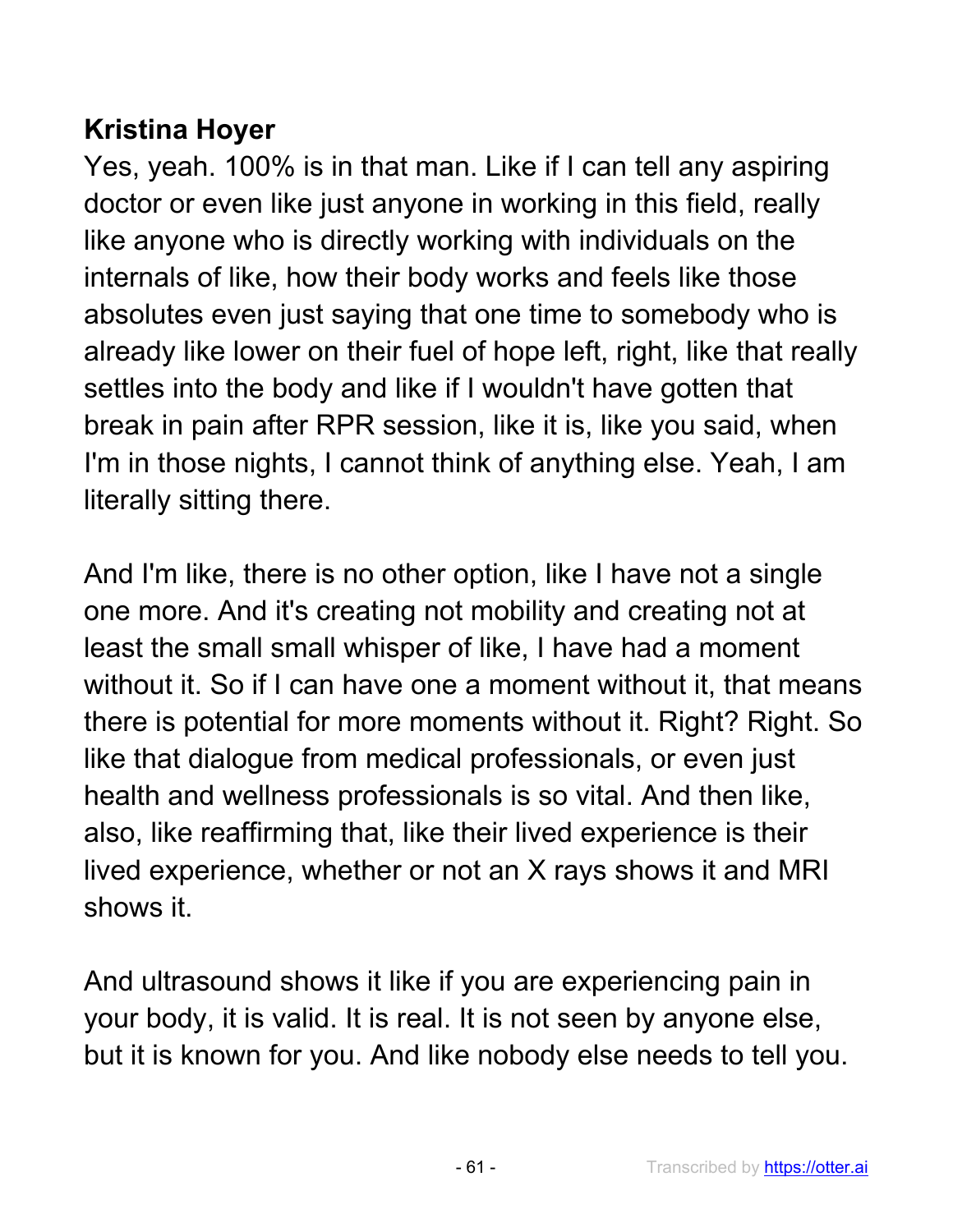# **Kristina Hoyer**

Yes, yeah. 100% is in that man. Like if I can tell any aspiring doctor or even like just anyone in working in this field, really like anyone who is directly working with individuals on the internals of like, how their body works and feels like those absolutes even just saying that one time to somebody who is already like lower on their fuel of hope left, right, like that really settles into the body and like if I wouldn't have gotten that break in pain after RPR session, like it is, like you said, when I'm in those nights, I cannot think of anything else. Yeah, I am literally sitting there.

And I'm like, there is no other option, like I have not a single one more. And it's creating not mobility and creating not at least the small small whisper of like, I have had a moment without it. So if I can have one a moment without it, that means there is potential for more moments without it. Right? Right. So like that dialogue from medical professionals, or even just health and wellness professionals is so vital. And then like, also, like reaffirming that, like their lived experience is their lived experience, whether or not an X rays shows it and MRI shows it.

And ultrasound shows it like if you are experiencing pain in your body, it is valid. It is real. It is not seen by anyone else, but it is known for you. And like nobody else needs to tell you.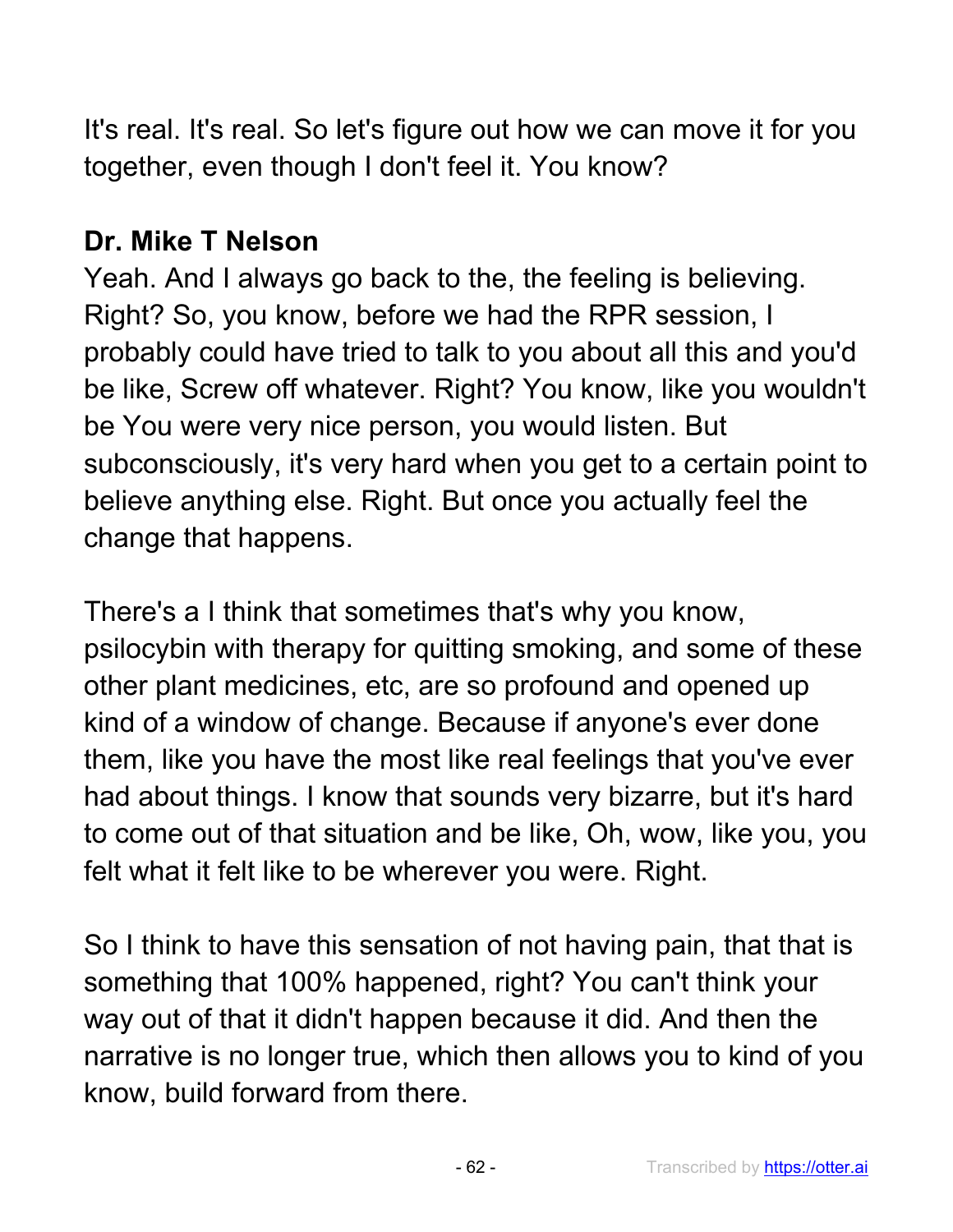It's real. It's real. So let's figure out how we can move it for you together, even though I don't feel it. You know?

## **Dr. Mike T Nelson**

Yeah. And I always go back to the, the feeling is believing. Right? So, you know, before we had the RPR session, I probably could have tried to talk to you about all this and you'd be like, Screw off whatever. Right? You know, like you wouldn't be You were very nice person, you would listen. But subconsciously, it's very hard when you get to a certain point to believe anything else. Right. But once you actually feel the change that happens.

There's a I think that sometimes that's why you know, psilocybin with therapy for quitting smoking, and some of these other plant medicines, etc, are so profound and opened up kind of a window of change. Because if anyone's ever done them, like you have the most like real feelings that you've ever had about things. I know that sounds very bizarre, but it's hard to come out of that situation and be like, Oh, wow, like you, you felt what it felt like to be wherever you were. Right.

So I think to have this sensation of not having pain, that that is something that 100% happened, right? You can't think your way out of that it didn't happen because it did. And then the narrative is no longer true, which then allows you to kind of you know, build forward from there.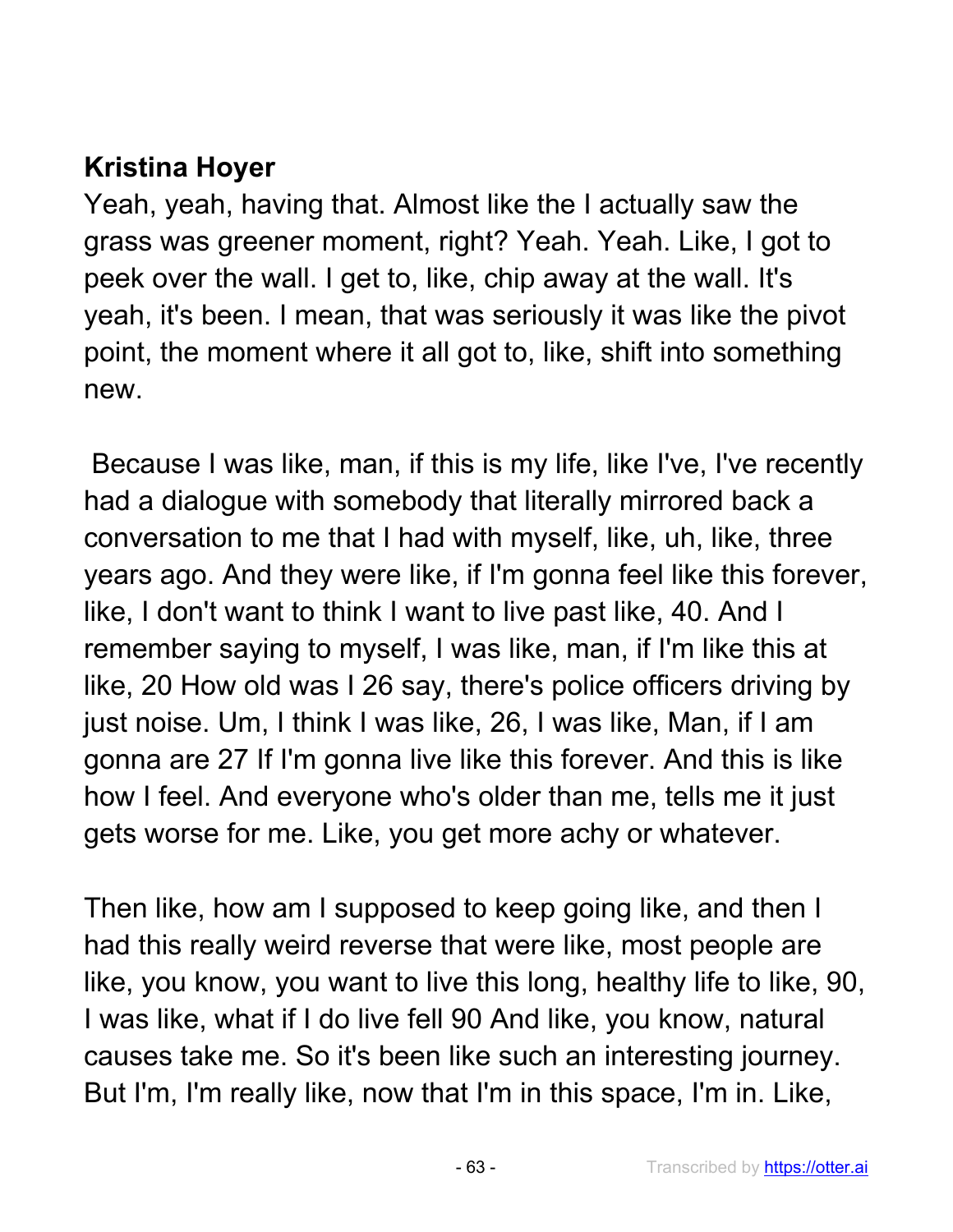# **Kristina Hoyer**

Yeah, yeah, having that. Almost like the I actually saw the grass was greener moment, right? Yeah. Yeah. Like, I got to peek over the wall. I get to, like, chip away at the wall. It's yeah, it's been. I mean, that was seriously it was like the pivot point, the moment where it all got to, like, shift into something new.

Because I was like, man, if this is my life, like I've, I've recently had a dialogue with somebody that literally mirrored back a conversation to me that I had with myself, like, uh, like, three years ago. And they were like, if I'm gonna feel like this forever, like, I don't want to think I want to live past like, 40. And I remember saying to myself, I was like, man, if I'm like this at like, 20 How old was I 26 say, there's police officers driving by just noise. Um, I think I was like, 26, I was like, Man, if I am gonna are 27 If I'm gonna live like this forever. And this is like how I feel. And everyone who's older than me, tells me it just gets worse for me. Like, you get more achy or whatever.

Then like, how am I supposed to keep going like, and then I had this really weird reverse that were like, most people are like, you know, you want to live this long, healthy life to like, 90, I was like, what if I do live fell 90 And like, you know, natural causes take me. So it's been like such an interesting journey. But I'm, I'm really like, now that I'm in this space, I'm in. Like,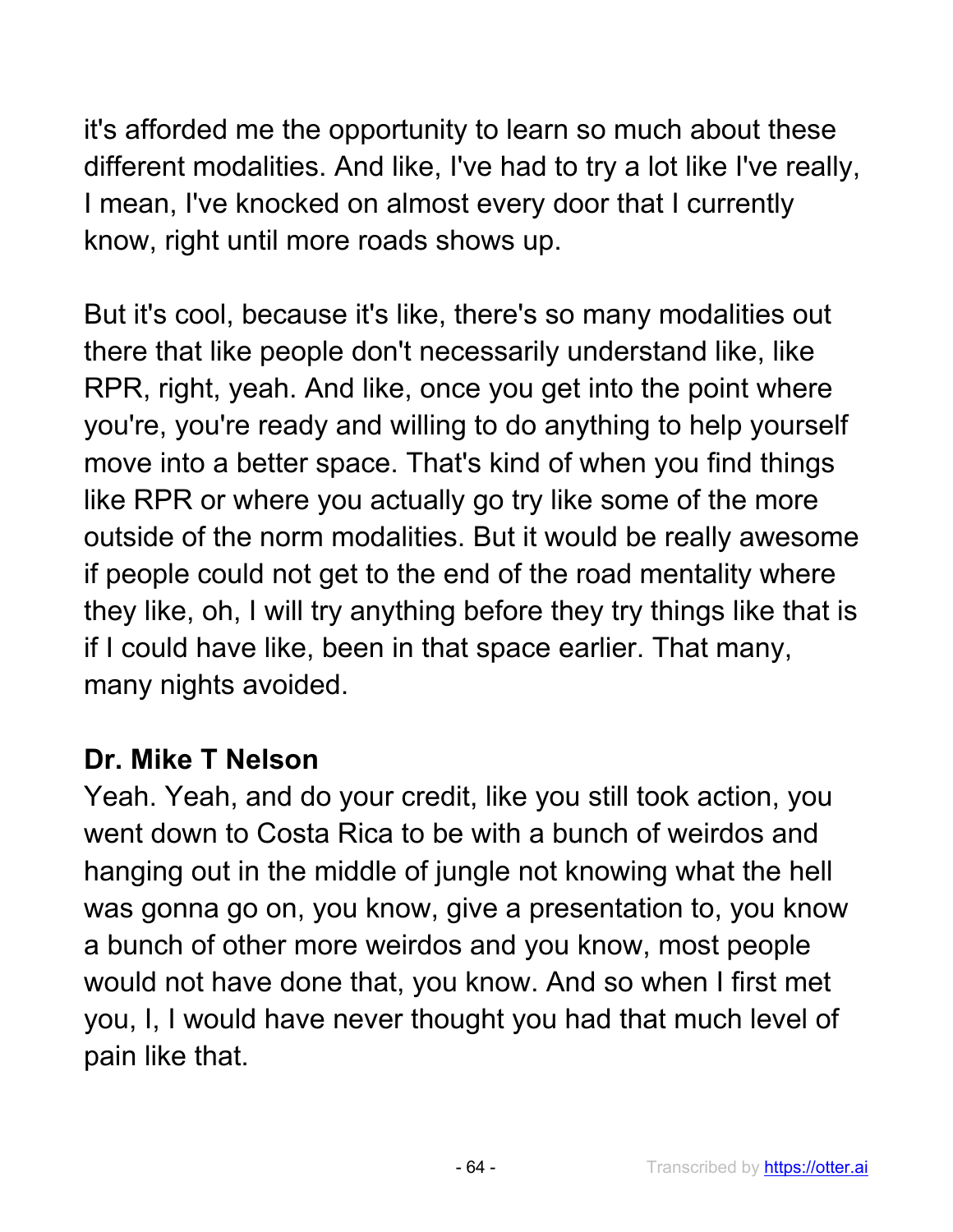it's afforded me the opportunity to learn so much about these different modalities. And like, I've had to try a lot like I've really, I mean, I've knocked on almost every door that I currently know, right until more roads shows up.

But it's cool, because it's like, there's so many modalities out there that like people don't necessarily understand like, like RPR, right, yeah. And like, once you get into the point where you're, you're ready and willing to do anything to help yourself move into a better space. That's kind of when you find things like RPR or where you actually go try like some of the more outside of the norm modalities. But it would be really awesome if people could not get to the end of the road mentality where they like, oh, I will try anything before they try things like that is if I could have like, been in that space earlier. That many, many nights avoided.

#### **Dr. Mike T Nelson**

Yeah. Yeah, and do your credit, like you still took action, you went down to Costa Rica to be with a bunch of weirdos and hanging out in the middle of jungle not knowing what the hell was gonna go on, you know, give a presentation to, you know a bunch of other more weirdos and you know, most people would not have done that, you know. And so when I first met you, I, I would have never thought you had that much level of pain like that.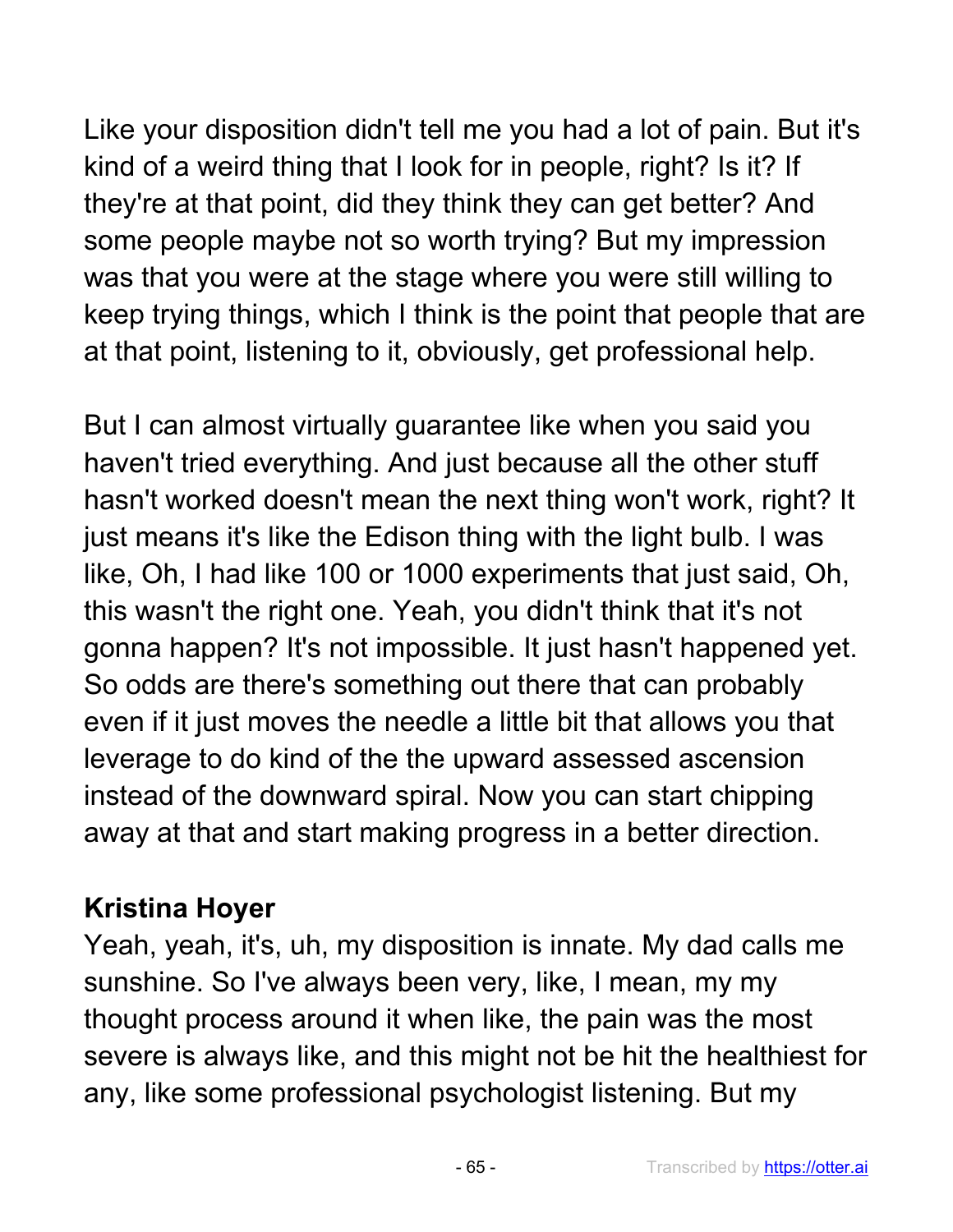Like your disposition didn't tell me you had a lot of pain. But it's kind of a weird thing that I look for in people, right? Is it? If they're at that point, did they think they can get better? And some people maybe not so worth trying? But my impression was that you were at the stage where you were still willing to keep trying things, which I think is the point that people that are at that point, listening to it, obviously, get professional help.

But I can almost virtually guarantee like when you said you haven't tried everything. And just because all the other stuff hasn't worked doesn't mean the next thing won't work, right? It just means it's like the Edison thing with the light bulb. I was like, Oh, I had like 100 or 1000 experiments that just said, Oh, this wasn't the right one. Yeah, you didn't think that it's not gonna happen? It's not impossible. It just hasn't happened yet. So odds are there's something out there that can probably even if it just moves the needle a little bit that allows you that leverage to do kind of the the upward assessed ascension instead of the downward spiral. Now you can start chipping away at that and start making progress in a better direction.

### **Kristina Hoyer**

Yeah, yeah, it's, uh, my disposition is innate. My dad calls me sunshine. So I've always been very, like, I mean, my my thought process around it when like, the pain was the most severe is always like, and this might not be hit the healthiest for any, like some professional psychologist listening. But my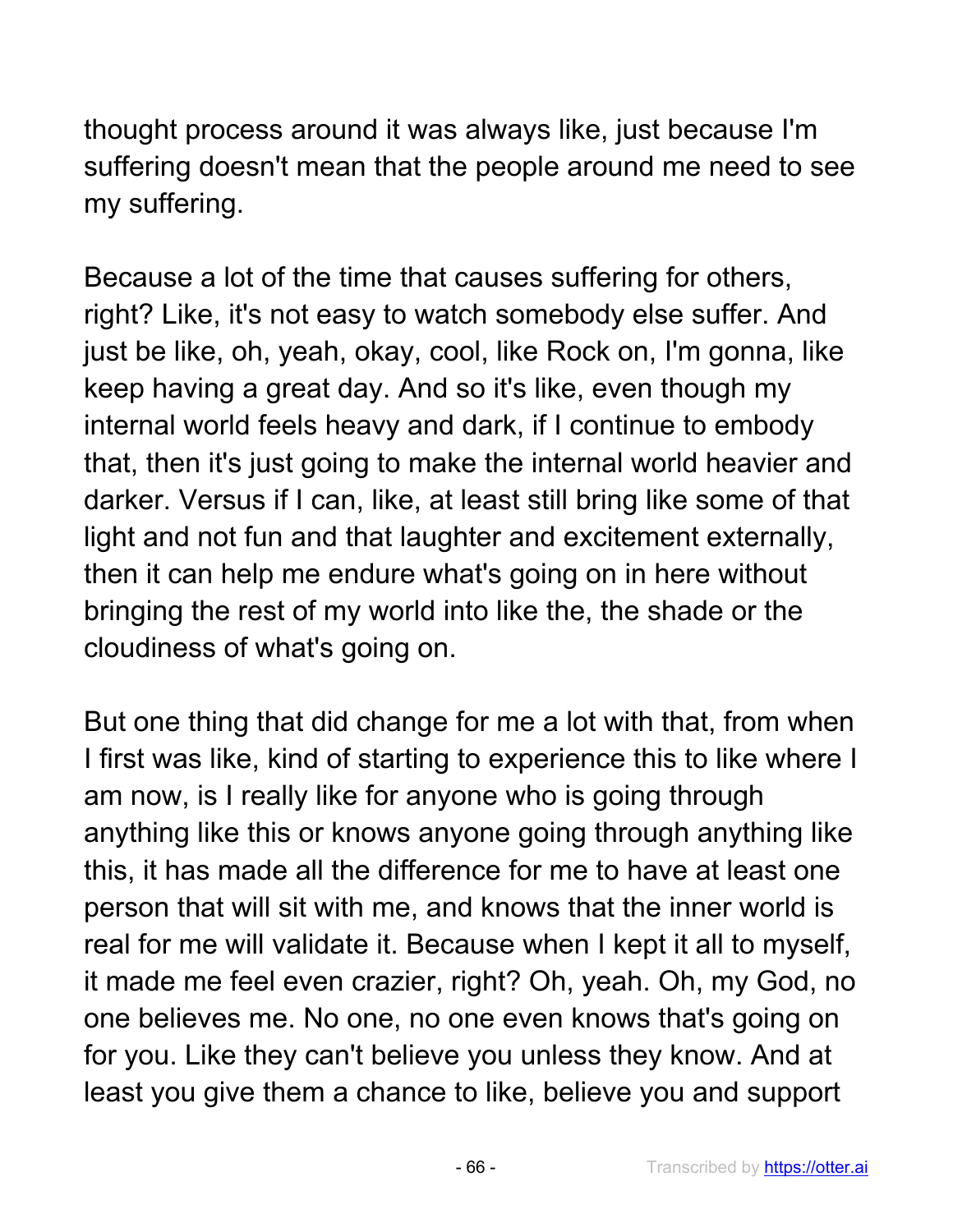thought process around it was always like, just because I'm suffering doesn't mean that the people around me need to see my suffering.

Because a lot of the time that causes suffering for others, right? Like, it's not easy to watch somebody else suffer. And just be like, oh, yeah, okay, cool, like Rock on, I'm gonna, like keep having a great day. And so it's like, even though my internal world feels heavy and dark, if I continue to embody that, then it's just going to make the internal world heavier and darker. Versus if I can, like, at least still bring like some of that light and not fun and that laughter and excitement externally, then it can help me endure what's going on in here without bringing the rest of my world into like the, the shade or the cloudiness of what's going on.

But one thing that did change for me a lot with that, from when I first was like, kind of starting to experience this to like where I am now, is I really like for anyone who is going through anything like this or knows anyone going through anything like this, it has made all the difference for me to have at least one person that will sit with me, and knows that the inner world is real for me will validate it. Because when I kept it all to myself, it made me feel even crazier, right? Oh, yeah. Oh, my God, no one believes me. No one, no one even knows that's going on for you. Like they can't believe you unless they know. And at least you give them a chance to like, believe you and support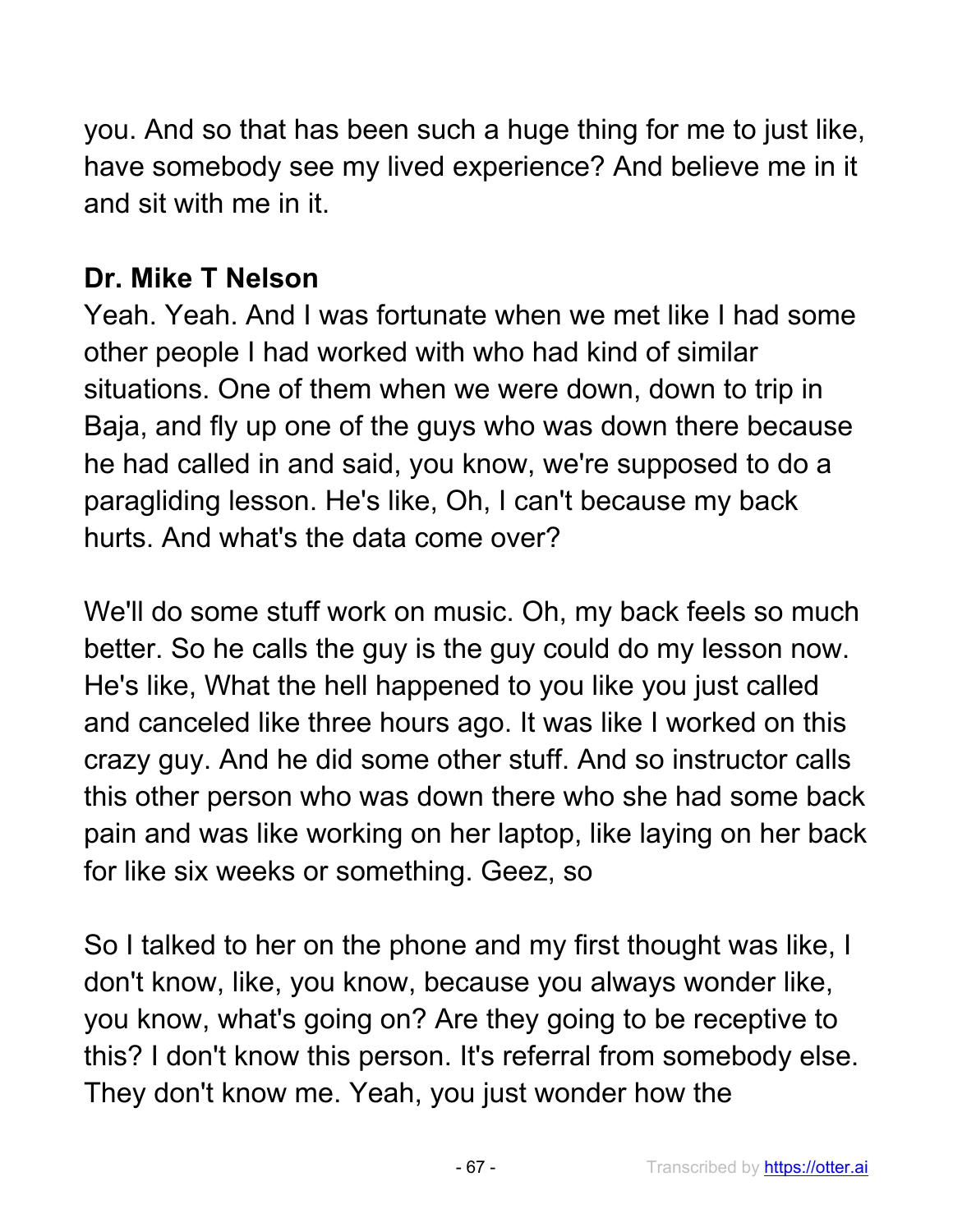you. And so that has been such a huge thing for me to just like, have somebody see my lived experience? And believe me in it and sit with me in it.

## **Dr. Mike T Nelson**

Yeah. Yeah. And I was fortunate when we met like I had some other people I had worked with who had kind of similar situations. One of them when we were down, down to trip in Baja, and fly up one of the guys who was down there because he had called in and said, you know, we're supposed to do a paragliding lesson. He's like, Oh, I can't because my back hurts. And what's the data come over?

We'll do some stuff work on music. Oh, my back feels so much better. So he calls the guy is the guy could do my lesson now. He's like, What the hell happened to you like you just called and canceled like three hours ago. It was like I worked on this crazy guy. And he did some other stuff. And so instructor calls this other person who was down there who she had some back pain and was like working on her laptop, like laying on her back for like six weeks or something. Geez, so

So I talked to her on the phone and my first thought was like, I don't know, like, you know, because you always wonder like, you know, what's going on? Are they going to be receptive to this? I don't know this person. It's referral from somebody else. They don't know me. Yeah, you just wonder how the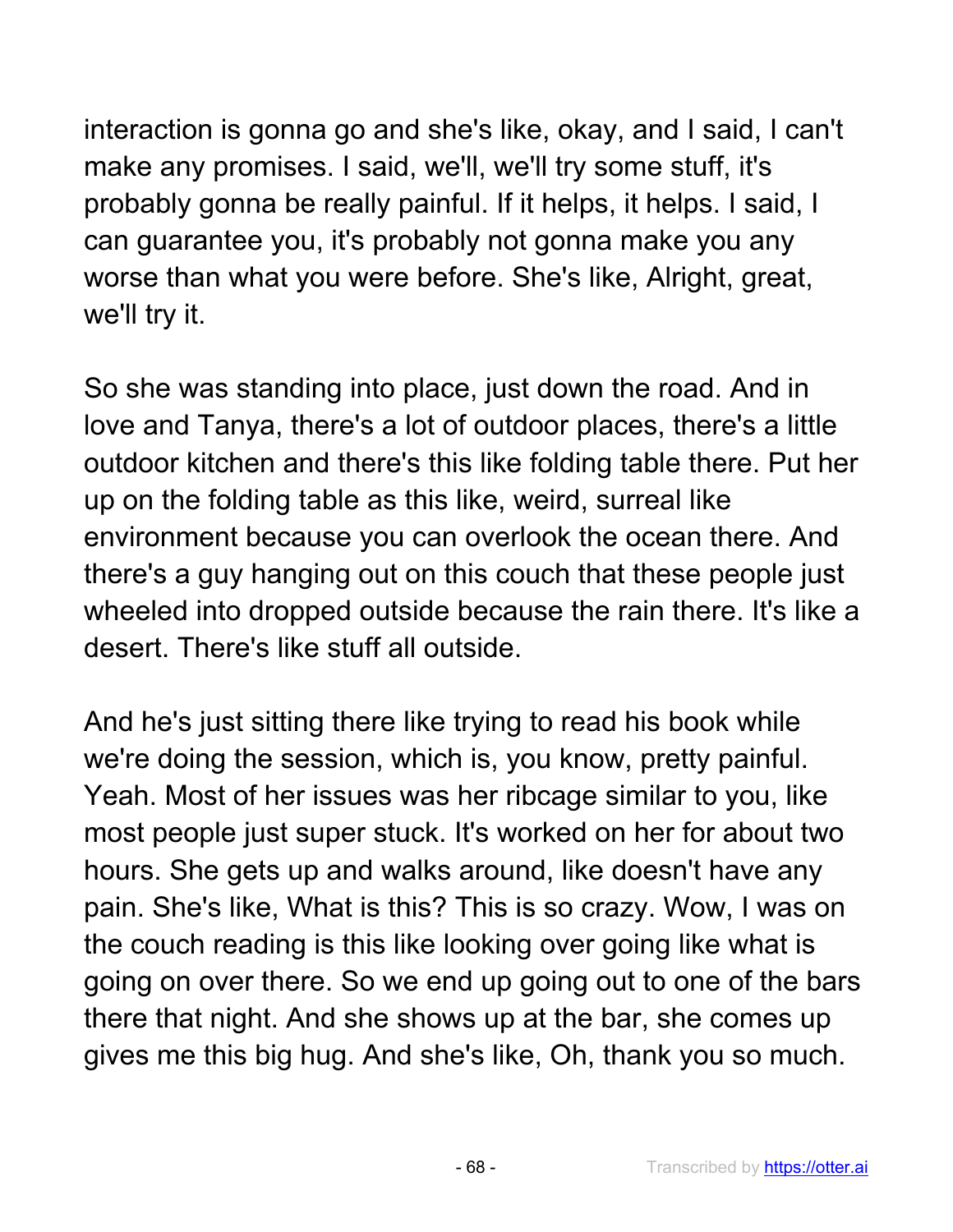interaction is gonna go and she's like, okay, and I said, I can't make any promises. I said, we'll, we'll try some stuff, it's probably gonna be really painful. If it helps, it helps. I said, I can guarantee you, it's probably not gonna make you any worse than what you were before. She's like, Alright, great, we'll try it.

So she was standing into place, just down the road. And in love and Tanya, there's a lot of outdoor places, there's a little outdoor kitchen and there's this like folding table there. Put her up on the folding table as this like, weird, surreal like environment because you can overlook the ocean there. And there's a guy hanging out on this couch that these people just wheeled into dropped outside because the rain there. It's like a desert. There's like stuff all outside.

And he's just sitting there like trying to read his book while we're doing the session, which is, you know, pretty painful. Yeah. Most of her issues was her ribcage similar to you, like most people just super stuck. It's worked on her for about two hours. She gets up and walks around, like doesn't have any pain. She's like, What is this? This is so crazy. Wow, I was on the couch reading is this like looking over going like what is going on over there. So we end up going out to one of the bars there that night. And she shows up at the bar, she comes up gives me this big hug. And she's like, Oh, thank you so much.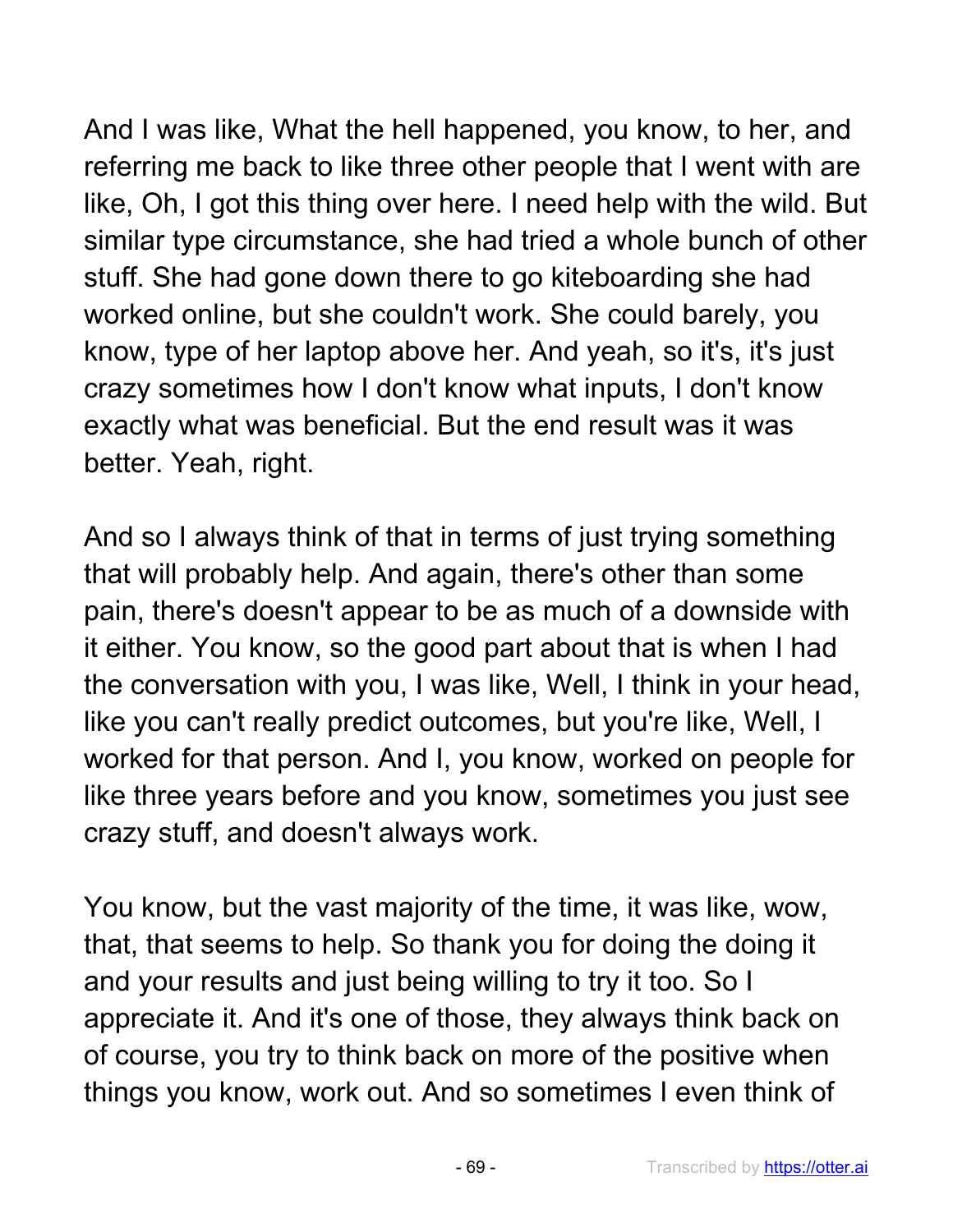And I was like, What the hell happened, you know, to her, and referring me back to like three other people that I went with are like, Oh, I got this thing over here. I need help with the wild. But similar type circumstance, she had tried a whole bunch of other stuff. She had gone down there to go kiteboarding she had worked online, but she couldn't work. She could barely, you know, type of her laptop above her. And yeah, so it's, it's just crazy sometimes how I don't know what inputs, I don't know exactly what was beneficial. But the end result was it was better. Yeah, right.

And so I always think of that in terms of just trying something that will probably help. And again, there's other than some pain, there's doesn't appear to be as much of a downside with it either. You know, so the good part about that is when I had the conversation with you, I was like, Well, I think in your head, like you can't really predict outcomes, but you're like, Well, I worked for that person. And I, you know, worked on people for like three years before and you know, sometimes you just see crazy stuff, and doesn't always work.

You know, but the vast majority of the time, it was like, wow, that, that seems to help. So thank you for doing the doing it and your results and just being willing to try it too. So I appreciate it. And it's one of those, they always think back on of course, you try to think back on more of the positive when things you know, work out. And so sometimes I even think of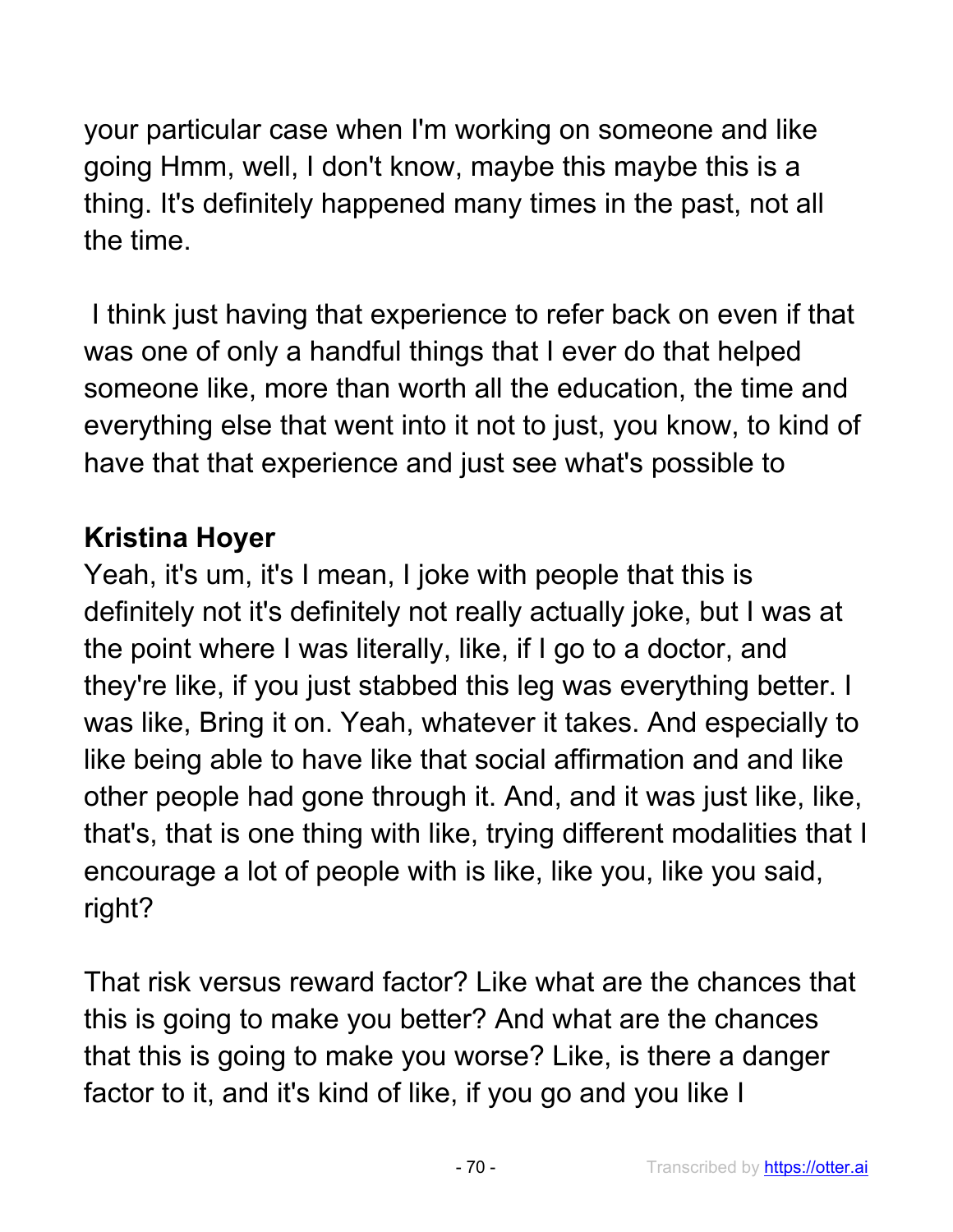your particular case when I'm working on someone and like going Hmm, well, I don't know, maybe this maybe this is a thing. It's definitely happened many times in the past, not all the time.

I think just having that experience to refer back on even if that was one of only a handful things that I ever do that helped someone like, more than worth all the education, the time and everything else that went into it not to just, you know, to kind of have that that experience and just see what's possible to

#### **Kristina Hoyer**

Yeah, it's um, it's I mean, I joke with people that this is definitely not it's definitely not really actually joke, but I was at the point where I was literally, like, if I go to a doctor, and they're like, if you just stabbed this leg was everything better. I was like, Bring it on. Yeah, whatever it takes. And especially to like being able to have like that social affirmation and and like other people had gone through it. And, and it was just like, like, that's, that is one thing with like, trying different modalities that I encourage a lot of people with is like, like you, like you said, right?

That risk versus reward factor? Like what are the chances that this is going to make you better? And what are the chances that this is going to make you worse? Like, is there a danger factor to it, and it's kind of like, if you go and you like I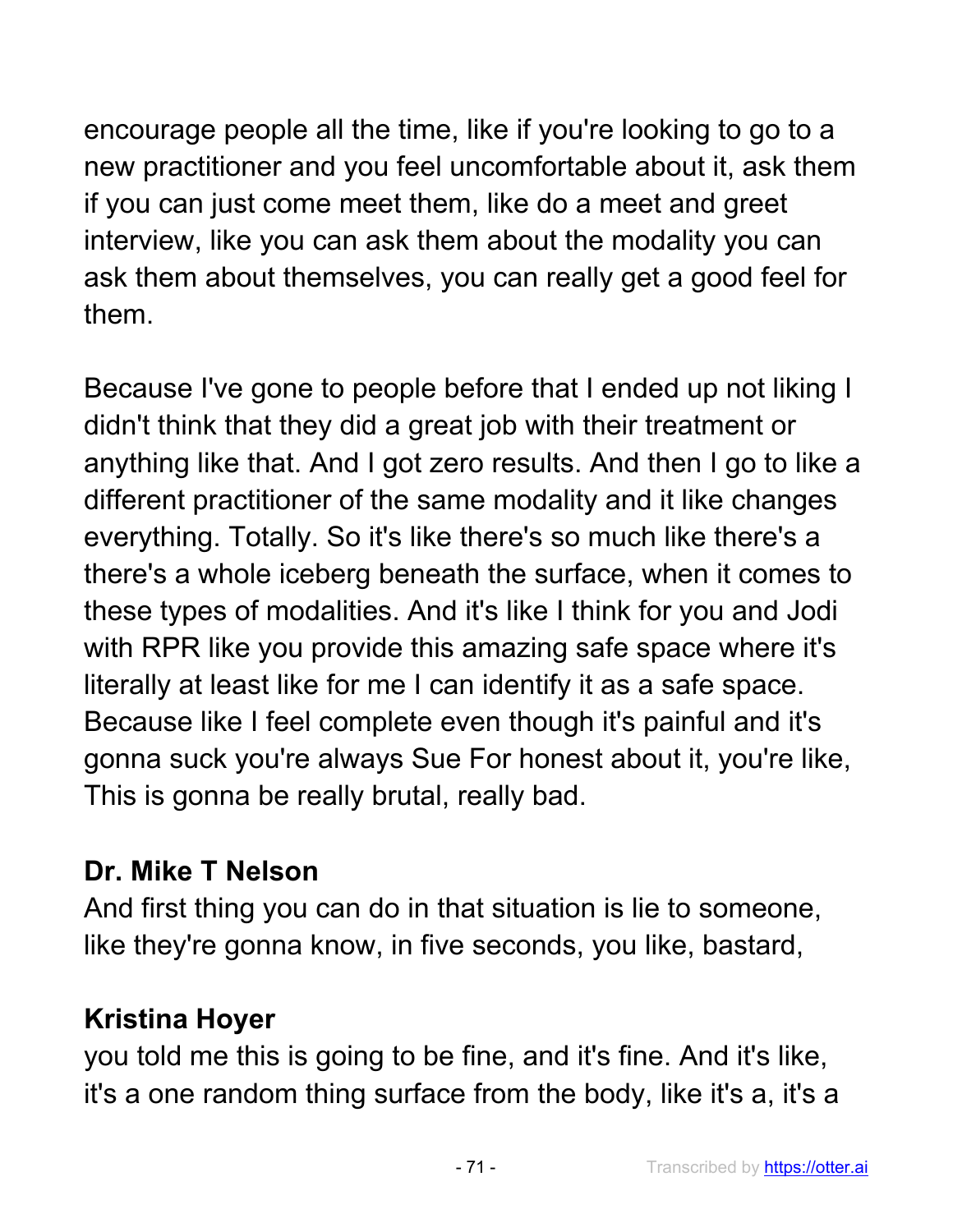encourage people all the time, like if you're looking to go to a new practitioner and you feel uncomfortable about it, ask them if you can just come meet them, like do a meet and greet interview, like you can ask them about the modality you can ask them about themselves, you can really get a good feel for them.

Because I've gone to people before that I ended up not liking I didn't think that they did a great job with their treatment or anything like that. And I got zero results. And then I go to like a different practitioner of the same modality and it like changes everything. Totally. So it's like there's so much like there's a there's a whole iceberg beneath the surface, when it comes to these types of modalities. And it's like I think for you and Jodi with RPR like you provide this amazing safe space where it's literally at least like for me I can identify it as a safe space. Because like I feel complete even though it's painful and it's gonna suck you're always Sue For honest about it, you're like, This is gonna be really brutal, really bad.

### **Dr. Mike T Nelson**

And first thing you can do in that situation is lie to someone, like they're gonna know, in five seconds, you like, bastard,

# **Kristina Hoyer**

you told me this is going to be fine, and it's fine. And it's like, it's a one random thing surface from the body, like it's a, it's a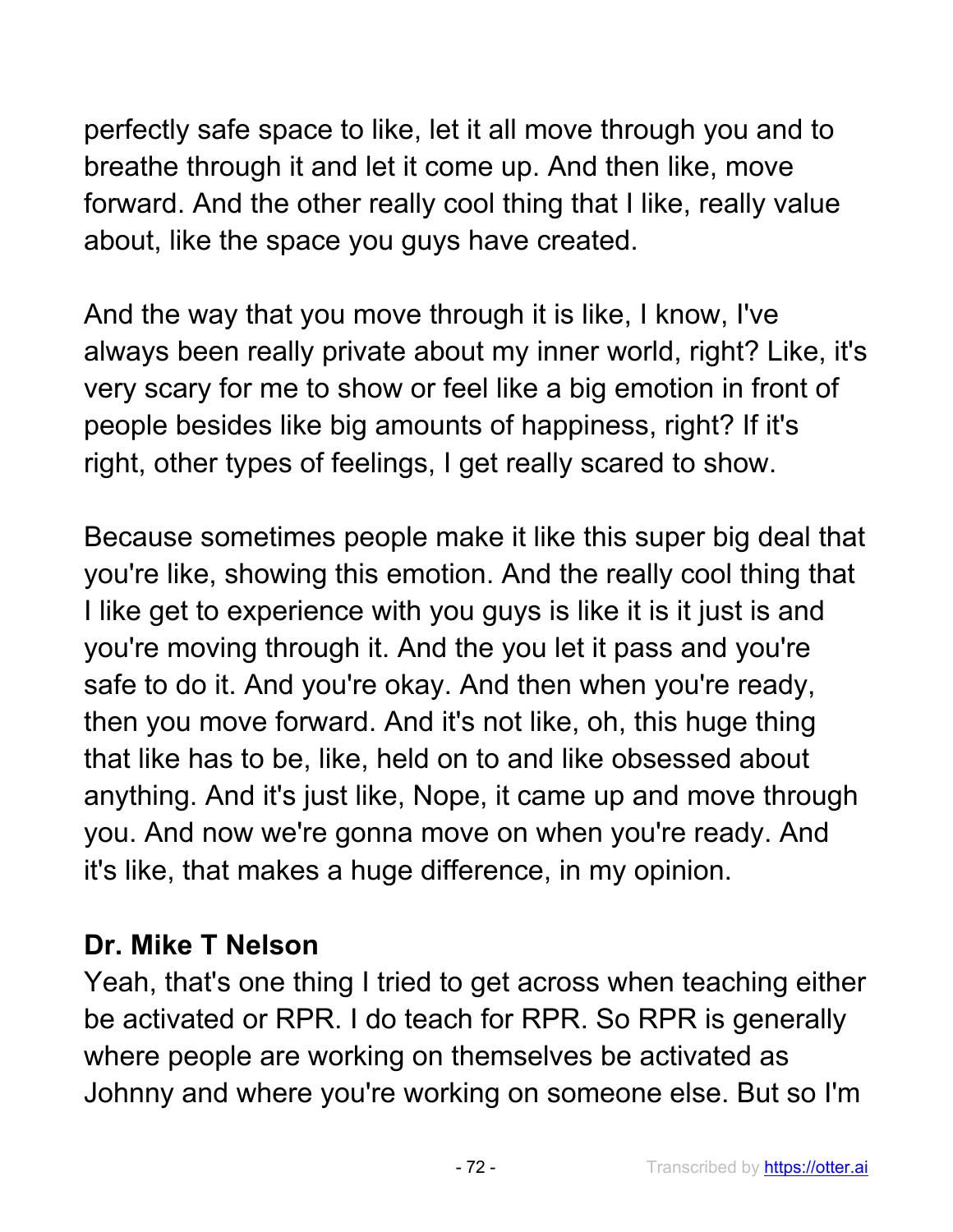perfectly safe space to like, let it all move through you and to breathe through it and let it come up. And then like, move forward. And the other really cool thing that I like, really value about, like the space you guys have created.

And the way that you move through it is like, I know, I've always been really private about my inner world, right? Like, it's very scary for me to show or feel like a big emotion in front of people besides like big amounts of happiness, right? If it's right, other types of feelings, I get really scared to show.

Because sometimes people make it like this super big deal that you're like, showing this emotion. And the really cool thing that I like get to experience with you guys is like it is it just is and you're moving through it. And the you let it pass and you're safe to do it. And you're okay. And then when you're ready, then you move forward. And it's not like, oh, this huge thing that like has to be, like, held on to and like obsessed about anything. And it's just like, Nope, it came up and move through you. And now we're gonna move on when you're ready. And it's like, that makes a huge difference, in my opinion.

#### **Dr. Mike T Nelson**

Yeah, that's one thing I tried to get across when teaching either be activated or RPR. I do teach for RPR. So RPR is generally where people are working on themselves be activated as Johnny and where you're working on someone else. But so I'm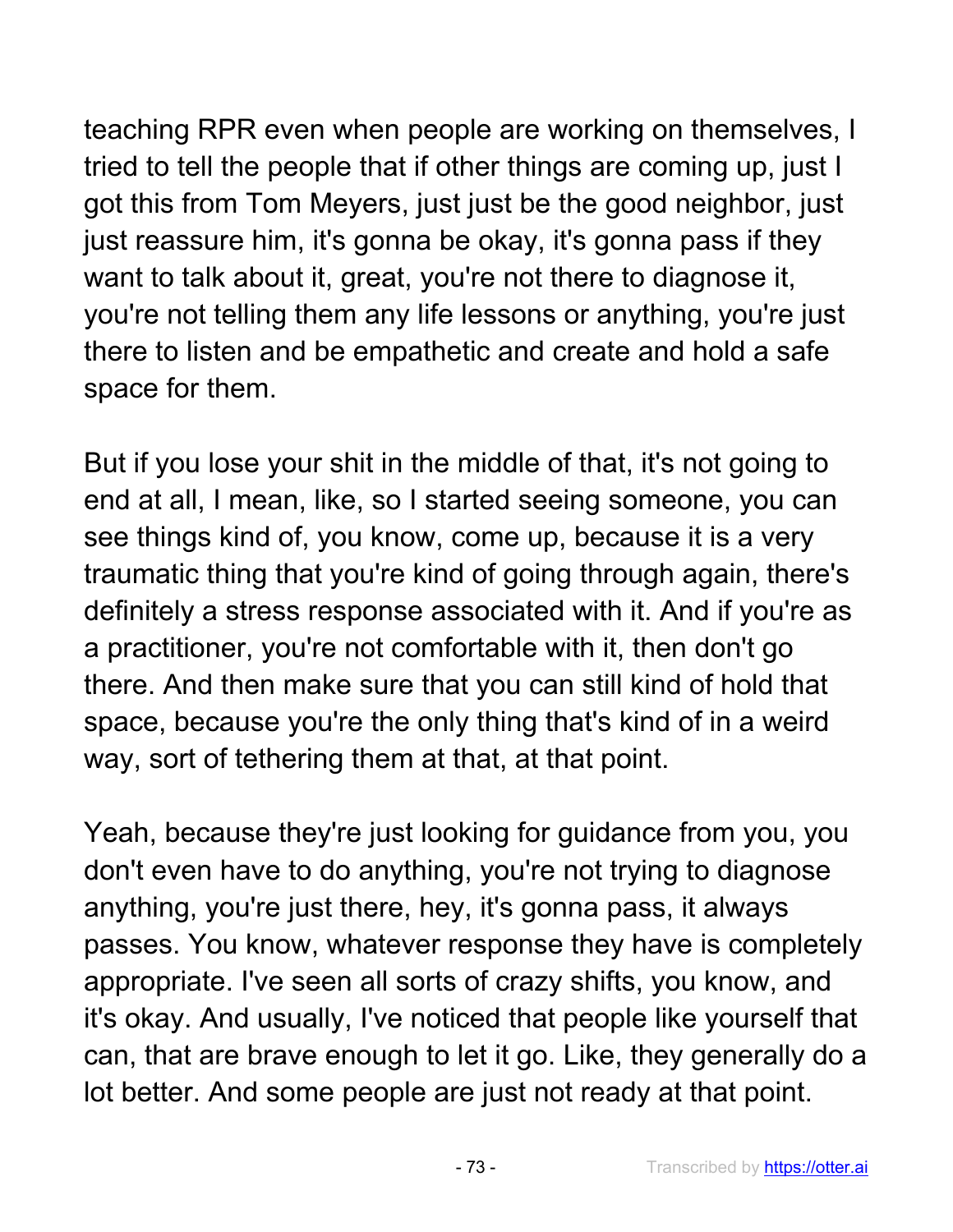teaching RPR even when people are working on themselves, I tried to tell the people that if other things are coming up, just I got this from Tom Meyers, just just be the good neighbor, just just reassure him, it's gonna be okay, it's gonna pass if they want to talk about it, great, you're not there to diagnose it, you're not telling them any life lessons or anything, you're just there to listen and be empathetic and create and hold a safe space for them.

But if you lose your shit in the middle of that, it's not going to end at all, I mean, like, so I started seeing someone, you can see things kind of, you know, come up, because it is a very traumatic thing that you're kind of going through again, there's definitely a stress response associated with it. And if you're as a practitioner, you're not comfortable with it, then don't go there. And then make sure that you can still kind of hold that space, because you're the only thing that's kind of in a weird way, sort of tethering them at that, at that point.

Yeah, because they're just looking for guidance from you, you don't even have to do anything, you're not trying to diagnose anything, you're just there, hey, it's gonna pass, it always passes. You know, whatever response they have is completely appropriate. I've seen all sorts of crazy shifts, you know, and it's okay. And usually, I've noticed that people like yourself that can, that are brave enough to let it go. Like, they generally do a lot better. And some people are just not ready at that point.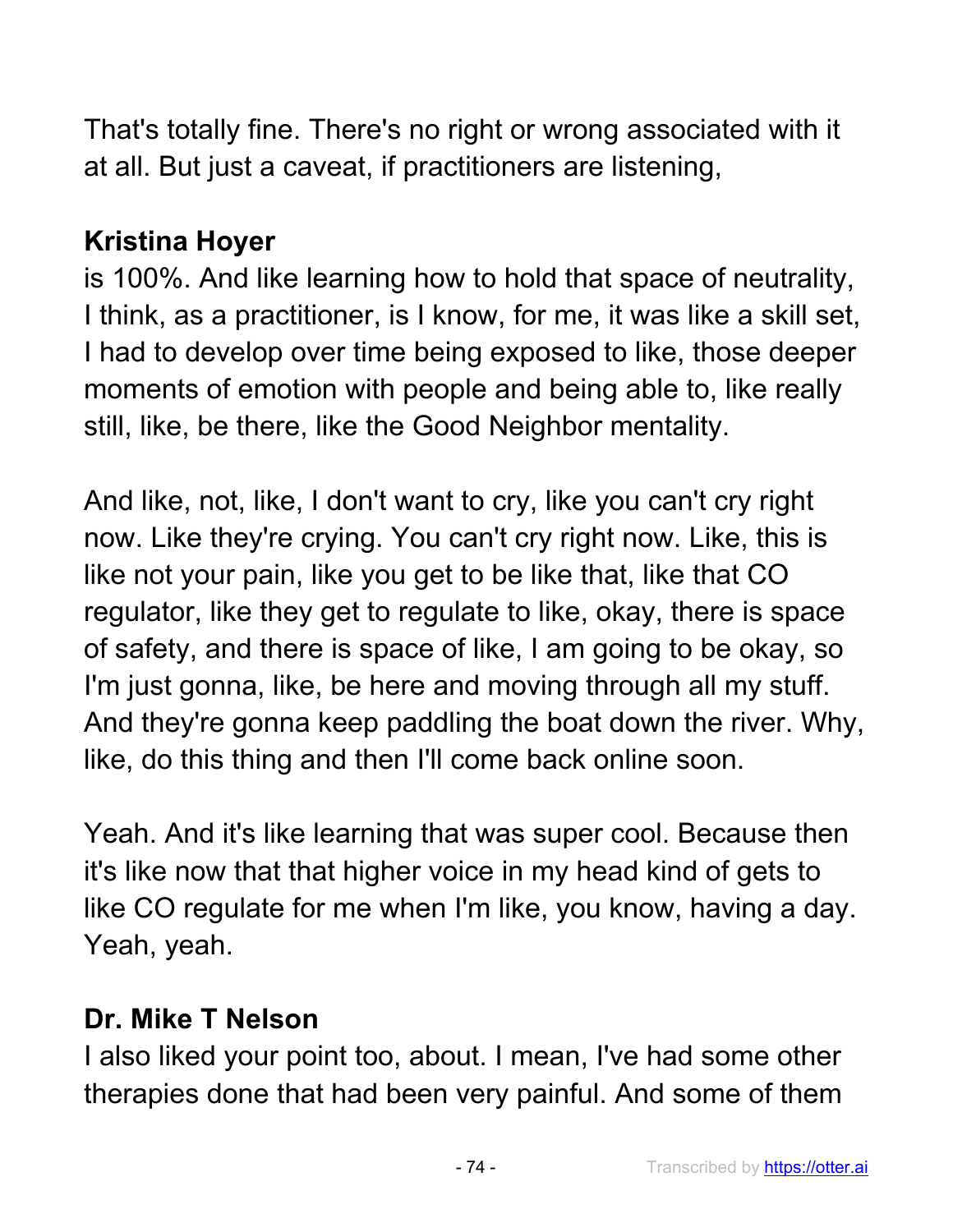That's totally fine. There's no right or wrong associated with it at all. But just a caveat, if practitioners are listening,

# **Kristina Hoyer**

is 100%. And like learning how to hold that space of neutrality, I think, as a practitioner, is I know, for me, it was like a skill set, I had to develop over time being exposed to like, those deeper moments of emotion with people and being able to, like really still, like, be there, like the Good Neighbor mentality.

And like, not, like, I don't want to cry, like you can't cry right now. Like they're crying. You can't cry right now. Like, this is like not your pain, like you get to be like that, like that CO regulator, like they get to regulate to like, okay, there is space of safety, and there is space of like, I am going to be okay, so I'm just gonna, like, be here and moving through all my stuff. And they're gonna keep paddling the boat down the river. Why, like, do this thing and then I'll come back online soon.

Yeah. And it's like learning that was super cool. Because then it's like now that that higher voice in my head kind of gets to like CO regulate for me when I'm like, you know, having a day. Yeah, yeah.

#### **Dr. Mike T Nelson**

I also liked your point too, about. I mean, I've had some other therapies done that had been very painful. And some of them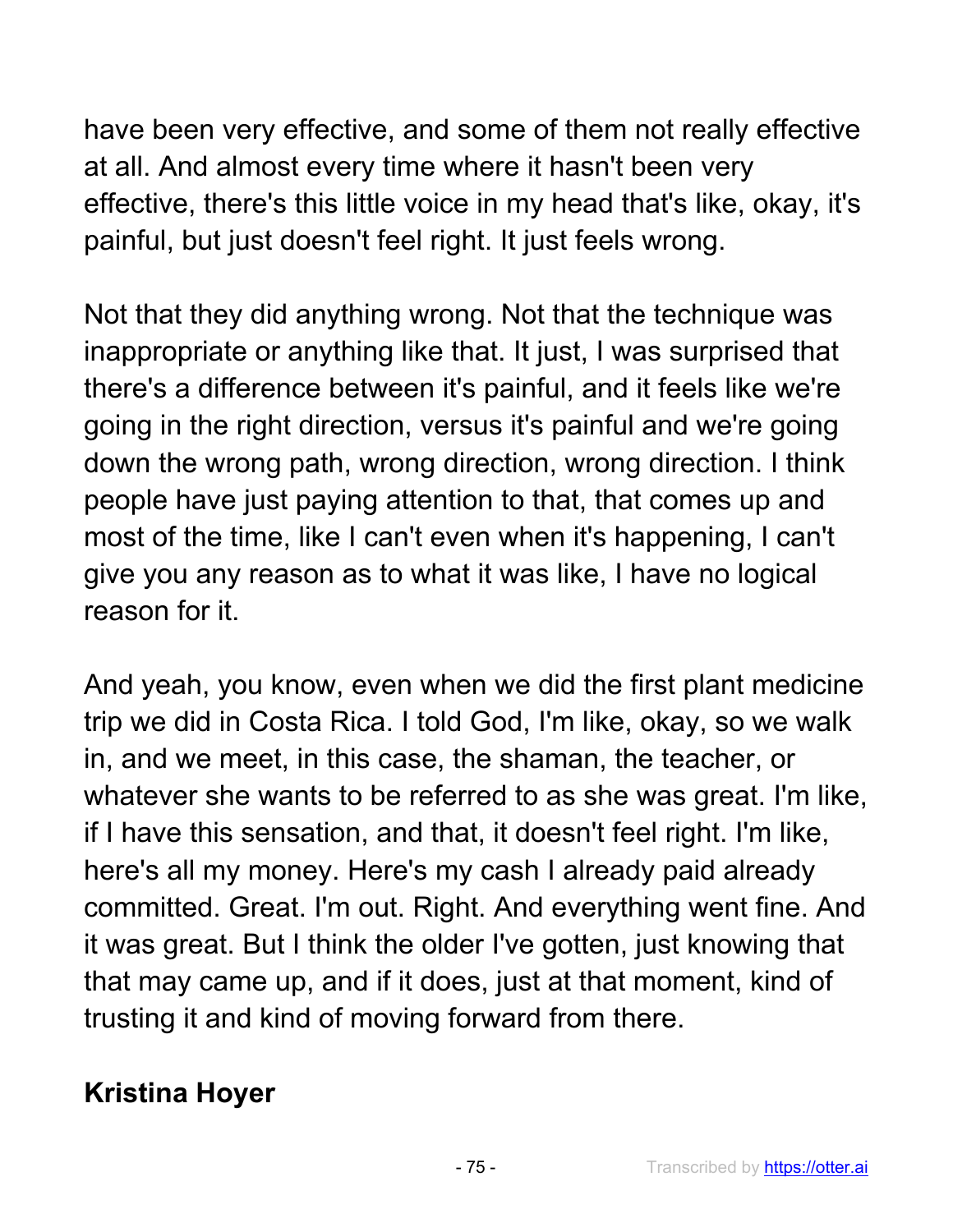have been very effective, and some of them not really effective at all. And almost every time where it hasn't been very effective, there's this little voice in my head that's like, okay, it's painful, but just doesn't feel right. It just feels wrong.

Not that they did anything wrong. Not that the technique was inappropriate or anything like that. It just, I was surprised that there's a difference between it's painful, and it feels like we're going in the right direction, versus it's painful and we're going down the wrong path, wrong direction, wrong direction. I think people have just paying attention to that, that comes up and most of the time, like I can't even when it's happening, I can't give you any reason as to what it was like, I have no logical reason for it.

And yeah, you know, even when we did the first plant medicine trip we did in Costa Rica. I told God, I'm like, okay, so we walk in, and we meet, in this case, the shaman, the teacher, or whatever she wants to be referred to as she was great. I'm like, if I have this sensation, and that, it doesn't feel right. I'm like, here's all my money. Here's my cash I already paid already committed. Great. I'm out. Right. And everything went fine. And it was great. But I think the older I've gotten, just knowing that that may came up, and if it does, just at that moment, kind of trusting it and kind of moving forward from there.

## **Kristina Hoyer**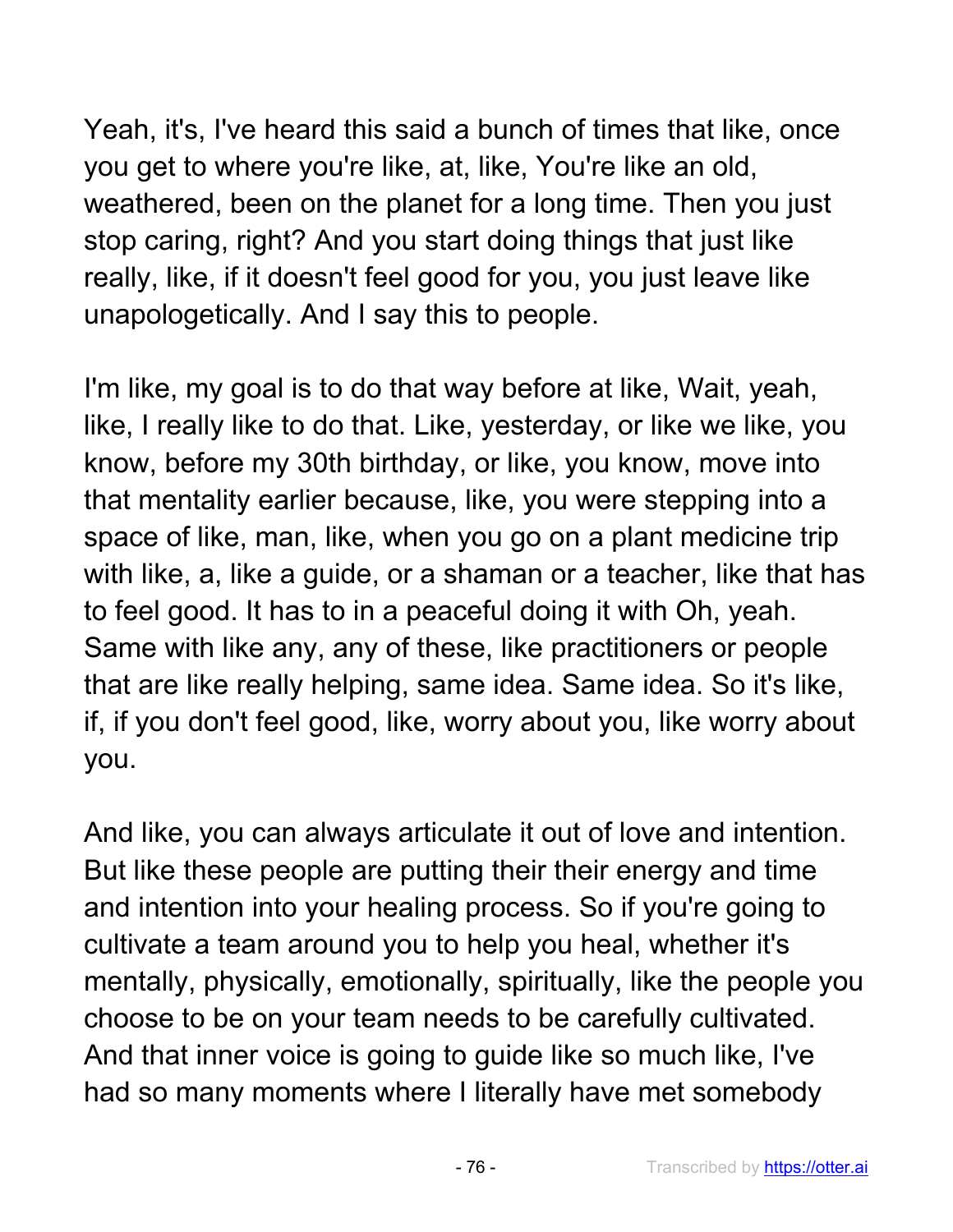Yeah, it's, I've heard this said a bunch of times that like, once you get to where you're like, at, like, You're like an old, weathered, been on the planet for a long time. Then you just stop caring, right? And you start doing things that just like really, like, if it doesn't feel good for you, you just leave like unapologetically. And I say this to people.

I'm like, my goal is to do that way before at like, Wait, yeah, like, I really like to do that. Like, yesterday, or like we like, you know, before my 30th birthday, or like, you know, move into that mentality earlier because, like, you were stepping into a space of like, man, like, when you go on a plant medicine trip with like, a, like a guide, or a shaman or a teacher, like that has to feel good. It has to in a peaceful doing it with Oh, yeah. Same with like any, any of these, like practitioners or people that are like really helping, same idea. Same idea. So it's like, if, if you don't feel good, like, worry about you, like worry about you.

And like, you can always articulate it out of love and intention. But like these people are putting their their energy and time and intention into your healing process. So if you're going to cultivate a team around you to help you heal, whether it's mentally, physically, emotionally, spiritually, like the people you choose to be on your team needs to be carefully cultivated. And that inner voice is going to guide like so much like, I've had so many moments where I literally have met somebody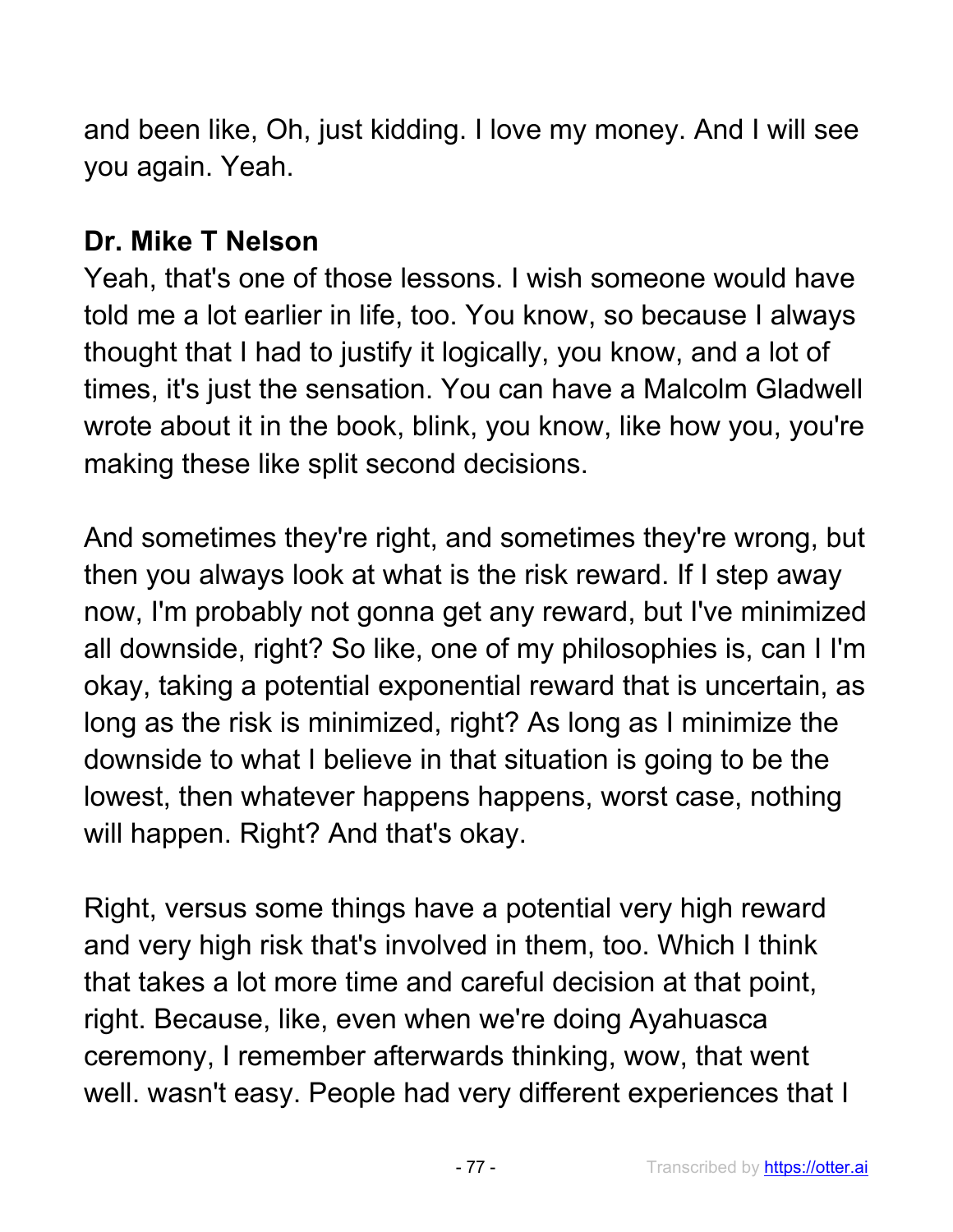and been like, Oh, just kidding. I love my money. And I will see you again. Yeah.

## **Dr. Mike T Nelson**

Yeah, that's one of those lessons. I wish someone would have told me a lot earlier in life, too. You know, so because I always thought that I had to justify it logically, you know, and a lot of times, it's just the sensation. You can have a Malcolm Gladwell wrote about it in the book, blink, you know, like how you, you're making these like split second decisions.

And sometimes they're right, and sometimes they're wrong, but then you always look at what is the risk reward. If I step away now, I'm probably not gonna get any reward, but I've minimized all downside, right? So like, one of my philosophies is, can I I'm okay, taking a potential exponential reward that is uncertain, as long as the risk is minimized, right? As long as I minimize the downside to what I believe in that situation is going to be the lowest, then whatever happens happens, worst case, nothing will happen. Right? And that's okay.

Right, versus some things have a potential very high reward and very high risk that's involved in them, too. Which I think that takes a lot more time and careful decision at that point, right. Because, like, even when we're doing Ayahuasca ceremony, I remember afterwards thinking, wow, that went well. wasn't easy. People had very different experiences that I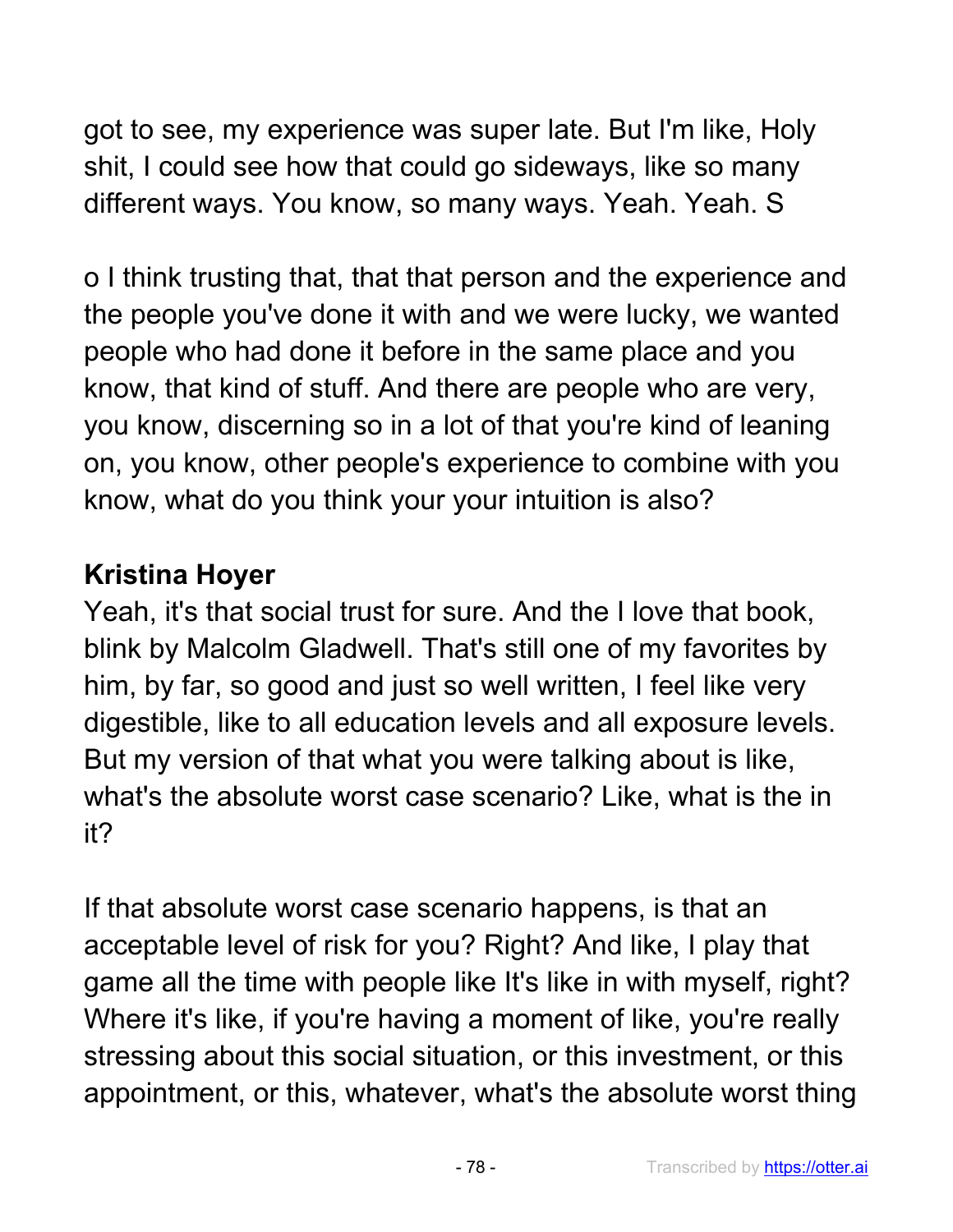got to see, my experience was super late. But I'm like, Holy shit, I could see how that could go sideways, like so many different ways. You know, so many ways. Yeah. Yeah. S

o I think trusting that, that that person and the experience and the people you've done it with and we were lucky, we wanted people who had done it before in the same place and you know, that kind of stuff. And there are people who are very, you know, discerning so in a lot of that you're kind of leaning on, you know, other people's experience to combine with you know, what do you think your your intuition is also?

#### **Kristina Hoyer**

Yeah, it's that social trust for sure. And the I love that book, blink by Malcolm Gladwell. That's still one of my favorites by him, by far, so good and just so well written, I feel like very digestible, like to all education levels and all exposure levels. But my version of that what you were talking about is like, what's the absolute worst case scenario? Like, what is the in it?

If that absolute worst case scenario happens, is that an acceptable level of risk for you? Right? And like, I play that game all the time with people like It's like in with myself, right? Where it's like, if you're having a moment of like, you're really stressing about this social situation, or this investment, or this appointment, or this, whatever, what's the absolute worst thing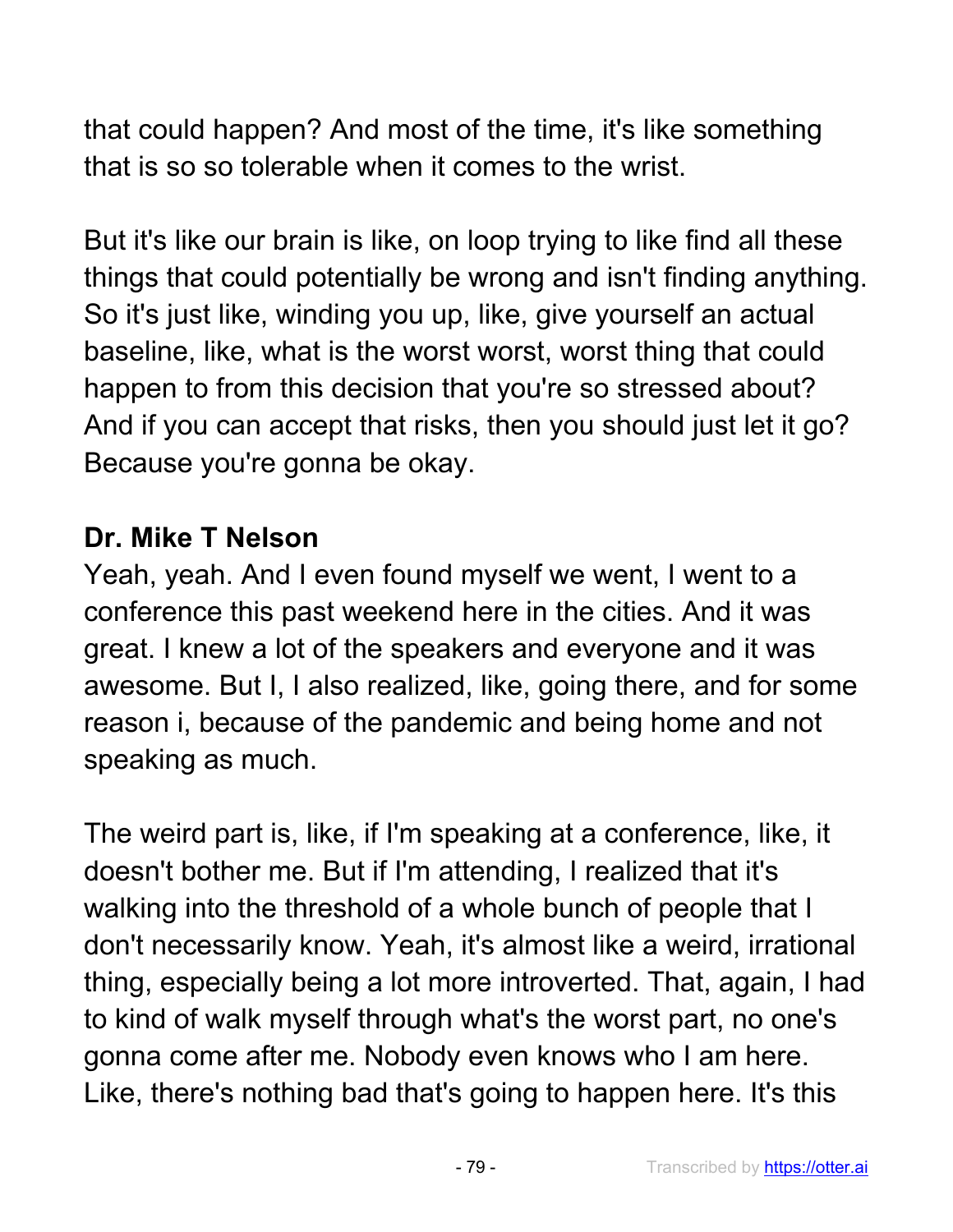that could happen? And most of the time, it's like something that is so so tolerable when it comes to the wrist.

But it's like our brain is like, on loop trying to like find all these things that could potentially be wrong and isn't finding anything. So it's just like, winding you up, like, give yourself an actual baseline, like, what is the worst worst, worst thing that could happen to from this decision that you're so stressed about? And if you can accept that risks, then you should just let it go? Because you're gonna be okay.

#### **Dr. Mike T Nelson**

Yeah, yeah. And I even found myself we went, I went to a conference this past weekend here in the cities. And it was great. I knew a lot of the speakers and everyone and it was awesome. But I, I also realized, like, going there, and for some reason i, because of the pandemic and being home and not speaking as much.

The weird part is, like, if I'm speaking at a conference, like, it doesn't bother me. But if I'm attending, I realized that it's walking into the threshold of a whole bunch of people that I don't necessarily know. Yeah, it's almost like a weird, irrational thing, especially being a lot more introverted. That, again, I had to kind of walk myself through what's the worst part, no one's gonna come after me. Nobody even knows who I am here. Like, there's nothing bad that's going to happen here. It's this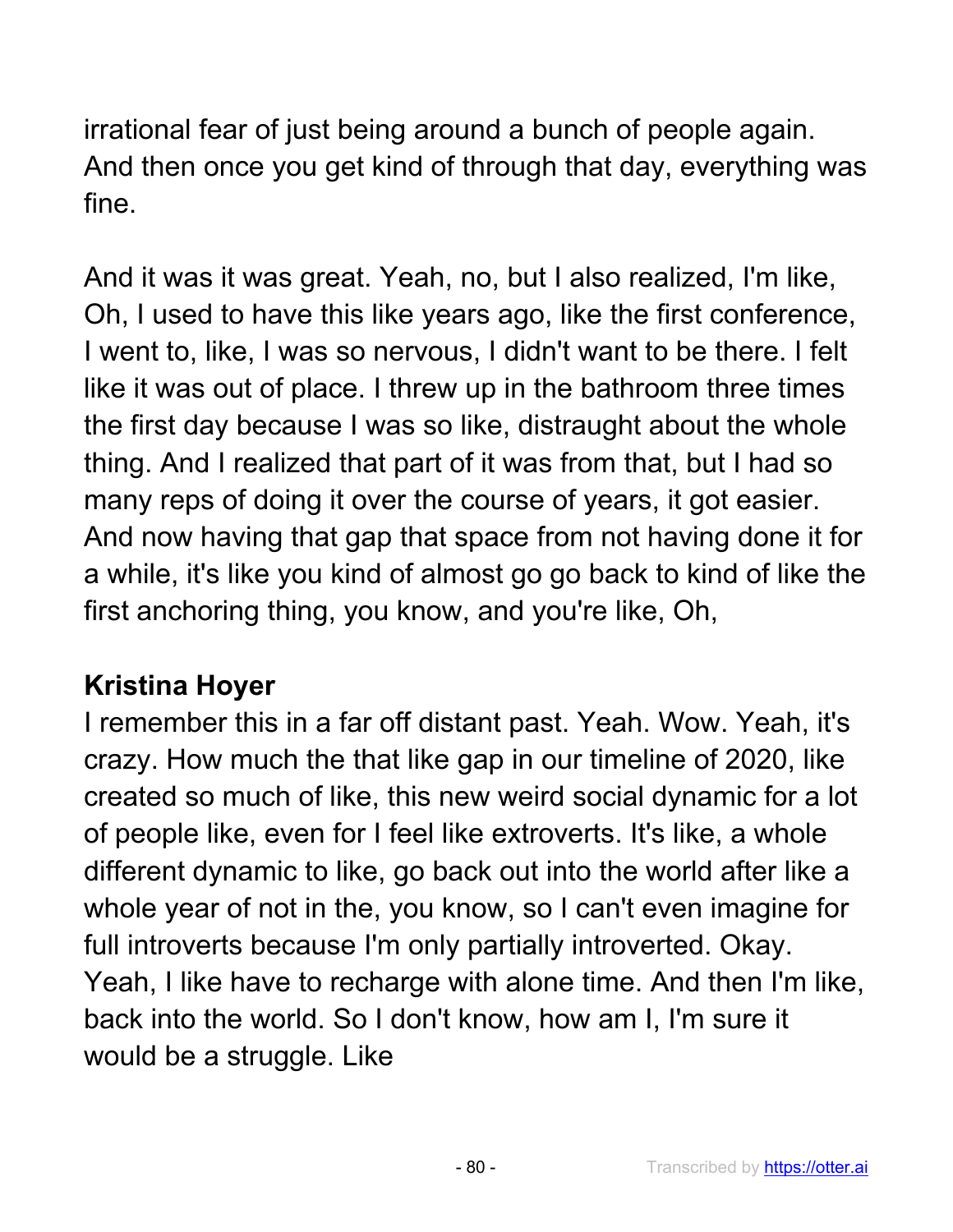irrational fear of just being around a bunch of people again. And then once you get kind of through that day, everything was fine.

And it was it was great. Yeah, no, but I also realized, I'm like, Oh, I used to have this like years ago, like the first conference, I went to, like, I was so nervous, I didn't want to be there. I felt like it was out of place. I threw up in the bathroom three times the first day because I was so like, distraught about the whole thing. And I realized that part of it was from that, but I had so many reps of doing it over the course of years, it got easier. And now having that gap that space from not having done it for a while, it's like you kind of almost go go back to kind of like the first anchoring thing, you know, and you're like, Oh,

# **Kristina Hoyer**

I remember this in a far off distant past. Yeah. Wow. Yeah, it's crazy. How much the that like gap in our timeline of 2020, like created so much of like, this new weird social dynamic for a lot of people like, even for I feel like extroverts. It's like, a whole different dynamic to like, go back out into the world after like a whole year of not in the, you know, so I can't even imagine for full introverts because I'm only partially introverted. Okay. Yeah, I like have to recharge with alone time. And then I'm like, back into the world. So I don't know, how am I, I'm sure it would be a struggle. Like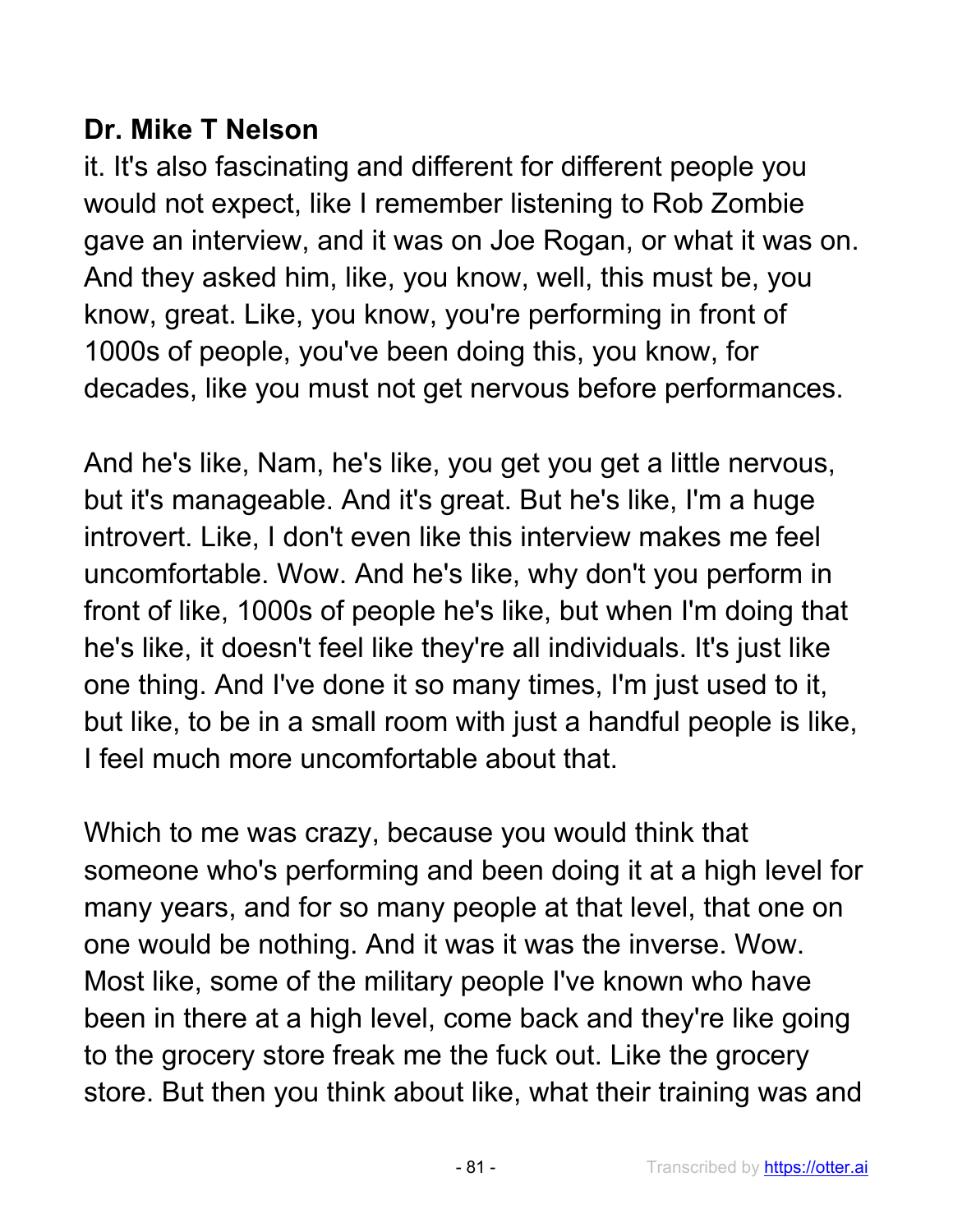# **Dr. Mike T Nelson**

it. It's also fascinating and different for different people you would not expect, like I remember listening to Rob Zombie gave an interview, and it was on Joe Rogan, or what it was on. And they asked him, like, you know, well, this must be, you know, great. Like, you know, you're performing in front of 1000s of people, you've been doing this, you know, for decades, like you must not get nervous before performances.

And he's like, Nam, he's like, you get you get a little nervous, but it's manageable. And it's great. But he's like, I'm a huge introvert. Like, I don't even like this interview makes me feel uncomfortable. Wow. And he's like, why don't you perform in front of like, 1000s of people he's like, but when I'm doing that he's like, it doesn't feel like they're all individuals. It's just like one thing. And I've done it so many times, I'm just used to it, but like, to be in a small room with just a handful people is like, I feel much more uncomfortable about that.

Which to me was crazy, because you would think that someone who's performing and been doing it at a high level for many years, and for so many people at that level, that one on one would be nothing. And it was it was the inverse. Wow. Most like, some of the military people I've known who have been in there at a high level, come back and they're like going to the grocery store freak me the fuck out. Like the grocery store. But then you think about like, what their training was and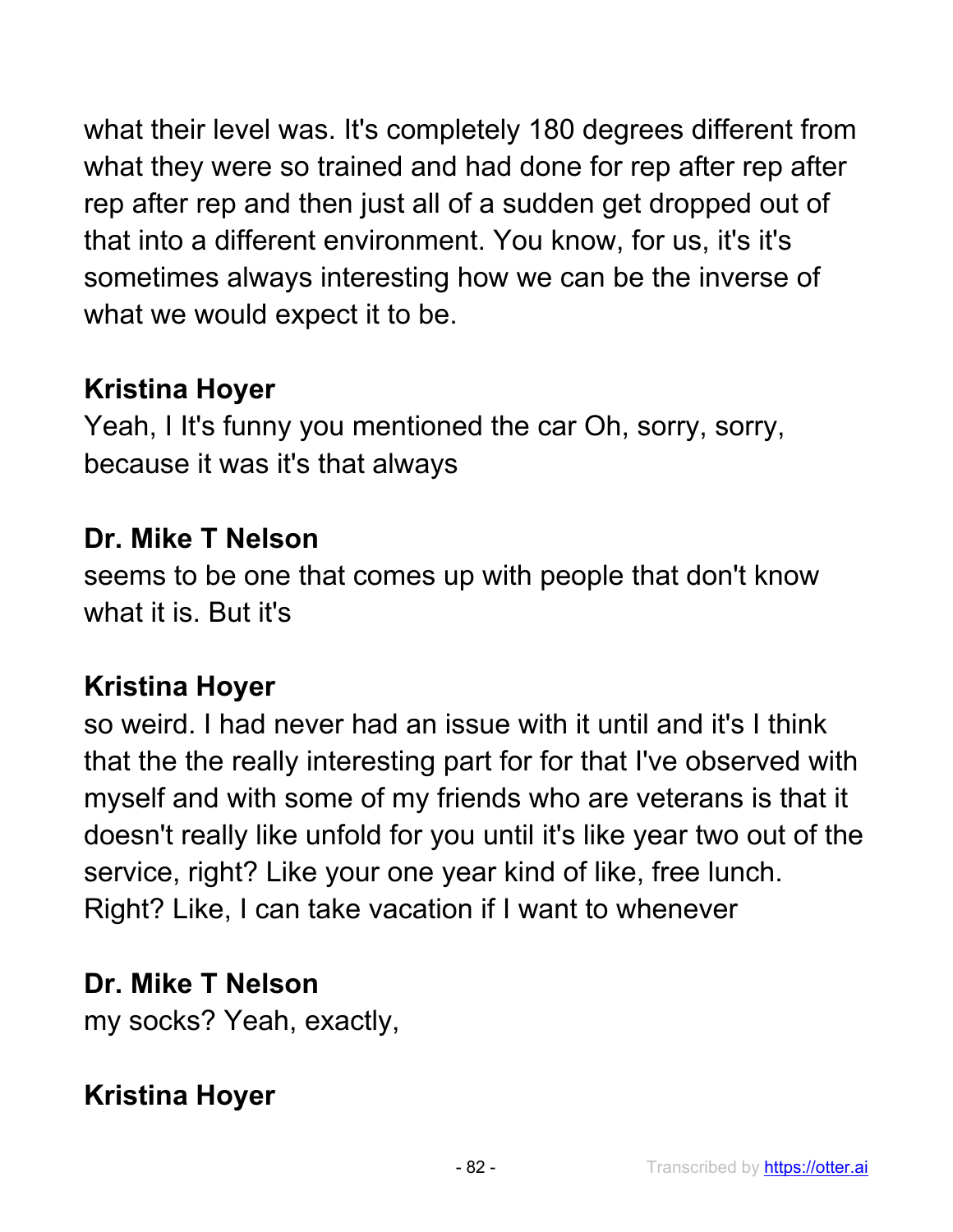what their level was. It's completely 180 degrees different from what they were so trained and had done for rep after rep after rep after rep and then just all of a sudden get dropped out of that into a different environment. You know, for us, it's it's sometimes always interesting how we can be the inverse of what we would expect it to be.

# **Kristina Hoyer**

Yeah, I It's funny you mentioned the car Oh, sorry, sorry, because it was it's that always

#### **Dr. Mike T Nelson**

seems to be one that comes up with people that don't know what it is. But it's

## **Kristina Hoyer**

so weird. I had never had an issue with it until and it's I think that the the really interesting part for for that I've observed with myself and with some of my friends who are veterans is that it doesn't really like unfold for you until it's like year two out of the service, right? Like your one year kind of like, free lunch. Right? Like, I can take vacation if I want to whenever

## **Dr. Mike T Nelson**

my socks? Yeah, exactly,

## **Kristina Hoyer**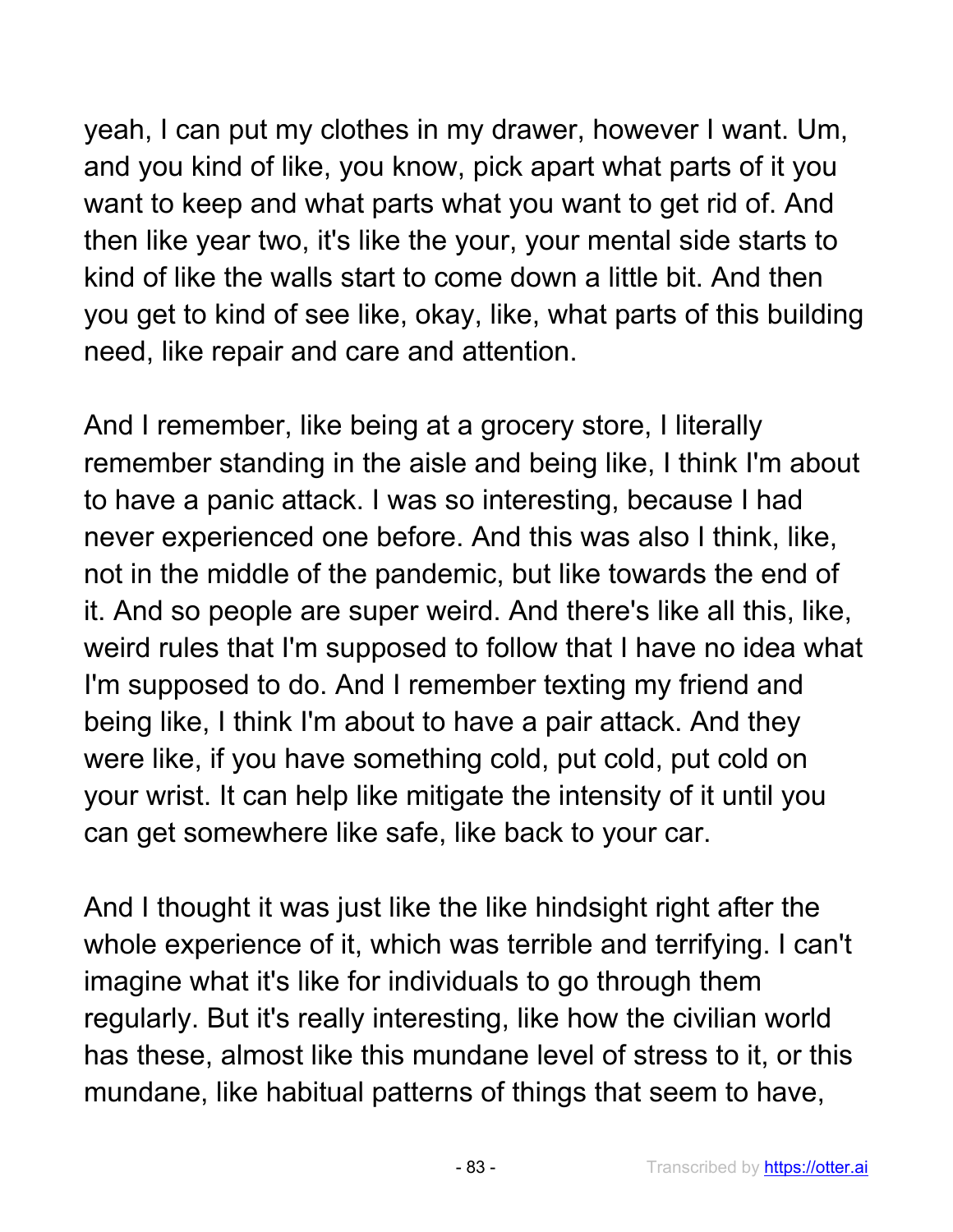yeah, I can put my clothes in my drawer, however I want. Um, and you kind of like, you know, pick apart what parts of it you want to keep and what parts what you want to get rid of. And then like year two, it's like the your, your mental side starts to kind of like the walls start to come down a little bit. And then you get to kind of see like, okay, like, what parts of this building need, like repair and care and attention.

And I remember, like being at a grocery store, I literally remember standing in the aisle and being like, I think I'm about to have a panic attack. I was so interesting, because I had never experienced one before. And this was also I think, like, not in the middle of the pandemic, but like towards the end of it. And so people are super weird. And there's like all this, like, weird rules that I'm supposed to follow that I have no idea what I'm supposed to do. And I remember texting my friend and being like, I think I'm about to have a pair attack. And they were like, if you have something cold, put cold, put cold on your wrist. It can help like mitigate the intensity of it until you can get somewhere like safe, like back to your car.

And I thought it was just like the like hindsight right after the whole experience of it, which was terrible and terrifying. I can't imagine what it's like for individuals to go through them regularly. But it's really interesting, like how the civilian world has these, almost like this mundane level of stress to it, or this mundane, like habitual patterns of things that seem to have,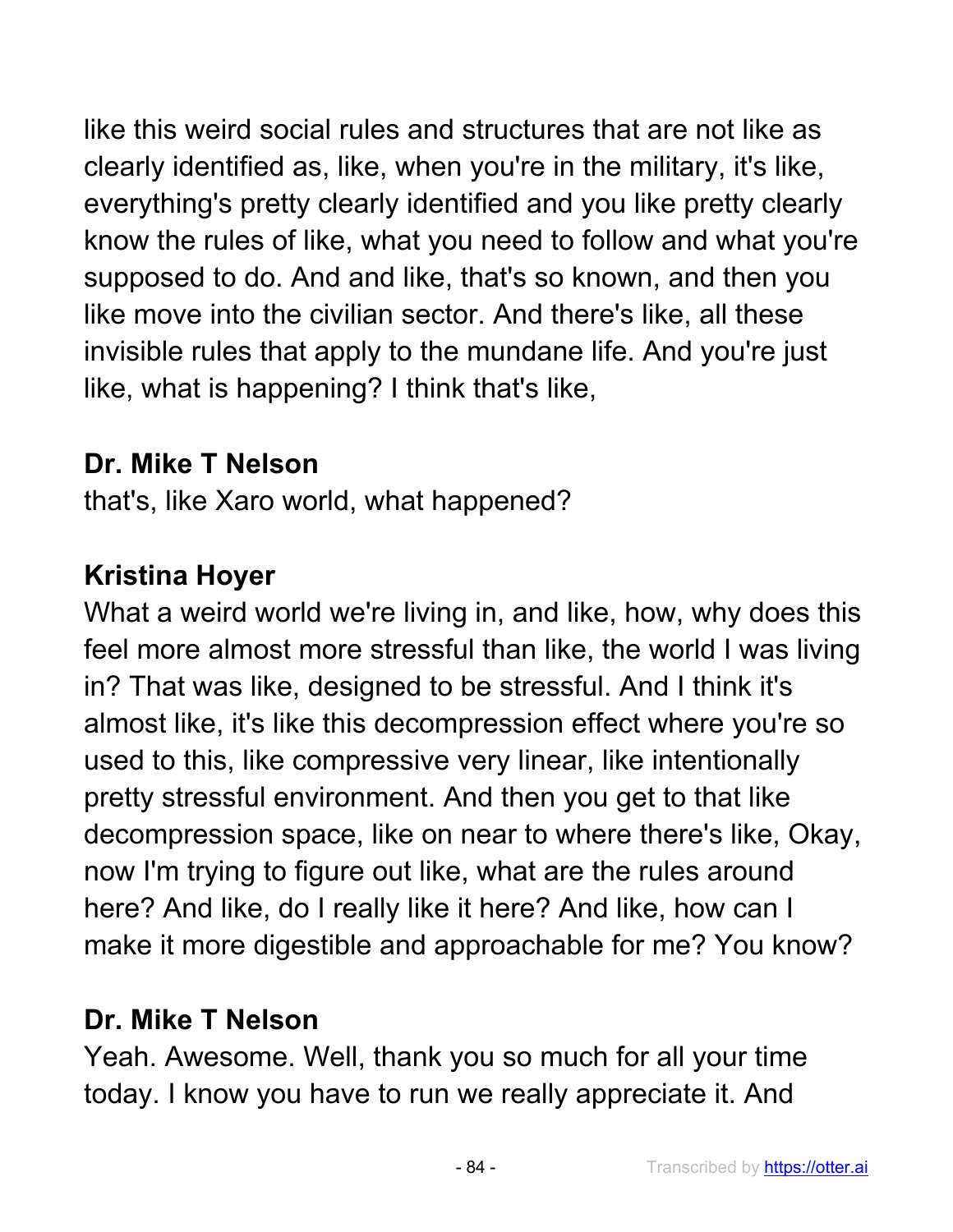like this weird social rules and structures that are not like as clearly identified as, like, when you're in the military, it's like, everything's pretty clearly identified and you like pretty clearly know the rules of like, what you need to follow and what you're supposed to do. And and like, that's so known, and then you like move into the civilian sector. And there's like, all these invisible rules that apply to the mundane life. And you're just like, what is happening? I think that's like,

## **Dr. Mike T Nelson**

that's, like Xaro world, what happened?

# **Kristina Hoyer**

What a weird world we're living in, and like, how, why does this feel more almost more stressful than like, the world I was living in? That was like, designed to be stressful. And I think it's almost like, it's like this decompression effect where you're so used to this, like compressive very linear, like intentionally pretty stressful environment. And then you get to that like decompression space, like on near to where there's like, Okay, now I'm trying to figure out like, what are the rules around here? And like, do I really like it here? And like, how can I make it more digestible and approachable for me? You know?

# **Dr. Mike T Nelson**

Yeah. Awesome. Well, thank you so much for all your time today. I know you have to run we really appreciate it. And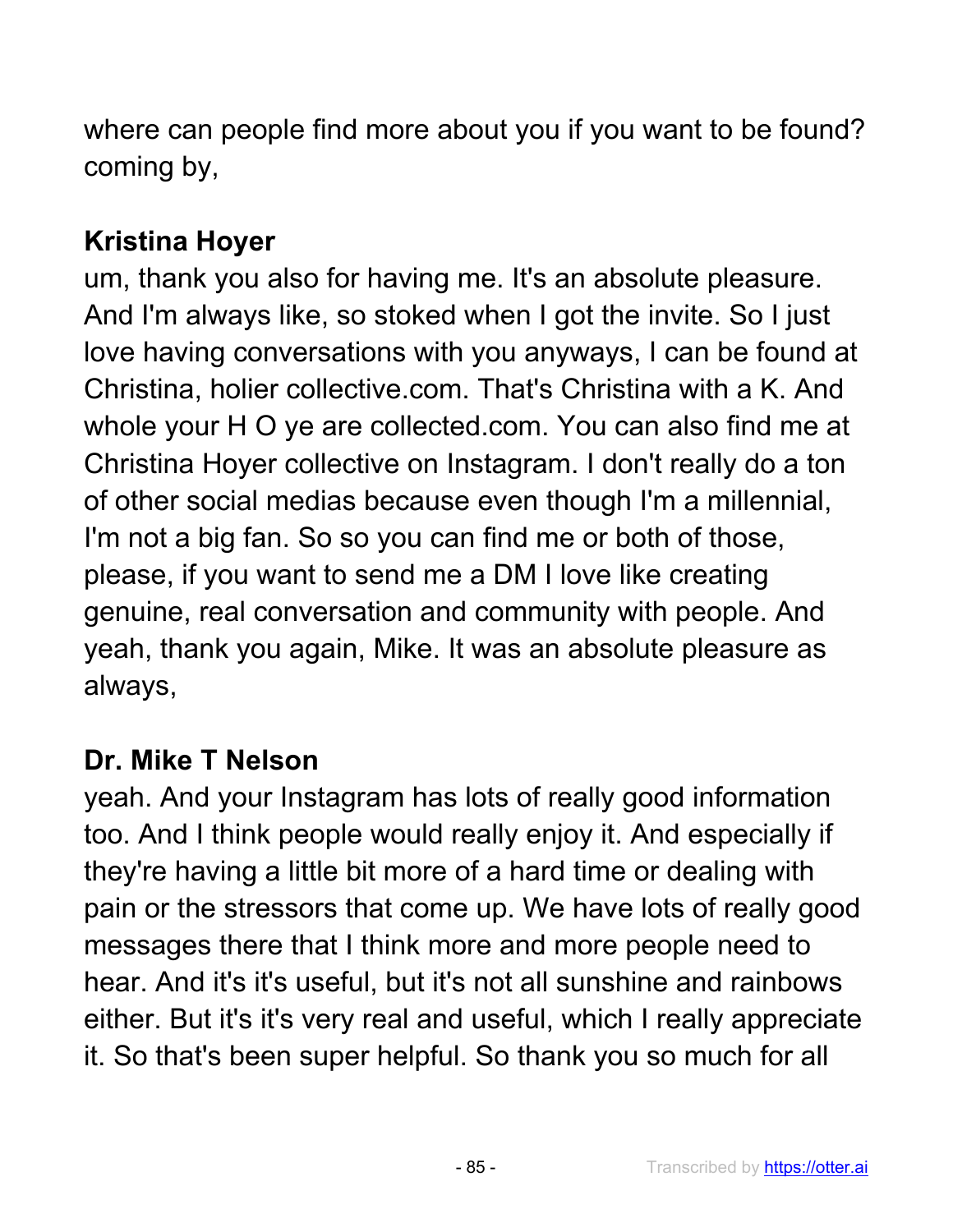where can people find more about you if you want to be found? coming by,

# **Kristina Hoyer**

um, thank you also for having me. It's an absolute pleasure. And I'm always like, so stoked when I got the invite. So I just love having conversations with you anyways, I can be found at Christina, holier collective.com. That's Christina with a K. And whole your H O ye are collected.com. You can also find me at Christina Hoyer collective on Instagram. I don't really do a ton of other social medias because even though I'm a millennial, I'm not a big fan. So so you can find me or both of those, please, if you want to send me a DM I love like creating genuine, real conversation and community with people. And yeah, thank you again, Mike. It was an absolute pleasure as always,

## **Dr. Mike T Nelson**

yeah. And your Instagram has lots of really good information too. And I think people would really enjoy it. And especially if they're having a little bit more of a hard time or dealing with pain or the stressors that come up. We have lots of really good messages there that I think more and more people need to hear. And it's it's useful, but it's not all sunshine and rainbows either. But it's it's very real and useful, which I really appreciate it. So that's been super helpful. So thank you so much for all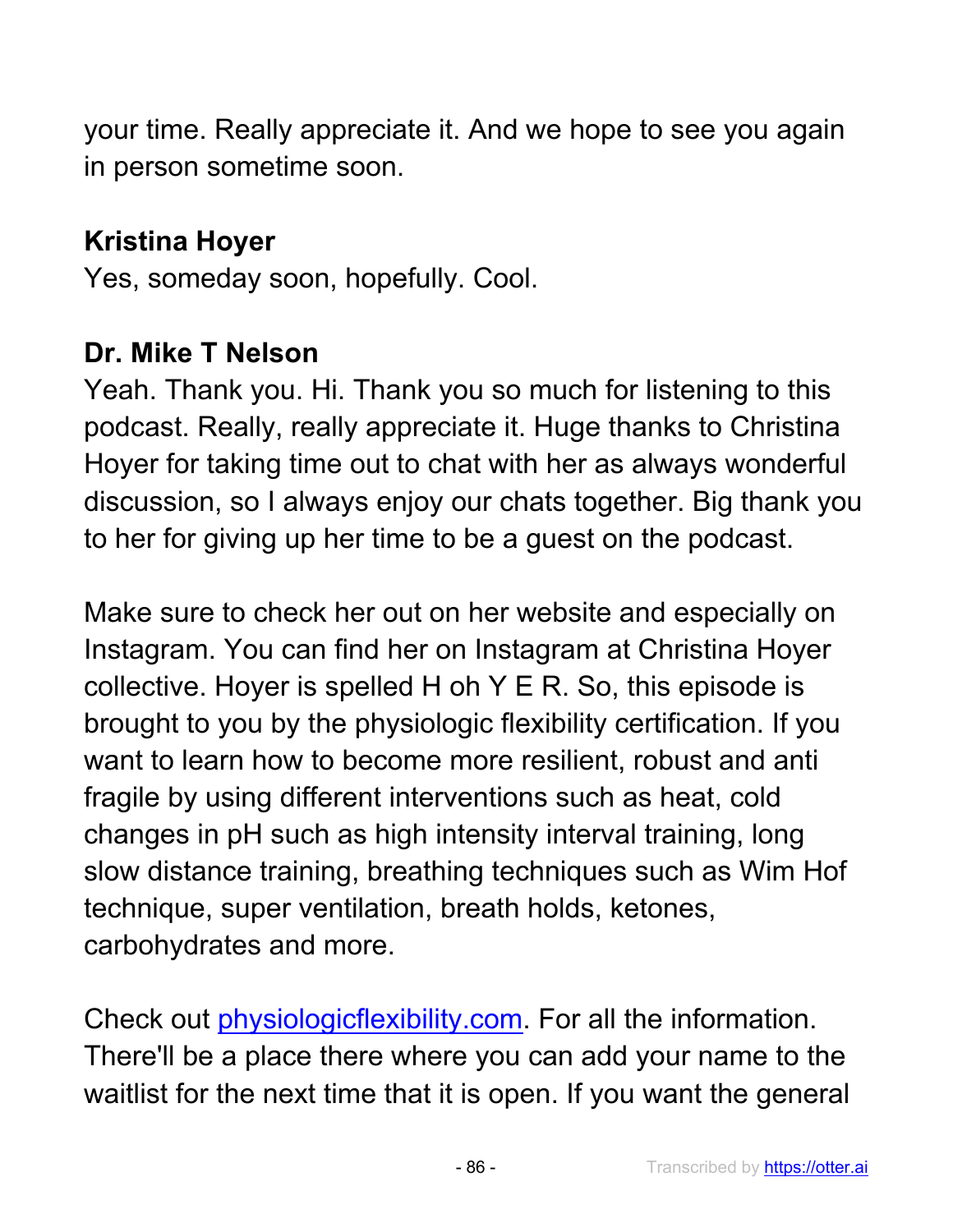your time. Really appreciate it. And we hope to see you again in person sometime soon.

# **Kristina Hoyer**

Yes, someday soon, hopefully. Cool.

#### **Dr. Mike T Nelson**

Yeah. Thank you. Hi. Thank you so much for listening to this podcast. Really, really appreciate it. Huge thanks to Christina Hoyer for taking time out to chat with her as always wonderful discussion, so I always enjoy our chats together. Big thank you to her for giving up her time to be a guest on the podcast.

Make sure to check her out on her website and especially on Instagram. You can find her on Instagram at Christina Hoyer collective. Hoyer is spelled H oh Y E R. So, this episode is brought to you by the physiologic flexibility certification. If you want to learn how to become more resilient, robust and anti fragile by using different interventions such as heat, cold changes in pH such as high intensity interval training, long slow distance training, breathing techniques such as Wim Hof technique, super ventilation, breath holds, ketones, carbohydrates and more.

Check out physiologicflexibility.com. For all the information. There'll be a place there where you can add your name to the waitlist for the next time that it is open. If you want the general